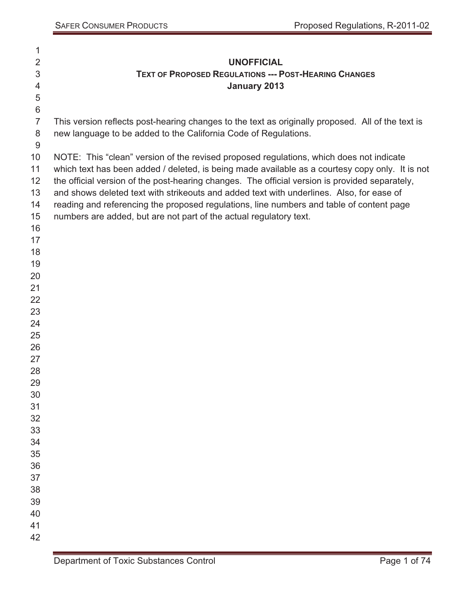| 1                |                                                                                                   |
|------------------|---------------------------------------------------------------------------------------------------|
| $\overline{2}$   | <b>UNOFFICIAL</b>                                                                                 |
| 3                | <b>TEXT OF PROPOSED REGULATIONS --- POST-HEARING CHANGES</b>                                      |
| 4                | <b>January 2013</b>                                                                               |
| $\mathbf 5$      |                                                                                                   |
| $\,6$            |                                                                                                   |
| $\overline{7}$   | This version reflects post-hearing changes to the text as originally proposed. All of the text is |
| 8                | new language to be added to the California Code of Regulations.                                   |
| $\boldsymbol{9}$ |                                                                                                   |
| 10               | NOTE: This "clean" version of the revised proposed regulations, which does not indicate           |
| 11               | which text has been added / deleted, is being made available as a courtesy copy only. It is not   |
| 12 <sup>2</sup>  | the official version of the post-hearing changes. The official version is provided separately,    |
| 13               | and shows deleted text with strikeouts and added text with underlines. Also, for ease of          |
| 14               | reading and referencing the proposed regulations, line numbers and table of content page          |
| 15               | numbers are added, but are not part of the actual regulatory text.                                |
| 16               |                                                                                                   |
| 17               |                                                                                                   |
| 18               |                                                                                                   |
| 19               |                                                                                                   |
| 20               |                                                                                                   |
| 21               |                                                                                                   |
| 22               |                                                                                                   |
| 23               |                                                                                                   |
| 24               |                                                                                                   |
| 25               |                                                                                                   |
| 26               |                                                                                                   |
| 27               |                                                                                                   |
| 28               |                                                                                                   |
| 29               |                                                                                                   |
| 30               |                                                                                                   |
| 31<br>32         |                                                                                                   |
| 33               |                                                                                                   |
| 34               |                                                                                                   |
| 35               |                                                                                                   |
| 36               |                                                                                                   |
| 37               |                                                                                                   |
| 38               |                                                                                                   |
| 39               |                                                                                                   |
| 40               |                                                                                                   |
| 41               |                                                                                                   |
| 42               |                                                                                                   |
|                  |                                                                                                   |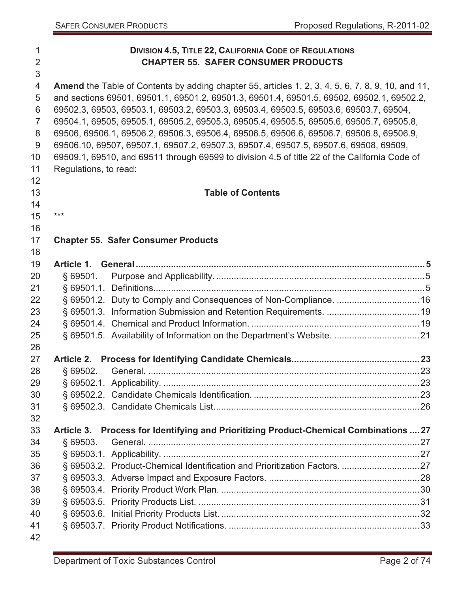| 1<br>$\overline{2}$<br>3 |                       | <b>DIVISION 4.5, TITLE 22, CALIFORNIA CODE OF REGULATIONS</b><br><b>CHAPTER 55. SAFER CONSUMER PRODUCTS</b> |  |
|--------------------------|-----------------------|-------------------------------------------------------------------------------------------------------------|--|
| $\overline{4}$           |                       | <b>Amend</b> the Table of Contents by adding chapter 55, articles 1, 2, 3, 4, 5, 6, 7, 8, 9, 10, and 11,    |  |
| 5                        |                       | and sections 69501, 69501.1, 69501.2, 69501.3, 69501.4, 69501.5, 69502, 69502.1, 69502.2,                   |  |
| 6                        |                       | 69502.3, 69503, 69503.1, 69503.2, 69503.3, 69503.4, 69503.5, 69503.6, 69503.7, 69504,                       |  |
| $\overline{7}$           |                       | 69504.1, 69505, 69505.1, 69505.2, 69505.3, 69505.4, 69505.5, 69505.6, 69505.7, 69505.8,                     |  |
| 8                        |                       | 69506, 69506.1, 69506.2, 69506.3, 69506.4, 69506.5, 69506.6, 69506.7, 69506.8, 69506.9,                     |  |
| 9                        |                       | 69506.10, 69507, 69507.1, 69507.2, 69507.3, 69507.4, 69507.5, 69507.6, 69508, 69509,                        |  |
| 10                       |                       | 69509.1, 69510, and 69511 through 69599 to division 4.5 of title 22 of the California Code of               |  |
| 11                       | Regulations, to read: |                                                                                                             |  |
| 12                       |                       |                                                                                                             |  |
| 13                       |                       | <b>Table of Contents</b>                                                                                    |  |
| 14                       |                       |                                                                                                             |  |
| 15                       | $***$                 |                                                                                                             |  |
| 16                       |                       |                                                                                                             |  |
| 17                       |                       | <b>Chapter 55. Safer Consumer Products</b>                                                                  |  |
| 18                       |                       |                                                                                                             |  |
| 19                       |                       |                                                                                                             |  |
| 20                       | § 69501.              |                                                                                                             |  |
| 21                       |                       |                                                                                                             |  |
| 22                       |                       |                                                                                                             |  |
| 23                       |                       |                                                                                                             |  |
| 24                       |                       |                                                                                                             |  |
| 25                       |                       |                                                                                                             |  |
| 26                       |                       |                                                                                                             |  |
| 27                       |                       |                                                                                                             |  |
| 28                       | \$69502.              |                                                                                                             |  |
| 29                       |                       |                                                                                                             |  |
| 30                       |                       |                                                                                                             |  |
| 31                       |                       |                                                                                                             |  |
| 32                       |                       |                                                                                                             |  |
| 33                       |                       | Article 3. Process for Identifying and Prioritizing Product-Chemical Combinations  27                       |  |
| 34                       | \$69503.              |                                                                                                             |  |
| 35                       |                       |                                                                                                             |  |
| 36                       |                       |                                                                                                             |  |
| 37                       |                       |                                                                                                             |  |
| 38<br>39                 |                       |                                                                                                             |  |
| 40                       |                       |                                                                                                             |  |
| 41                       |                       |                                                                                                             |  |
| 42                       |                       |                                                                                                             |  |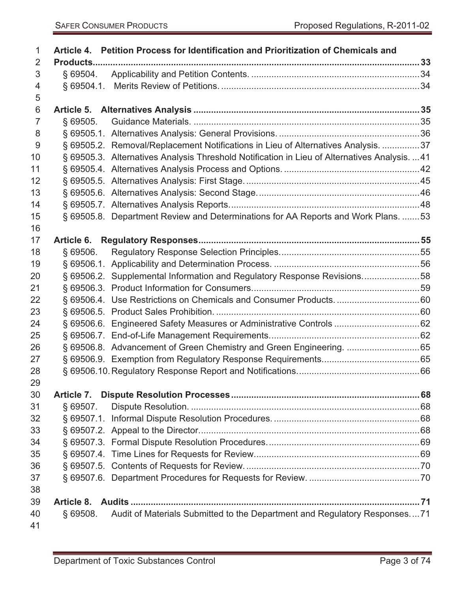| 1               |            | Article 4. Petition Process for Identification and Prioritization of Chemicals and            |  |
|-----------------|------------|-----------------------------------------------------------------------------------------------|--|
| 2               |            |                                                                                               |  |
| 3               | § 69504.   |                                                                                               |  |
| 4               |            |                                                                                               |  |
| 5               |            |                                                                                               |  |
| $6\phantom{1}6$ |            |                                                                                               |  |
| $\overline{7}$  | § 69505.   |                                                                                               |  |
| 8               |            |                                                                                               |  |
| 9               |            | § 69505.2. Removal/Replacement Notifications in Lieu of Alternatives Analysis. 37             |  |
| 10              |            | § 69505.3. Alternatives Analysis Threshold Notification in Lieu of Alternatives Analysis.  41 |  |
| 11              |            |                                                                                               |  |
| 12              |            |                                                                                               |  |
| 13              |            |                                                                                               |  |
| 14              |            |                                                                                               |  |
| 15              |            | § 69505.8. Department Review and Determinations for AA Reports and Work Plans. 53             |  |
| 16              |            |                                                                                               |  |
| 17              |            |                                                                                               |  |
| 18              | § 69506.   |                                                                                               |  |
| 19              |            |                                                                                               |  |
| 20              |            | § 69506.2. Supplemental Information and Regulatory Response Revisions58                       |  |
| 21              |            |                                                                                               |  |
| 22              |            |                                                                                               |  |
| 23              |            |                                                                                               |  |
| 24              |            |                                                                                               |  |
| 25              |            |                                                                                               |  |
| 26              |            | § 69506.8. Advancement of Green Chemistry and Green Engineering. 65                           |  |
| 27              |            |                                                                                               |  |
| 28              |            |                                                                                               |  |
| 29              |            |                                                                                               |  |
| 30              |            |                                                                                               |  |
| 31              | \$69507.   |                                                                                               |  |
| 32              |            |                                                                                               |  |
| 33              |            |                                                                                               |  |
| 34              |            |                                                                                               |  |
| 35              |            |                                                                                               |  |
| 36              |            |                                                                                               |  |
| 37              |            |                                                                                               |  |
| 38              |            |                                                                                               |  |
| 39              | Article 8. |                                                                                               |  |
| 40              | \$69508.   | Audit of Materials Submitted to the Department and Regulatory Responses71                     |  |
| 41              |            |                                                                                               |  |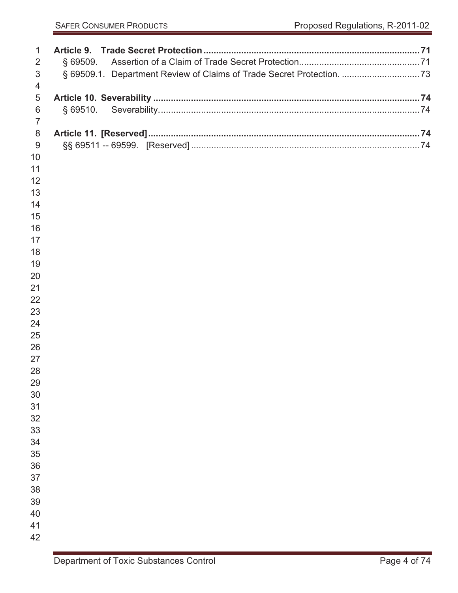| 1              |                                                                       |  |
|----------------|-----------------------------------------------------------------------|--|
| 2              | $§$ 69509.                                                            |  |
| $\sqrt{3}$     | § 69509.1. Department Review of Claims of Trade Secret Protection. 73 |  |
| 4              |                                                                       |  |
| 5              |                                                                       |  |
| 6              | $§$ 69510.                                                            |  |
| $\overline{7}$ |                                                                       |  |
| 8              |                                                                       |  |
| $9$            |                                                                       |  |
| 10             |                                                                       |  |
| 11             |                                                                       |  |
| 12             |                                                                       |  |
| 13             |                                                                       |  |
| 14             |                                                                       |  |
| 15             |                                                                       |  |
| 16             |                                                                       |  |
| 17             |                                                                       |  |
| 18<br>19       |                                                                       |  |
| 20             |                                                                       |  |
| 21             |                                                                       |  |
| 22             |                                                                       |  |
| 23             |                                                                       |  |
| 24             |                                                                       |  |
| 25             |                                                                       |  |
| 26             |                                                                       |  |
| 27             |                                                                       |  |
| 28             |                                                                       |  |
| 29             |                                                                       |  |
| 30             |                                                                       |  |
| 31             |                                                                       |  |
| 32             |                                                                       |  |
| 33             |                                                                       |  |
| 34             |                                                                       |  |
| 35             |                                                                       |  |
| 36             |                                                                       |  |
| 37<br>38       |                                                                       |  |
| 39             |                                                                       |  |
| 40             |                                                                       |  |
| 41             |                                                                       |  |
| 42             |                                                                       |  |
|                |                                                                       |  |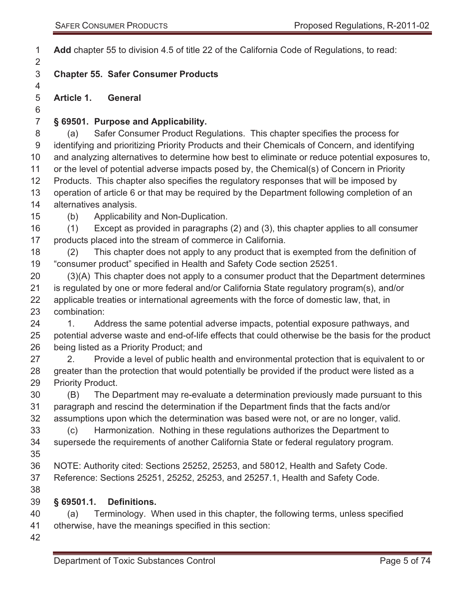**Add** chapter 55 to division 4.5 of title 22 of the California Code of Regulations, to read:

### **Chapter 55. Safer Consumer Products**

**Article 1. General** 

#### **§ 69501. Purpose and Applicability.**

 (a) Safer Consumer Product Regulations. This chapter specifies the process for identifying and prioritizing Priority Products and their Chemicals of Concern, and identifying and analyzing alternatives to determine how best to eliminate or reduce potential exposures to, or the level of potential adverse impacts posed by, the Chemical(s) of Concern in Priority Products. This chapter also specifies the regulatory responses that will be imposed by operation of article 6 or that may be required by the Department following completion of an alternatives analysis.

(b) Applicability and Non-Duplication.

 (1) Except as provided in paragraphs (2) and (3), this chapter applies to all consumer products placed into the stream of commerce in California.

 (2) This chapter does not apply to any product that is exempted from the definition of "consumer product" specified in Health and Safety Code section 25251.

 (3)(A) This chapter does not apply to a consumer product that the Department determines is regulated by one or more federal and/or California State regulatory program(s), and/or applicable treaties or international agreements with the force of domestic law, that, in combination:

24 1. Address the same potential adverse impacts, potential exposure pathways, and potential adverse waste and end-of-life effects that could otherwise be the basis for the product being listed as a Priority Product; and

27 2. Provide a level of public health and environmental protection that is equivalent to or 28 greater than the protection that would potentially be provided if the product were listed as a Priority Product.

 (B) The Department may re-evaluate a determination previously made pursuant to this paragraph and rescind the determination if the Department finds that the facts and/or assumptions upon which the determination was based were not, or are no longer, valid.

 (c) Harmonization. Nothing in these regulations authorizes the Department to supersede the requirements of another California State or federal regulatory program. 

- NOTE: Authority cited: Sections 25252, 25253, and 58012, Health and Safety Code. Reference: Sections 25251, 25252, 25253, and 25257.1, Health and Safety Code.
- 

#### **§ 69501.1. Definitions.**

 (a) Terminology. When used in this chapter, the following terms, unless specified otherwise, have the meanings specified in this section: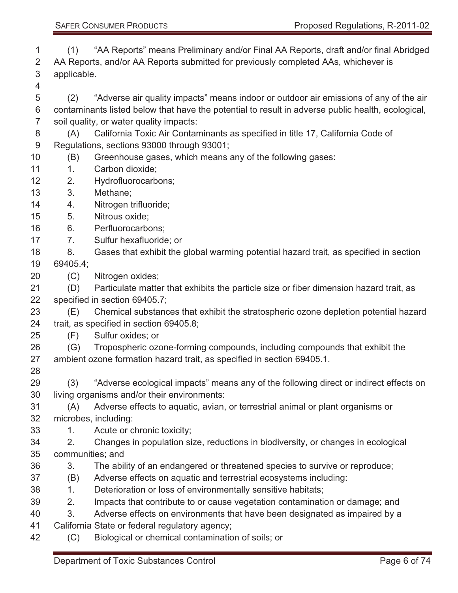(1) "AA Reports" means Preliminary and/or Final AA Reports, draft and/or final Abridged AA Reports, and/or AA Reports submitted for previously completed AAs, whichever is applicable.

 (2) "Adverse air quality impacts" means indoor or outdoor air emissions of any of the air contaminants listed below that have the potential to result in adverse public health, ecological, soil quality, or water quality impacts:

 (A) California Toxic Air Contaminants as specified in title 17, California Code of Regulations, sections 93000 through 93001;

- (B) Greenhouse gases, which means any of the following gases:
- 11 1. Carbon dioxide;
- 2. Hydrofluorocarbons;
- 3. Methane;
- 4. Nitrogen trifluoride;
- 5. Nitrous oxide;
- 6. Perfluorocarbons;
- 7. Sulfur hexafluoride; or
- 18 8. Gases that exhibit the global warming potential hazard trait, as specified in section 69405.4;
- (C) Nitrogen oxides;

 (D) Particulate matter that exhibits the particle size or fiber dimension hazard trait, as specified in section 69405.7;

 (E) Chemical substances that exhibit the stratospheric ozone depletion potential hazard trait, as specified in section 69405.8;

- (F) Sulfur oxides; or
- (G) Tropospheric ozone-forming compounds, including compounds that exhibit the ambient ozone formation hazard trait, as specified in section 69405.1.
- 

 (3) "Adverse ecological impacts" means any of the following direct or indirect effects on living organisms and/or their environments:

- (A) Adverse effects to aquatic, avian, or terrestrial animal or plant organisms or microbes, including:
- 33 1. Acute or chronic toxicity;

 2. Changes in population size, reductions in biodiversity, or changes in ecological communities; and

- 3. The ability of an endangered or threatened species to survive or reproduce;
- (B) Adverse effects on aquatic and terrestrial ecosystems including:
- 38 1. Deterioration or loss of environmentally sensitive habitats;
- 2. Impacts that contribute to or cause vegetation contamination or damage; and
- 3. Adverse effects on environments that have been designated as impaired by a
- California State or federal regulatory agency;
- (C) Biological or chemical contamination of soils; or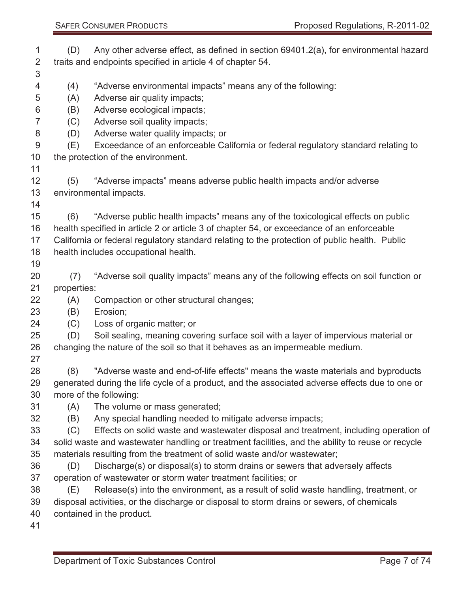|                |             | Proposed Regulations, R-2011-02<br><b>SAFER CONSUMER PRODUCTS</b>                             |
|----------------|-------------|-----------------------------------------------------------------------------------------------|
| $\mathbf 1$    | (D)         | Any other adverse effect, as defined in section 69401.2(a), for environmental hazard          |
| 2              |             | traits and endpoints specified in article 4 of chapter 54.                                    |
| 3              |             |                                                                                               |
| 4              | (4)         | "Adverse environmental impacts" means any of the following:                                   |
| 5              | (A)         | Adverse air quality impacts;                                                                  |
| 6              | (B)         | Adverse ecological impacts;                                                                   |
| $\overline{7}$ | (C)         | Adverse soil quality impacts;                                                                 |
| 8              | (D)         | Adverse water quality impacts; or                                                             |
| 9              | (E)         | Exceedance of an enforceable California or federal regulatory standard relating to            |
| 10             |             | the protection of the environment.                                                            |
| 11             |             |                                                                                               |
| 12             | (5)         | "Adverse impacts" means adverse public health impacts and/or adverse                          |
| 13             |             | environmental impacts.                                                                        |
| 14<br>15       | (6)         | "Adverse public health impacts" means any of the toxicological effects on public              |
| 16             |             | health specified in article 2 or article 3 of chapter 54, or exceedance of an enforceable     |
| 17             |             | California or federal regulatory standard relating to the protection of public health. Public |
| 18             |             | health includes occupational health.                                                          |
| 19             |             |                                                                                               |
| 20             | (7)         | "Adverse soil quality impacts" means any of the following effects on soil function or         |
| 21             | properties: |                                                                                               |
| 22             | (A)         | Compaction or other structural changes;                                                       |
| 23             | (B)         | Erosion;                                                                                      |
| 24             | (C)         | Loss of organic matter; or                                                                    |
| 25             | (D)         | Soil sealing, meaning covering surface soil with a layer of impervious material or            |
| 26             |             | changing the nature of the soil so that it behaves as an impermeable medium.                  |
| 27             |             |                                                                                               |
| 28             | (8)         | "Adverse waste and end-of-life effects" means the waste materials and byproducts              |

 (8) "Adverse waste and end-of-life effects" means the waste materials and byproducts generated during the life cycle of a product, and the associated adverse effects due to one or more of the following:

(A) The volume or mass generated;

- (B) Any special handling needed to mitigate adverse impacts;
- (C) Effects on solid waste and wastewater disposal and treatment, including operation of solid waste and wastewater handling or treatment facilities, and the ability to reuse or recycle materials resulting from the treatment of solid waste and/or wastewater;
- (D) Discharge(s) or disposal(s) to storm drains or sewers that adversely affects operation of wastewater or storm water treatment facilities; or
- (E) Release(s) into the environment, as a result of solid waste handling, treatment, or
- disposal activities, or the discharge or disposal to storm drains or sewers, of chemicals
- contained in the product.
-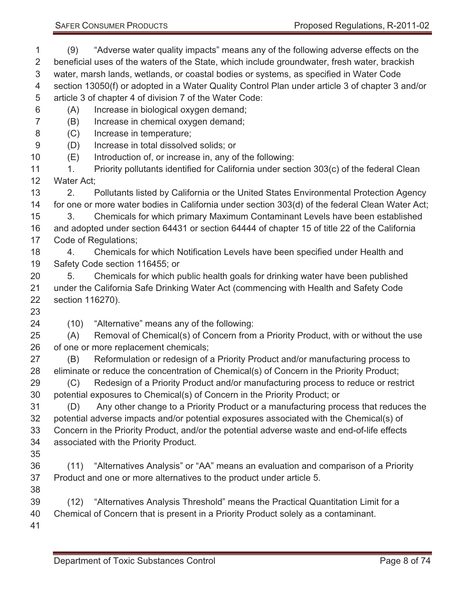(9) "Adverse water quality impacts" means any of the following adverse effects on the beneficial uses of the waters of the State, which include groundwater, fresh water, brackish water, marsh lands, wetlands, or coastal bodies or systems, as specified in Water Code section 13050(f) or adopted in a Water Quality Control Plan under article 3 of chapter 3 and/or article 3 of chapter 4 of division 7 of the Water Code: (A) Increase in biological oxygen demand; (B) Increase in chemical oxygen demand; (C) Increase in temperature; (D) Increase in total dissolved solids; or (E) Introduction of, or increase in, any of the following: 11 1. Priority pollutants identified for California under section 303(c) of the federal Clean Water Act; 2. Pollutants listed by California or the United States Environmental Protection Agency for one or more water bodies in California under section 303(d) of the federal Clean Water Act; 3. Chemicals for which primary Maximum Contaminant Levels have been established and adopted under section 64431 or section 64444 of chapter 15 of title 22 of the California Code of Regulations; 4. Chemicals for which Notification Levels have been specified under Health and Safety Code section 116455; or 5. Chemicals for which public health goals for drinking water have been published under the California Safe Drinking Water Act (commencing with Health and Safety Code section 116270). (10) "Alternative" means any of the following: (A) Removal of Chemical(s) of Concern from a Priority Product, with or without the use of one or more replacement chemicals; (B) Reformulation or redesign of a Priority Product and/or manufacturing process to eliminate or reduce the concentration of Chemical(s) of Concern in the Priority Product; (C) Redesign of a Priority Product and/or manufacturing process to reduce or restrict potential exposures to Chemical(s) of Concern in the Priority Product; or (D) Any other change to a Priority Product or a manufacturing process that reduces the potential adverse impacts and/or potential exposures associated with the Chemical(s) of Concern in the Priority Product, and/or the potential adverse waste and end-of-life effects associated with the Priority Product. (11) "Alternatives Analysis" or "AA" means an evaluation and comparison of a Priority Product and one or more alternatives to the product under article 5. (12) "Alternatives Analysis Threshold" means the Practical Quantitation Limit for a Chemical of Concern that is present in a Priority Product solely as a contaminant. 

### SAFER CONSUMER PRODUCTS **Proposed Regulations, R-2011-02**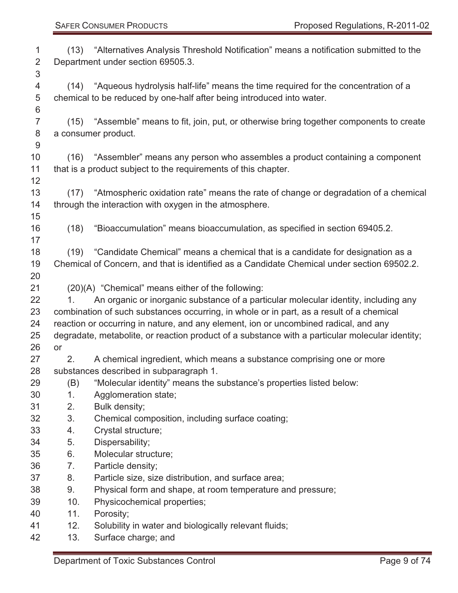| 1              |      | (13) "Alternatives Analysis Threshold Notification" means a notification submitted to the       |
|----------------|------|-------------------------------------------------------------------------------------------------|
| 2              |      | Department under section 69505.3.                                                               |
| 3              |      |                                                                                                 |
| 4              |      | (14) "Aqueous hydrolysis half-life" means the time required for the concentration of a          |
| 5              |      | chemical to be reduced by one-half after being introduced into water.                           |
| 6              |      |                                                                                                 |
| $\overline{7}$ |      | (15) "Assemble" means to fit, join, put, or otherwise bring together components to create       |
| 8              |      | a consumer product.                                                                             |
| 9              |      |                                                                                                 |
| 10             |      | (16) "Assembler" means any person who assembles a product containing a component                |
| 11             |      | that is a product subject to the requirements of this chapter.                                  |
| 12             |      |                                                                                                 |
| 13             |      | (17) "Atmospheric oxidation rate" means the rate of change or degradation of a chemical         |
| 14             |      | through the interaction with oxygen in the atmosphere.                                          |
| 15             |      |                                                                                                 |
| 16             | (18) | "Bioaccumulation" means bioaccumulation, as specified in section 69405.2.                       |
| 17             |      |                                                                                                 |
| 18             | (19) | "Candidate Chemical" means a chemical that is a candidate for designation as a                  |
| 19             |      | Chemical of Concern, and that is identified as a Candidate Chemical under section 69502.2.      |
| 20             |      |                                                                                                 |
| 21             |      | (20)(A) "Chemical" means either of the following:                                               |
| 22             | 1.   | An organic or inorganic substance of a particular molecular identity, including any             |
| 23             |      | combination of such substances occurring, in whole or in part, as a result of a chemical        |
| 24             |      | reaction or occurring in nature, and any element, ion or uncombined radical, and any            |
| 25             |      | degradate, metabolite, or reaction product of a substance with a particular molecular identity; |
| 26             | or   |                                                                                                 |
| 27             | 2.   | A chemical ingredient, which means a substance comprising one or more                           |
| 28             |      | substances described in subparagraph 1.                                                         |
| 29             | (B)  | "Molecular identity" means the substance's properties listed below:                             |
| 30             | 1.   | Agglomeration state;                                                                            |
| 31             | 2.   | Bulk density;                                                                                   |
| 32             | 3.   | Chemical composition, including surface coating;                                                |
| 33             | 4.   | Crystal structure;                                                                              |
| 34             | 5.   | Dispersability;                                                                                 |
| 35             | 6.   | Molecular structure;                                                                            |
| 36             | 7.   | Particle density;                                                                               |
| 37             | 8.   | Particle size, size distribution, and surface area;                                             |
| 38             | 9.   | Physical form and shape, at room temperature and pressure;                                      |
| 39             | 10.  | Physicochemical properties;                                                                     |
| 40             | 11.  | Porosity;                                                                                       |
| 41             | 12.  | Solubility in water and biologically relevant fluids;                                           |
| 42             | 13.  | Surface charge; and                                                                             |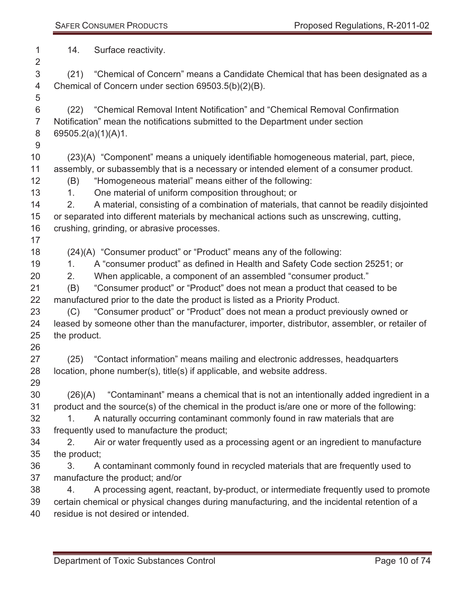| 1<br>$\overline{2}$                                            | 14.                                                  | Surface reactivity.                                                                                                                                                                                                                                                                                                                                                                                                                                                                                                                                                                                                                                                                                                                                       |
|----------------------------------------------------------------|------------------------------------------------------|-----------------------------------------------------------------------------------------------------------------------------------------------------------------------------------------------------------------------------------------------------------------------------------------------------------------------------------------------------------------------------------------------------------------------------------------------------------------------------------------------------------------------------------------------------------------------------------------------------------------------------------------------------------------------------------------------------------------------------------------------------------|
| 3<br>4<br>5                                                    |                                                      | (21) "Chemical of Concern" means a Candidate Chemical that has been designated as a<br>Chemical of Concern under section 69503.5(b)(2)(B).                                                                                                                                                                                                                                                                                                                                                                                                                                                                                                                                                                                                                |
| 6<br>$\overline{7}$<br>8<br>9                                  | 69505.2(a)(1)(A)1.                                   | (22) "Chemical Removal Intent Notification" and "Chemical Removal Confirmation<br>Notification" mean the notifications submitted to the Department under section                                                                                                                                                                                                                                                                                                                                                                                                                                                                                                                                                                                          |
| 10<br>11<br>12<br>13<br>14<br>15<br>16<br>17                   | (B)<br>1.<br>2.                                      | (23)(A) "Component" means a uniquely identifiable homogeneous material, part, piece,<br>assembly, or subassembly that is a necessary or intended element of a consumer product.<br>"Homogeneous material" means either of the following:<br>One material of uniform composition throughout; or<br>A material, consisting of a combination of materials, that cannot be readily disjointed<br>or separated into different materials by mechanical actions such as unscrewing, cutting,<br>crushing, grinding, or abrasive processes.                                                                                                                                                                                                                       |
| 18<br>19<br>20<br>21<br>22<br>23<br>24<br>25<br>26             | 1.<br>2.<br>(B)<br>(C)<br>the product.               | (24)(A) "Consumer product" or "Product" means any of the following:<br>A "consumer product" as defined in Health and Safety Code section 25251; or<br>When applicable, a component of an assembled "consumer product."<br>"Consumer product" or "Product" does not mean a product that ceased to be<br>manufactured prior to the date the product is listed as a Priority Product.<br>"Consumer product" or "Product" does not mean a product previously owned or<br>leased by someone other than the manufacturer, importer, distributor, assembler, or retailer of                                                                                                                                                                                      |
| 27<br>28<br>29                                                 |                                                      | (25) "Contact information" means mailing and electronic addresses, headquarters<br>location, phone number(s), title(s) if applicable, and website address.                                                                                                                                                                                                                                                                                                                                                                                                                                                                                                                                                                                                |
| 30<br>31<br>32<br>33<br>34<br>35<br>36<br>37<br>38<br>39<br>40 | (26)(A)<br>$1_{-}$<br>2.<br>the product;<br>3.<br>4. | "Contaminant" means a chemical that is not an intentionally added ingredient in a<br>product and the source(s) of the chemical in the product is/are one or more of the following:<br>A naturally occurring contaminant commonly found in raw materials that are<br>frequently used to manufacture the product;<br>Air or water frequently used as a processing agent or an ingredient to manufacture<br>A contaminant commonly found in recycled materials that are frequently used to<br>manufacture the product; and/or<br>A processing agent, reactant, by-product, or intermediate frequently used to promote<br>certain chemical or physical changes during manufacturing, and the incidental retention of a<br>residue is not desired or intended. |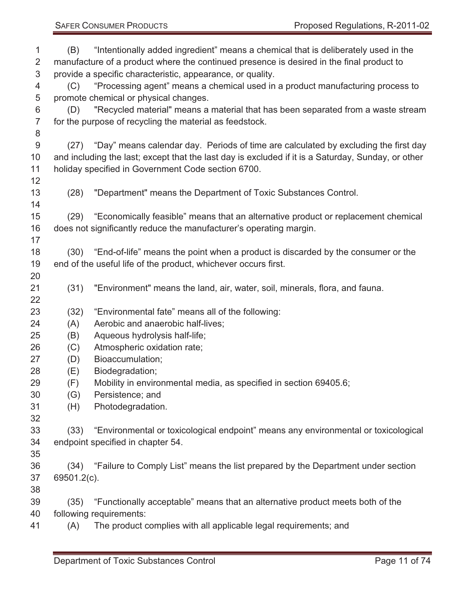| 1<br>$\overline{2}$<br>3<br>4 | (B)<br>(C)                            | "Intentionally added ingredient" means a chemical that is deliberately used in the<br>manufacture of a product where the continued presence is desired in the final product to<br>provide a specific characteristic, appearance, or quality.<br>"Processing agent" means a chemical used in a product manufacturing process to |  |  |
|-------------------------------|---------------------------------------|--------------------------------------------------------------------------------------------------------------------------------------------------------------------------------------------------------------------------------------------------------------------------------------------------------------------------------|--|--|
| 5                             | promote chemical or physical changes. |                                                                                                                                                                                                                                                                                                                                |  |  |
| 6                             | (D)                                   | "Recycled material" means a material that has been separated from a waste stream                                                                                                                                                                                                                                               |  |  |
| $\overline{7}$                |                                       | for the purpose of recycling the material as feedstock.                                                                                                                                                                                                                                                                        |  |  |
| 8                             |                                       |                                                                                                                                                                                                                                                                                                                                |  |  |
| 9                             |                                       | (27) "Day" means calendar day. Periods of time are calculated by excluding the first day                                                                                                                                                                                                                                       |  |  |
| 10                            |                                       | and including the last; except that the last day is excluded if it is a Saturday, Sunday, or other                                                                                                                                                                                                                             |  |  |
| 11                            |                                       | holiday specified in Government Code section 6700.                                                                                                                                                                                                                                                                             |  |  |
| 12                            |                                       |                                                                                                                                                                                                                                                                                                                                |  |  |
| 13                            | (28)                                  | "Department" means the Department of Toxic Substances Control.                                                                                                                                                                                                                                                                 |  |  |
| 14                            |                                       |                                                                                                                                                                                                                                                                                                                                |  |  |
| 15                            |                                       | (29) "Economically feasible" means that an alternative product or replacement chemical                                                                                                                                                                                                                                         |  |  |
| 16                            |                                       | does not significantly reduce the manufacturer's operating margin.                                                                                                                                                                                                                                                             |  |  |
| 17                            |                                       |                                                                                                                                                                                                                                                                                                                                |  |  |
| 18                            |                                       | (30) "End-of-life" means the point when a product is discarded by the consumer or the                                                                                                                                                                                                                                          |  |  |
| 19                            |                                       | end of the useful life of the product, whichever occurs first.                                                                                                                                                                                                                                                                 |  |  |
| 20                            |                                       |                                                                                                                                                                                                                                                                                                                                |  |  |
| 21                            | (31)                                  | "Environment" means the land, air, water, soil, minerals, flora, and fauna.                                                                                                                                                                                                                                                    |  |  |
| 22                            |                                       |                                                                                                                                                                                                                                                                                                                                |  |  |
| 23                            | (32)                                  | "Environmental fate" means all of the following:                                                                                                                                                                                                                                                                               |  |  |
| 24                            | (A)                                   | Aerobic and anaerobic half-lives;                                                                                                                                                                                                                                                                                              |  |  |
| 25                            | (B)                                   | Aqueous hydrolysis half-life;                                                                                                                                                                                                                                                                                                  |  |  |
| 26                            | (C)                                   | Atmospheric oxidation rate;                                                                                                                                                                                                                                                                                                    |  |  |
| 27                            | (D)                                   | Bioaccumulation;                                                                                                                                                                                                                                                                                                               |  |  |
| 28                            | (E)                                   | Biodegradation;                                                                                                                                                                                                                                                                                                                |  |  |
| 29                            | (F)                                   | Mobility in environmental media, as specified in section 69405.6;                                                                                                                                                                                                                                                              |  |  |
| 30                            | (G)                                   | Persistence; and                                                                                                                                                                                                                                                                                                               |  |  |
| 31                            | (H)                                   | Photodegradation.                                                                                                                                                                                                                                                                                                              |  |  |
| 32                            |                                       |                                                                                                                                                                                                                                                                                                                                |  |  |
| 33                            | (33)                                  | "Environmental or toxicological endpoint" means any environmental or toxicological                                                                                                                                                                                                                                             |  |  |
| 34                            |                                       | endpoint specified in chapter 54.                                                                                                                                                                                                                                                                                              |  |  |
| 35                            |                                       |                                                                                                                                                                                                                                                                                                                                |  |  |
| 36                            |                                       | (34) "Failure to Comply List" means the list prepared by the Department under section                                                                                                                                                                                                                                          |  |  |
| 37                            | 69501.2(c).                           |                                                                                                                                                                                                                                                                                                                                |  |  |
| 38                            |                                       |                                                                                                                                                                                                                                                                                                                                |  |  |
| 39                            | (35)                                  | "Functionally acceptable" means that an alternative product meets both of the                                                                                                                                                                                                                                                  |  |  |
| 40                            |                                       | following requirements:                                                                                                                                                                                                                                                                                                        |  |  |
| 41                            | (A)                                   | The product complies with all applicable legal requirements; and                                                                                                                                                                                                                                                               |  |  |
|                               |                                       |                                                                                                                                                                                                                                                                                                                                |  |  |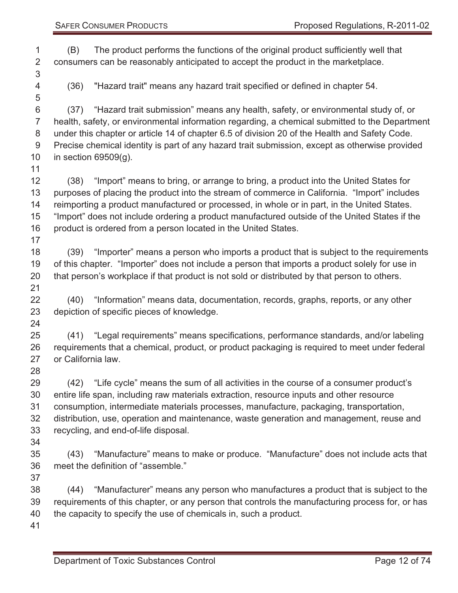(B) The product performs the functions of the original product sufficiently well that consumers can be reasonably anticipated to accept the product in the marketplace.

(36) "Hazard trait" means any hazard trait specified or defined in chapter 54.

 (37) "Hazard trait submission" means any health, safety, or environmental study of, or health, safety, or environmental information regarding, a chemical submitted to the Department under this chapter or article 14 of chapter 6.5 of division 20 of the Health and Safety Code. Precise chemical identity is part of any hazard trait submission, except as otherwise provided in section 69509(g).

 (38) "Import" means to bring, or arrange to bring, a product into the United States for purposes of placing the product into the stream of commerce in California. "Import" includes reimporting a product manufactured or processed, in whole or in part, in the United States. "Import" does not include ordering a product manufactured outside of the United States if the 16 product is ordered from a person located in the United States.

 (39) "Importer" means a person who imports a product that is subject to the requirements of this chapter. "Importer" does not include a person that imports a product solely for use in that person's workplace if that product is not sold or distributed by that person to others. 

 (40) "Information" means data, documentation, records, graphs, reports, or any other depiction of specific pieces of knowledge.

 (41) "Legal requirements" means specifications, performance standards, and/or labeling requirements that a chemical, product, or product packaging is required to meet under federal or California law.

 (42) "Life cycle" means the sum of all activities in the course of a consumer product's entire life span, including raw materials extraction, resource inputs and other resource consumption, intermediate materials processes, manufacture, packaging, transportation, distribution, use, operation and maintenance, waste generation and management, reuse and recycling, and end-of-life disposal.

 (43) "Manufacture" means to make or produce. "Manufacture" does not include acts that meet the definition of "assemble."

 (44) "Manufacturer" means any person who manufactures a product that is subject to the requirements of this chapter, or any person that controls the manufacturing process for, or has the capacity to specify the use of chemicals in, such a product.

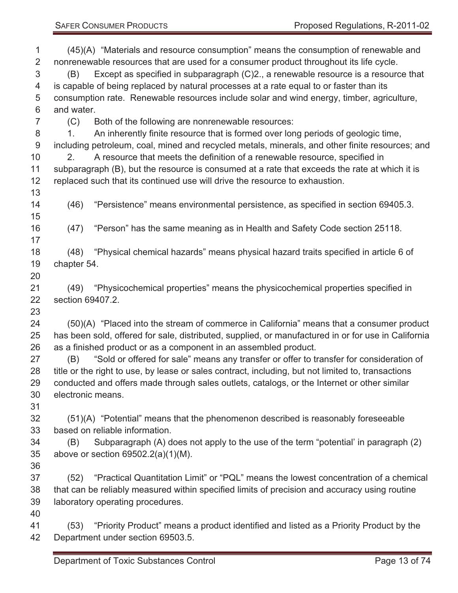| 1              |                   | (45)(A) "Materials and resource consumption" means the consumption of renewable and                 |
|----------------|-------------------|-----------------------------------------------------------------------------------------------------|
| $\overline{2}$ |                   | nonrenewable resources that are used for a consumer product throughout its life cycle.              |
| 3              | (B)               | Except as specified in subparagraph (C)2., a renewable resource is a resource that                  |
| 4              |                   | is capable of being replaced by natural processes at a rate equal to or faster than its             |
| 5              |                   | consumption rate. Renewable resources include solar and wind energy, timber, agriculture,           |
| 6              | and water.        |                                                                                                     |
| $\overline{7}$ | (C)               | Both of the following are nonrenewable resources:                                                   |
| 8              | 1.                | An inherently finite resource that is formed over long periods of geologic time,                    |
| $9\,$          |                   | including petroleum, coal, mined and recycled metals, minerals, and other finite resources; and     |
| 10             | 2.                | A resource that meets the definition of a renewable resource, specified in                          |
| 11             |                   | subparagraph (B), but the resource is consumed at a rate that exceeds the rate at which it is       |
| 12<br>13       |                   | replaced such that its continued use will drive the resource to exhaustion.                         |
| 14             | (46)              | "Persistence" means environmental persistence, as specified in section 69405.3.                     |
| 15             |                   |                                                                                                     |
| 16             | (47)              | "Person" has the same meaning as in Health and Safety Code section 25118.                           |
| 17             |                   |                                                                                                     |
| 18             | (48)              | "Physical chemical hazards" means physical hazard traits specified in article 6 of                  |
| 19             | chapter 54.       |                                                                                                     |
| 20             |                   |                                                                                                     |
| 21             | (49)              | "Physicochemical properties" means the physicochemical properties specified in                      |
| 22             | section 69407.2.  |                                                                                                     |
| 23             |                   |                                                                                                     |
| 24             |                   | (50)(A) "Placed into the stream of commerce in California" means that a consumer product            |
| 25             |                   | has been sold, offered for sale, distributed, supplied, or manufactured in or for use in California |
| 26             |                   | as a finished product or as a component in an assembled product.                                    |
| 27             | (B)               | "Sold or offered for sale" means any transfer or offer to transfer for consideration of             |
| 28             |                   | title or the right to use, by lease or sales contract, including, but not limited to, transactions  |
| 29             |                   | conducted and offers made through sales outlets, catalogs, or the Internet or other similar         |
| 30             | electronic means. |                                                                                                     |
| 31             |                   |                                                                                                     |
| 32             |                   | (51)(A) "Potential" means that the phenomenon described is reasonably foreseeable                   |
| 33             |                   | based on reliable information.                                                                      |
| 34             | (B)               | Subparagraph (A) does not apply to the use of the term "potential" in paragraph (2)                 |
| 35             |                   | above or section $69502.2(a)(1)(M)$ .                                                               |
| 36             |                   |                                                                                                     |
| 37             | (52)              | "Practical Quantitation Limit" or "PQL" means the lowest concentration of a chemical                |
| 38             |                   | that can be reliably measured within specified limits of precision and accuracy using routine       |
| 39             |                   | laboratory operating procedures.                                                                    |
| 40             |                   |                                                                                                     |
| 41             | (53)              | "Priority Product" means a product identified and listed as a Priority Product by the               |
| 42             |                   | Department under section 69503.5.                                                                   |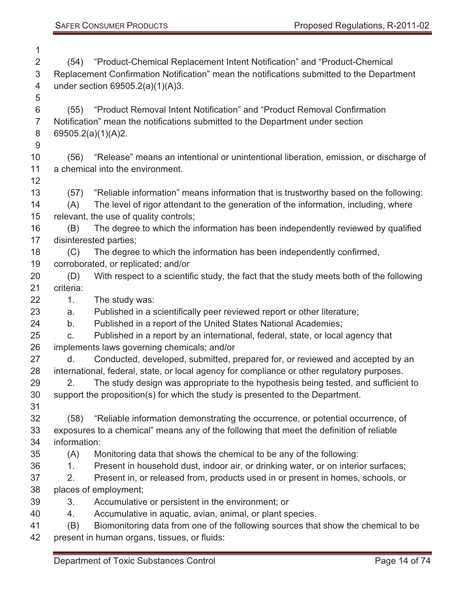| 1              |                                    |                                                                                             |  |  |
|----------------|------------------------------------|---------------------------------------------------------------------------------------------|--|--|
| $\overline{2}$ | (54)                               | "Product-Chemical Replacement Intent Notification" and "Product-Chemical                    |  |  |
| 3              |                                    | Replacement Confirmation Notification" mean the notifications submitted to the Department   |  |  |
| 4              | under section $69505.2(a)(1)(A)3.$ |                                                                                             |  |  |
| 5              |                                    |                                                                                             |  |  |
| 6              | (55)                               | "Product Removal Intent Notification" and "Product Removal Confirmation"                    |  |  |
| $\overline{7}$ |                                    | Notification" mean the notifications submitted to the Department under section              |  |  |
| 8              |                                    | 69505.2(a)(1)(A)2.                                                                          |  |  |
| $9\,$          |                                    |                                                                                             |  |  |
| 10             | (56)                               | "Release" means an intentional or unintentional liberation, emission, or discharge of       |  |  |
| 11             |                                    | a chemical into the environment.                                                            |  |  |
| 12             |                                    |                                                                                             |  |  |
| 13             | (57)                               | "Reliable information" means information that is trustworthy based on the following:        |  |  |
| 14             | (A)                                | The level of rigor attendant to the generation of the information, including, where         |  |  |
| 15             |                                    | relevant, the use of quality controls;                                                      |  |  |
| 16             | (B)                                | The degree to which the information has been independently reviewed by qualified            |  |  |
| 17             |                                    | disinterested parties;                                                                      |  |  |
| 18             | (C)                                | The degree to which the information has been independently confirmed,                       |  |  |
| 19             |                                    | corroborated, or replicated; and/or                                                         |  |  |
| 20             | (D)                                | With respect to a scientific study, the fact that the study meets both of the following     |  |  |
| 21             | criteria:                          |                                                                                             |  |  |
| 22             | 1.                                 | The study was:                                                                              |  |  |
| 23             | a.                                 | Published in a scientifically peer reviewed report or other literature;                     |  |  |
| 24             | b.                                 | Published in a report of the United States National Academies;                              |  |  |
| 25             | C.                                 | Published in a report by an international, federal, state, or local agency that             |  |  |
| 26             |                                    | implements laws governing chemicals; and/or                                                 |  |  |
| 27             | d.                                 | Conducted, developed, submitted, prepared for, or reviewed and accepted by an               |  |  |
| 28             |                                    | international, federal, state, or local agency for compliance or other regulatory purposes. |  |  |
| 29             |                                    | The study design was appropriate to the hypothesis being tested, and sufficient to          |  |  |
| 30             |                                    | support the proposition(s) for which the study is presented to the Department.              |  |  |
| 31             |                                    |                                                                                             |  |  |
| 32             | (58)                               | "Reliable information demonstrating the occurrence, or potential occurrence, of             |  |  |
| 33             |                                    | exposures to a chemical" means any of the following that meet the definition of reliable    |  |  |
| 34             | information:                       |                                                                                             |  |  |
| 35             | (A)                                | Monitoring data that shows the chemical to be any of the following:                         |  |  |
| 36             | 1.                                 | Present in household dust, indoor air, or drinking water, or on interior surfaces;          |  |  |
| 37             | 2.                                 | Present in, or released from, products used in or present in homes, schools, or             |  |  |
| 38             |                                    | places of employment;                                                                       |  |  |
| 39             | 3.                                 | Accumulative or persistent in the environment; or                                           |  |  |
| 40             | 4.                                 | Accumulative in aquatic, avian, animal, or plant species.                                   |  |  |
| 41             | (B)                                | Biomonitoring data from one of the following sources that show the chemical to be           |  |  |
| 42             |                                    | present in human organs, tissues, or fluids:                                                |  |  |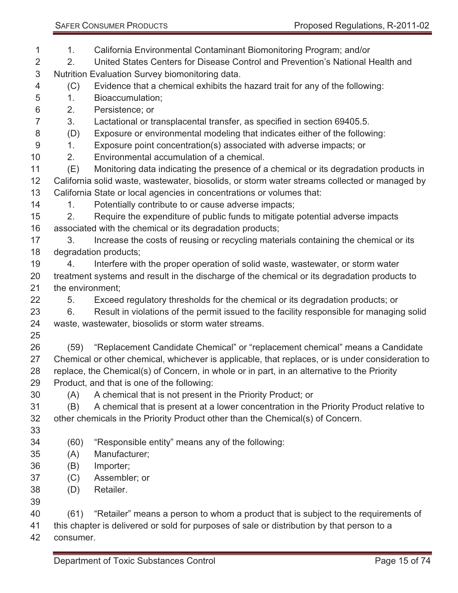1. California Environmental Contaminant Biomonitoring Program; and/or

- 2. United States Centers for Disease Control and Prevention's National Health and Nutrition Evaluation Survey biomonitoring data.
- (C) Evidence that a chemical exhibits the hazard trait for any of the following:
- 1. Bioaccumulation;
- 2. Persistence; or
- 3. Lactational or transplacental transfer, as specified in section 69405.5.
- (D) Exposure or environmental modeling that indicates either of the following:
- 1. Exposure point concentration(s) associated with adverse impacts; or
- 2. Environmental accumulation of a chemical.
- (E) Monitoring data indicating the presence of a chemical or its degradation products in California solid waste, wastewater, biosolids, or storm water streams collected or managed by California State or local agencies in concentrations or volumes that:
- 14 1. Potentially contribute to or cause adverse impacts;
- 2. Require the expenditure of public funds to mitigate potential adverse impacts associated with the chemical or its degradation products;
- 17 3. Increase the costs of reusing or recycling materials containing the chemical or its degradation products;
- 4. Interfere with the proper operation of solid waste, wastewater, or storm water treatment systems and result in the discharge of the chemical or its degradation products to the environment;
- 5. Exceed regulatory thresholds for the chemical or its degradation products; or 6. Result in violations of the permit issued to the facility responsible for managing solid
- waste, wastewater, biosolids or storm water streams.
- 

 (59) "Replacement Candidate Chemical" or "replacement chemical" means a Candidate Chemical or other chemical, whichever is applicable, that replaces, or is under consideration to replace, the Chemical(s) of Concern, in whole or in part, in an alternative to the Priority Product, and that is one of the following:

- (A) A chemical that is not present in the Priority Product; or
- (B) A chemical that is present at a lower concentration in the Priority Product relative to other chemicals in the Priority Product other than the Chemical(s) of Concern.
- (60) "Responsible entity" means any of the following:
- (A) Manufacturer;
- (B) Importer;
- (C) Assembler; or
- (D) Retailer.
- 

(61) "Retailer" means a person to whom a product that is subject to the requirements of

this chapter is delivered or sold for purposes of sale or distribution by that person to a

consumer.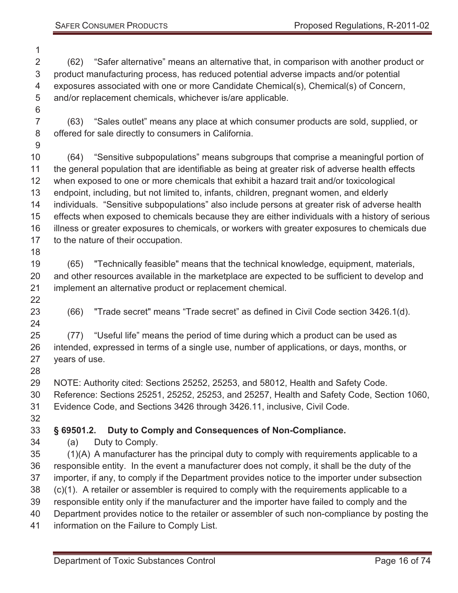(62) "Safer alternative" means an alternative that, in comparison with another product or product manufacturing process, has reduced potential adverse impacts and/or potential exposures associated with one or more Candidate Chemical(s), Chemical(s) of Concern, and/or replacement chemicals, whichever is/are applicable. (63) "Sales outlet" means any place at which consumer products are sold, supplied, or offered for sale directly to consumers in California. (64) "Sensitive subpopulations" means subgroups that comprise a meaningful portion of the general population that are identifiable as being at greater risk of adverse health effects when exposed to one or more chemicals that exhibit a hazard trait and/or toxicological endpoint, including, but not limited to, infants, children, pregnant women, and elderly individuals. "Sensitive subpopulations" also include persons at greater risk of adverse health effects when exposed to chemicals because they are either individuals with a history of serious illness or greater exposures to chemicals, or workers with greater exposures to chemicals due to the nature of their occupation. (65) "Technically feasible" means that the technical knowledge, equipment, materials, and other resources available in the marketplace are expected to be sufficient to develop and implement an alternative product or replacement chemical. (66) "Trade secret" means "Trade secret" as defined in Civil Code section 3426.1(d). (77) "Useful life" means the period of time during which a product can be used as intended, expressed in terms of a single use, number of applications, or days, months, or years of use. NOTE: Authority cited: Sections 25252, 25253, and 58012, Health and Safety Code. Reference: Sections 25251, 25252, 25253, and 25257, Health and Safety Code, Section 1060, Evidence Code, and Sections 3426 through 3426.11, inclusive, Civil Code. **§ 69501.2. Duty to Comply and Consequences of Non-Compliance.**  (a) Duty to Comply. (1)(A) A manufacturer has the principal duty to comply with requirements applicable to a responsible entity. In the event a manufacturer does not comply, it shall be the duty of the importer, if any, to comply if the Department provides notice to the importer under subsection (c)(1). A retailer or assembler is required to comply with the requirements applicable to a responsible entity only if the manufacturer and the importer have failed to comply and the Department provides notice to the retailer or assembler of such non-compliance by posting the information on the Failure to Comply List.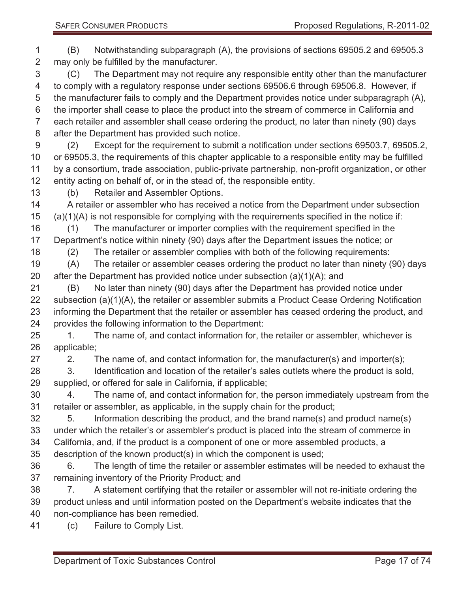(B) Notwithstanding subparagraph (A), the provisions of sections 69505.2 and 69505.3 may only be fulfilled by the manufacturer. (C) The Department may not require any responsible entity other than the manufacturer to comply with a regulatory response under sections 69506.6 through 69506.8. However, if the manufacturer fails to comply and the Department provides notice under subparagraph (A), the importer shall cease to place the product into the stream of commerce in California and each retailer and assembler shall cease ordering the product, no later than ninety (90) days after the Department has provided such notice. (2) Except for the requirement to submit a notification under sections 69503.7, 69505.2, or 69505.3, the requirements of this chapter applicable to a responsible entity may be fulfilled by a consortium, trade association, public-private partnership, non-profit organization, or other entity acting on behalf of, or in the stead of, the responsible entity. (b) Retailer and Assembler Options. A retailer or assembler who has received a notice from the Department under subsection (a)(1)(A) is not responsible for complying with the requirements specified in the notice if: (1) The manufacturer or importer complies with the requirement specified in the Department's notice within ninety (90) days after the Department issues the notice; or (2) The retailer or assembler complies with both of the following requirements: (A) The retailer or assembler ceases ordering the product no later than ninety (90) days 20 after the Department has provided notice under subsection  $(a)(1)(A)$ ; and (B) No later than ninety (90) days after the Department has provided notice under subsection (a)(1)(A), the retailer or assembler submits a Product Cease Ordering Notification informing the Department that the retailer or assembler has ceased ordering the product, and provides the following information to the Department: 25 1. The name of, and contact information for, the retailer or assembler, whichever is applicable; 27 2. The name of, and contact information for, the manufacturer(s) and importer(s); 3. Identification and location of the retailer's sales outlets where the product is sold, supplied, or offered for sale in California, if applicable; 4. The name of, and contact information for, the person immediately upstream from the retailer or assembler, as applicable, in the supply chain for the product; 5. Information describing the product, and the brand name(s) and product name(s) under which the retailer's or assembler's product is placed into the stream of commerce in California, and, if the product is a component of one or more assembled products, a description of the known product(s) in which the component is used; 6. The length of time the retailer or assembler estimates will be needed to exhaust the remaining inventory of the Priority Product; and 7. A statement certifying that the retailer or assembler will not re-initiate ordering the product unless and until information posted on the Department's website indicates that the non-compliance has been remedied. (c) Failure to Comply List.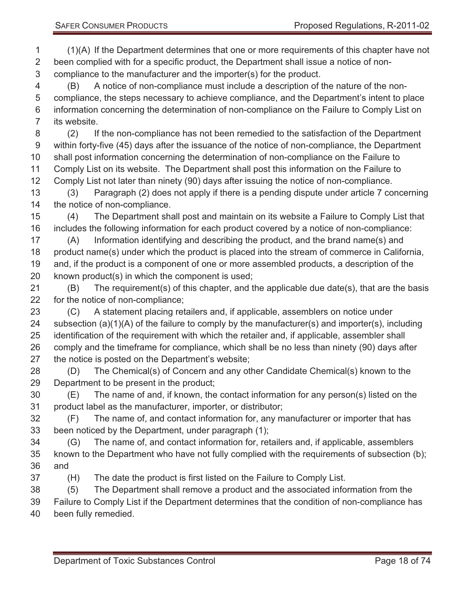(1)(A) If the Department determines that one or more requirements of this chapter have not been complied with for a specific product, the Department shall issue a notice of non- compliance to the manufacturer and the importer(s) for the product. (B) A notice of non-compliance must include a description of the nature of the non- compliance, the steps necessary to achieve compliance, and the Department's intent to place information concerning the determination of non-compliance on the Failure to Comply List on its website. (2) If the non-compliance has not been remedied to the satisfaction of the Department within forty-five (45) days after the issuance of the notice of non-compliance, the Department shall post information concerning the determination of non-compliance on the Failure to Comply List on its website. The Department shall post this information on the Failure to Comply List not later than ninety (90) days after issuing the notice of non-compliance. (3) Paragraph (2) does not apply if there is a pending dispute under article 7 concerning the notice of non-compliance. (4) The Department shall post and maintain on its website a Failure to Comply List that includes the following information for each product covered by a notice of non-compliance: (A) Information identifying and describing the product, and the brand name(s) and product name(s) under which the product is placed into the stream of commerce in California, and, if the product is a component of one or more assembled products, a description of the known product(s) in which the component is used; (B) The requirement(s) of this chapter, and the applicable due date(s), that are the basis for the notice of non-compliance; (C) A statement placing retailers and, if applicable, assemblers on notice under subsection (a)(1)(A) of the failure to comply by the manufacturer(s) and importer(s), including identification of the requirement with which the retailer and, if applicable, assembler shall comply and the timeframe for compliance, which shall be no less than ninety (90) days after the notice is posted on the Department's website; (D) The Chemical(s) of Concern and any other Candidate Chemical(s) known to the Department to be present in the product; (E) The name of and, if known, the contact information for any person(s) listed on the product label as the manufacturer, importer, or distributor; (F) The name of, and contact information for, any manufacturer or importer that has been noticed by the Department, under paragraph (1); (G) The name of, and contact information for, retailers and, if applicable, assemblers known to the Department who have not fully complied with the requirements of subsection (b); and (H) The date the product is first listed on the Failure to Comply List. (5) The Department shall remove a product and the associated information from the Failure to Comply List if the Department determines that the condition of non-compliance has been fully remedied.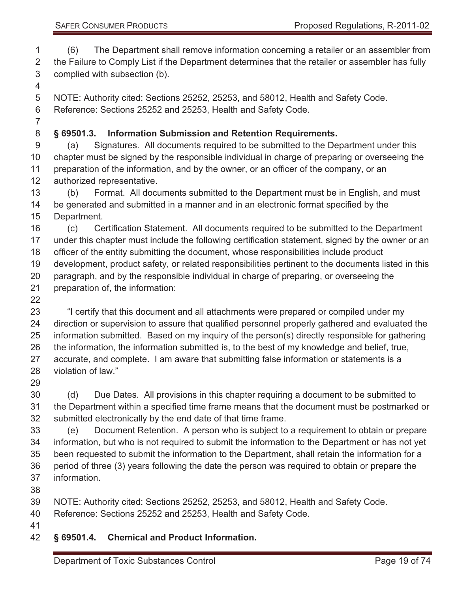(6) The Department shall remove information concerning a retailer or an assembler from 2 the Failure to Comply List if the Department determines that the retailer or assembler has fully complied with subsection (b).

 NOTE: Authority cited: Sections 25252, 25253, and 58012, Health and Safety Code. Reference: Sections 25252 and 25253, Health and Safety Code.

#### **§ 69501.3. Information Submission and Retention Requirements.**

 (a) Signatures. All documents required to be submitted to the Department under this chapter must be signed by the responsible individual in charge of preparing or overseeing the preparation of the information, and by the owner, or an officer of the company, or an authorized representative.

 (b) Format. All documents submitted to the Department must be in English, and must be generated and submitted in a manner and in an electronic format specified by the Department.

 (c) Certification Statement. All documents required to be submitted to the Department under this chapter must include the following certification statement, signed by the owner or an officer of the entity submitting the document, whose responsibilities include product development, product safety, or related responsibilities pertinent to the documents listed in this paragraph, and by the responsible individual in charge of preparing, or overseeing the preparation of, the information:

 "I certify that this document and all attachments were prepared or compiled under my direction or supervision to assure that qualified personnel properly gathered and evaluated the information submitted. Based on my inquiry of the person(s) directly responsible for gathering the information, the information submitted is, to the best of my knowledge and belief, true, accurate, and complete. I am aware that submitting false information or statements is a violation of law."

 (d) Due Dates. All provisions in this chapter requiring a document to be submitted to the Department within a specified time frame means that the document must be postmarked or submitted electronically by the end date of that time frame.

 (e) Document Retention. A person who is subject to a requirement to obtain or prepare information, but who is not required to submit the information to the Department or has not yet been requested to submit the information to the Department, shall retain the information for a period of three (3) years following the date the person was required to obtain or prepare the information.

NOTE: Authority cited: Sections 25252, 25253, and 58012, Health and Safety Code.

Reference: Sections 25252 and 25253, Health and Safety Code.

- 
- **§ 69501.4. Chemical and Product Information.**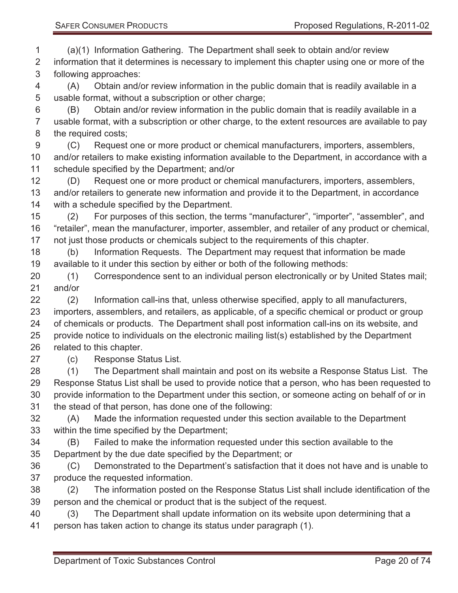(a)(1) Information Gathering. The Department shall seek to obtain and/or review information that it determines is necessary to implement this chapter using one or more of the following approaches:

 (A) Obtain and/or review information in the public domain that is readily available in a usable format, without a subscription or other charge;

 (B) Obtain and/or review information in the public domain that is readily available in a usable format, with a subscription or other charge, to the extent resources are available to pay the required costs;

 (C) Request one or more product or chemical manufacturers, importers, assemblers, and/or retailers to make existing information available to the Department, in accordance with a schedule specified by the Department; and/or

 (D) Request one or more product or chemical manufacturers, importers, assemblers, and/or retailers to generate new information and provide it to the Department, in accordance with a schedule specified by the Department.

 (2) For purposes of this section, the terms "manufacturer", "importer", "assembler", and "retailer", mean the manufacturer, importer, assembler, and retailer of any product or chemical, not just those products or chemicals subject to the requirements of this chapter.

 (b) Information Requests. The Department may request that information be made available to it under this section by either or both of the following methods:

 (1) Correspondence sent to an individual person electronically or by United States mail; and/or

 (2) Information call-ins that, unless otherwise specified, apply to all manufacturers, importers, assemblers, and retailers, as applicable, of a specific chemical or product or group of chemicals or products. The Department shall post information call-ins on its website, and provide notice to individuals on the electronic mailing list(s) established by the Department related to this chapter.

(c) Response Status List.

 (1) The Department shall maintain and post on its website a Response Status List. The Response Status List shall be used to provide notice that a person, who has been requested to provide information to the Department under this section, or someone acting on behalf of or in the stead of that person, has done one of the following:

 (A) Made the information requested under this section available to the Department within the time specified by the Department;

 (B) Failed to make the information requested under this section available to the Department by the due date specified by the Department; or

 (C) Demonstrated to the Department's satisfaction that it does not have and is unable to produce the requested information.

 (2) The information posted on the Response Status List shall include identification of the person and the chemical or product that is the subject of the request.

 (3) The Department shall update information on its website upon determining that a person has taken action to change its status under paragraph (1).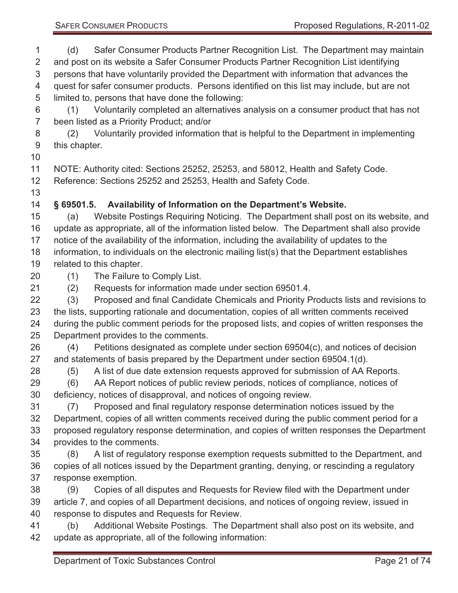(d) Safer Consumer Products Partner Recognition List. The Department may maintain and post on its website a Safer Consumer Products Partner Recognition List identifying persons that have voluntarily provided the Department with information that advances the quest for safer consumer products. Persons identified on this list may include, but are not limited to, persons that have done the following:

 (1) Voluntarily completed an alternatives analysis on a consumer product that has not been listed as a Priority Product; and/or

 (2) Voluntarily provided information that is helpful to the Department in implementing this chapter.

NOTE: Authority cited: Sections 25252, 25253, and 58012, Health and Safety Code.

Reference: Sections 25252 and 25253, Health and Safety Code.

## **§ 69501.5. Availability of Information on the Department's Website.**

 (a) Website Postings Requiring Noticing. The Department shall post on its website, and update as appropriate, all of the information listed below. The Department shall also provide notice of the availability of the information, including the availability of updates to the information, to individuals on the electronic mailing list(s) that the Department establishes related to this chapter.

(1) The Failure to Comply List.

(2) Requests for information made under section 69501.4.

 (3) Proposed and final Candidate Chemicals and Priority Products lists and revisions to the lists, supporting rationale and documentation, copies of all written comments received during the public comment periods for the proposed lists, and copies of written responses the Department provides to the comments.

 (4) Petitions designated as complete under section 69504(c), and notices of decision and statements of basis prepared by the Department under section 69504.1(d).

(5) A list of due date extension requests approved for submission of AA Reports.

 (6) AA Report notices of public review periods, notices of compliance, notices of deficiency, notices of disapproval, and notices of ongoing review.

 (7) Proposed and final regulatory response determination notices issued by the Department, copies of all written comments received during the public comment period for a proposed regulatory response determination, and copies of written responses the Department provides to the comments.

 (8) A list of regulatory response exemption requests submitted to the Department, and copies of all notices issued by the Department granting, denying, or rescinding a regulatory response exemption.

 (9) Copies of all disputes and Requests for Review filed with the Department under article 7, and copies of all Department decisions, and notices of ongoing review, issued in response to disputes and Requests for Review.

 (b) Additional Website Postings. The Department shall also post on its website, and update as appropriate, all of the following information: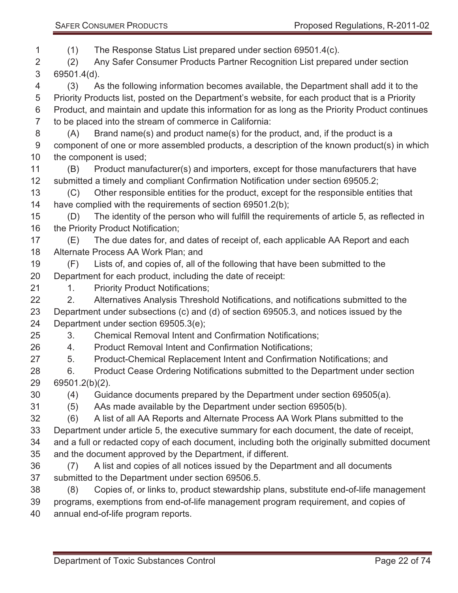(1) The Response Status List prepared under section 69501.4(c). (2) Any Safer Consumer Products Partner Recognition List prepared under section 69501.4(d). (3) As the following information becomes available, the Department shall add it to the

 Priority Products list, posted on the Department's website, for each product that is a Priority Product, and maintain and update this information for as long as the Priority Product continues to be placed into the stream of commerce in California:

- (A) Brand name(s) and product name(s) for the product, and, if the product is a component of one or more assembled products, a description of the known product(s) in which the component is used;
- (B) Product manufacturer(s) and importers, except for those manufacturers that have submitted a timely and compliant Confirmation Notification under section 69505.2;

 (C) Other responsible entities for the product, except for the responsible entities that have complied with the requirements of section 69501.2(b);

 (D) The identity of the person who will fulfill the requirements of article 5, as reflected in 16 the Priority Product Notification;

- (E) The due dates for, and dates of receipt of, each applicable AA Report and each Alternate Process AA Work Plan; and
- (F) Lists of, and copies of, all of the following that have been submitted to the Department for each product, including the date of receipt:
- 21 1. Priority Product Notifications;

22 2. Alternatives Analysis Threshold Notifications, and notifications submitted to the Department under subsections (c) and (d) of section 69505.3, and notices issued by the Department under section 69505.3(e);

- 3. Chemical Removal Intent and Confirmation Notifications;
- 4. Product Removal Intent and Confirmation Notifications;
- 5. Product-Chemical Replacement Intent and Confirmation Notifications; and
- 6. Product Cease Ordering Notifications submitted to the Department under section 69501.2(b)(2).
- (4) Guidance documents prepared by the Department under section 69505(a).
- (5) AAs made available by the Department under section 69505(b).
- (6) A list of all AA Reports and Alternate Process AA Work Plans submitted to the

 Department under article 5, the executive summary for each document, the date of receipt, and a full or redacted copy of each document, including both the originally submitted document and the document approved by the Department, if different.

- (7) A list and copies of all notices issued by the Department and all documents submitted to the Department under section 69506.5.
- (8) Copies of, or links to, product stewardship plans, substitute end-of-life management
- programs, exemptions from end-of-life management program requirement, and copies of
- annual end-of-life program reports.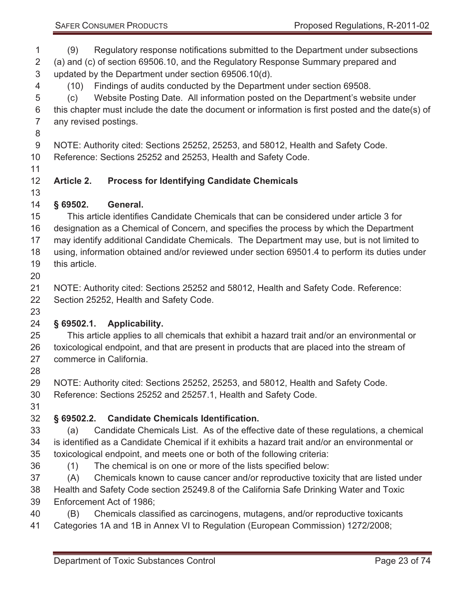(9) Regulatory response notifications submitted to the Department under subsections (a) and (c) of section 69506.10, and the Regulatory Response Summary prepared and updated by the Department under section 69506.10(d).

(10) Findings of audits conducted by the Department under section 69508.

 (c) Website Posting Date. All information posted on the Department's website under this chapter must include the date the document or information is first posted and the date(s) of any revised postings.

NOTE: Authority cited: Sections 25252, 25253, and 58012, Health and Safety Code.

Reference: Sections 25252 and 25253, Health and Safety Code.

## **Article 2. Process for Identifying Candidate Chemicals**

**§ 69502. General.** 

 This article identifies Candidate Chemicals that can be considered under article 3 for designation as a Chemical of Concern, and specifies the process by which the Department may identify additional Candidate Chemicals. The Department may use, but is not limited to using, information obtained and/or reviewed under section 69501.4 to perform its duties under this article.

 NOTE: Authority cited: Sections 25252 and 58012, Health and Safety Code. Reference: Section 25252, Health and Safety Code.

### **§ 69502.1. Applicability.**

 This article applies to all chemicals that exhibit a hazard trait and/or an environmental or toxicological endpoint, and that are present in products that are placed into the stream of commerce in California.

NOTE: Authority cited: Sections 25252, 25253, and 58012, Health and Safety Code.

Reference: Sections 25252 and 25257.1, Health and Safety Code.

# **§ 69502.2. Candidate Chemicals Identification.**

 (a) Candidate Chemicals List. As of the effective date of these regulations, a chemical is identified as a Candidate Chemical if it exhibits a hazard trait and/or an environmental or toxicological endpoint, and meets one or both of the following criteria:

(1) The chemical is on one or more of the lists specified below:

 (A) Chemicals known to cause cancer and/or reproductive toxicity that are listed under Health and Safety Code section 25249.8 of the California Safe Drinking Water and Toxic

Enforcement Act of 1986;

(B) Chemicals classified as carcinogens, mutagens, and/or reproductive toxicants

Categories 1A and 1B in Annex VI to Regulation (European Commission) 1272/2008;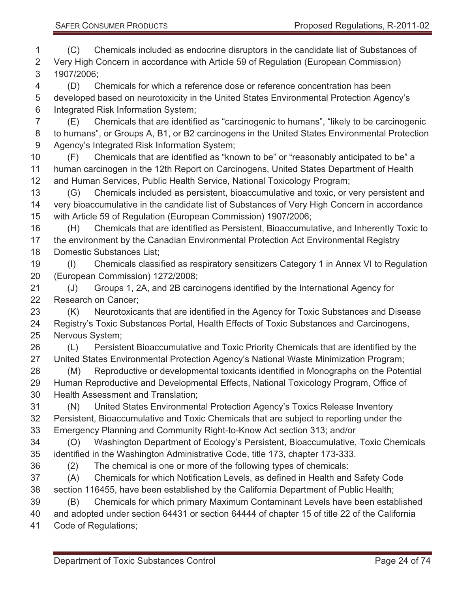(C) Chemicals included as endocrine disruptors in the candidate list of Substances of Very High Concern in accordance with Article 59 of Regulation (European Commission) 1907/2006;

 (D) Chemicals for which a reference dose or reference concentration has been developed based on neurotoxicity in the United States Environmental Protection Agency's Integrated Risk Information System;

 (E) Chemicals that are identified as "carcinogenic to humans", "likely to be carcinogenic to humans", or Groups A, B1, or B2 carcinogens in the United States Environmental Protection Agency's Integrated Risk Information System;

 (F) Chemicals that are identified as "known to be" or "reasonably anticipated to be" a human carcinogen in the 12th Report on Carcinogens, United States Department of Health and Human Services, Public Health Service, National Toxicology Program;

 (G) Chemicals included as persistent, bioaccumulative and toxic, or very persistent and very bioaccumulative in the candidate list of Substances of Very High Concern in accordance with Article 59 of Regulation (European Commission) 1907/2006;

 (H) Chemicals that are identified as Persistent, Bioaccumulative, and Inherently Toxic to the environment by the Canadian Environmental Protection Act Environmental Registry Domestic Substances List;

 (I) Chemicals classified as respiratory sensitizers Category 1 in Annex VI to Regulation (European Commission) 1272/2008;

 (J) Groups 1, 2A, and 2B carcinogens identified by the International Agency for Research on Cancer;

 (K) Neurotoxicants that are identified in the Agency for Toxic Substances and Disease Registry's Toxic Substances Portal, Health Effects of Toxic Substances and Carcinogens, Nervous System;

 (L) Persistent Bioaccumulative and Toxic Priority Chemicals that are identified by the United States Environmental Protection Agency's National Waste Minimization Program; (M) Reproductive or developmental toxicants identified in Monographs on the Potential

 Human Reproductive and Developmental Effects, National Toxicology Program, Office of Health Assessment and Translation;

 (N) United States Environmental Protection Agency's Toxics Release Inventory Persistent, Bioaccumulative and Toxic Chemicals that are subject to reporting under the

Emergency Planning and Community Right-to-Know Act section 313; and/or

 (O) Washington Department of Ecology's Persistent, Bioaccumulative, Toxic Chemicals identified in the Washington Administrative Code, title 173, chapter 173-333.

- (2) The chemical is one or more of the following types of chemicals:
- (A) Chemicals for which Notification Levels, as defined in Health and Safety Code section 116455, have been established by the California Department of Public Health;
- (B) Chemicals for which primary Maximum Contaminant Levels have been established

 and adopted under section 64431 or section 64444 of chapter 15 of title 22 of the California Code of Regulations;

Department of Toxic Substances Control **Page 24 of 74** Page 24 of 74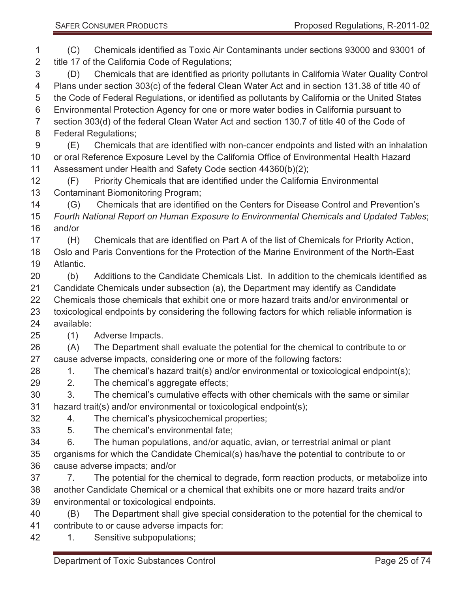(C) Chemicals identified as Toxic Air Contaminants under sections 93000 and 93001 of title 17 of the California Code of Regulations; (D) Chemicals that are identified as priority pollutants in California Water Quality Control Plans under section 303(c) of the federal Clean Water Act and in section 131.38 of title 40 of the Code of Federal Regulations, or identified as pollutants by California or the United States Environmental Protection Agency for one or more water bodies in California pursuant to section 303(d) of the federal Clean Water Act and section 130.7 of title 40 of the Code of Federal Regulations; (E) Chemicals that are identified with non-cancer endpoints and listed with an inhalation or oral Reference Exposure Level by the California Office of Environmental Health Hazard Assessment under Health and Safety Code section 44360(b)(2); (F) Priority Chemicals that are identified under the California Environmental Contaminant Biomonitoring Program; (G) Chemicals that are identified on the Centers for Disease Control and Prevention's *Fourth National Report on Human Exposure to Environmental Chemicals and Updated Tables*; and/or (H) Chemicals that are identified on Part A of the list of Chemicals for Priority Action, Oslo and Paris Conventions for the Protection of the Marine Environment of the North-East Atlantic. (b) Additions to the Candidate Chemicals List. In addition to the chemicals identified as Candidate Chemicals under subsection (a), the Department may identify as Candidate Chemicals those chemicals that exhibit one or more hazard traits and/or environmental or toxicological endpoints by considering the following factors for which reliable information is available: (1) Adverse Impacts. (A) The Department shall evaluate the potential for the chemical to contribute to or cause adverse impacts, considering one or more of the following factors: 28 1. The chemical's hazard trait(s) and/or environmental or toxicological endpoint(s); 2. The chemical's aggregate effects; 3. The chemical's cumulative effects with other chemicals with the same or similar hazard trait(s) and/or environmental or toxicological endpoint(s); 4. The chemical's physicochemical properties; 5. The chemical's environmental fate; 6. The human populations, and/or aquatic, avian, or terrestrial animal or plant organisms for which the Candidate Chemical(s) has/have the potential to contribute to or cause adverse impacts; and/or 7. The potential for the chemical to degrade, form reaction products, or metabolize into another Candidate Chemical or a chemical that exhibits one or more hazard traits and/or environmental or toxicological endpoints. (B) The Department shall give special consideration to the potential for the chemical to contribute to or cause adverse impacts for: 1. Sensitive subpopulations;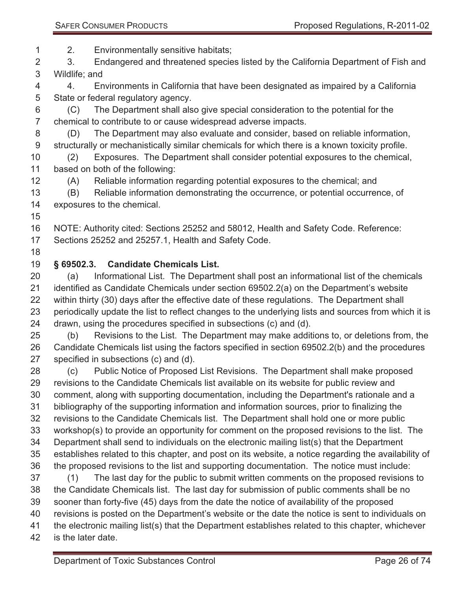2. Environmentally sensitive habitats;

 3. Endangered and threatened species listed by the California Department of Fish and Wildlife; and

 4. Environments in California that have been designated as impaired by a California State or federal regulatory agency.

 (C) The Department shall also give special consideration to the potential for the chemical to contribute to or cause widespread adverse impacts.

 (D) The Department may also evaluate and consider, based on reliable information, structurally or mechanistically similar chemicals for which there is a known toxicity profile.

 (2) Exposures. The Department shall consider potential exposures to the chemical, based on both of the following:

(A) Reliable information regarding potential exposures to the chemical; and

 (B) Reliable information demonstrating the occurrence, or potential occurrence, of exposures to the chemical.

NOTE: Authority cited: Sections 25252 and 58012, Health and Safety Code. Reference:

Sections 25252 and 25257.1, Health and Safety Code.

## **§ 69502.3. Candidate Chemicals List.**

 (a) Informational List. The Department shall post an informational list of the chemicals identified as Candidate Chemicals under section 69502.2(a) on the Department's website within thirty (30) days after the effective date of these regulations. The Department shall periodically update the list to reflect changes to the underlying lists and sources from which it is drawn, using the procedures specified in subsections (c) and (d).

 (b) Revisions to the List. The Department may make additions to, or deletions from, the Candidate Chemicals list using the factors specified in section 69502.2(b) and the procedures specified in subsections (c) and (d).

 (c) Public Notice of Proposed List Revisions. The Department shall make proposed revisions to the Candidate Chemicals list available on its website for public review and comment, along with supporting documentation, including the Department's rationale and a bibliography of the supporting information and information sources, prior to finalizing the revisions to the Candidate Chemicals list. The Department shall hold one or more public workshop(s) to provide an opportunity for comment on the proposed revisions to the list. The Department shall send to individuals on the electronic mailing list(s) that the Department establishes related to this chapter, and post on its website, a notice regarding the availability of the proposed revisions to the list and supporting documentation. The notice must include: (1) The last day for the public to submit written comments on the proposed revisions to the Candidate Chemicals list. The last day for submission of public comments shall be no sooner than forty-five (45) days from the date the notice of availability of the proposed revisions is posted on the Department's website or the date the notice is sent to individuals on the electronic mailing list(s) that the Department establishes related to this chapter, whichever

is the later date.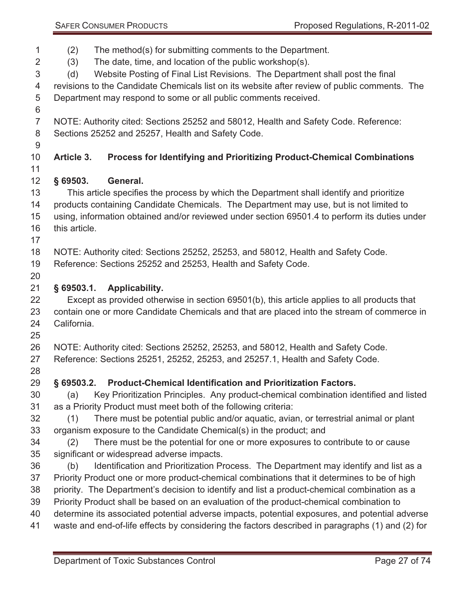SAFER CONSUMER PRODUCTS **PRODUCTS** Proposed Regulations, R-2011-02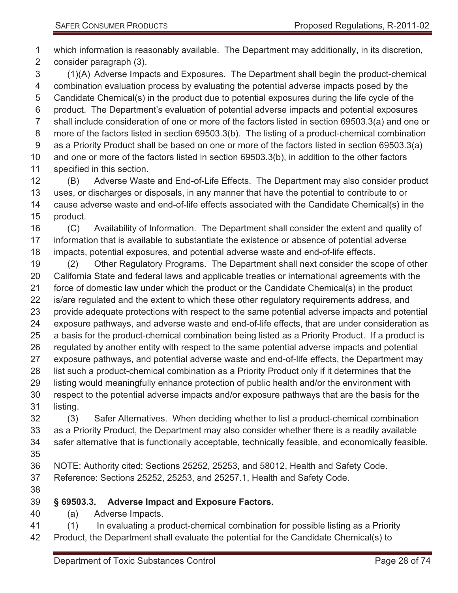which information is reasonably available. The Department may additionally, in its discretion, consider paragraph (3).

 (1)(A) Adverse Impacts and Exposures. The Department shall begin the product-chemical combination evaluation process by evaluating the potential adverse impacts posed by the Candidate Chemical(s) in the product due to potential exposures during the life cycle of the product. The Department's evaluation of potential adverse impacts and potential exposures shall include consideration of one or more of the factors listed in section 69503.3(a) and one or more of the factors listed in section 69503.3(b). The listing of a product-chemical combination as a Priority Product shall be based on one or more of the factors listed in section 69503.3(a) and one or more of the factors listed in section 69503.3(b), in addition to the other factors specified in this section.

 (B) Adverse Waste and End-of-Life Effects. The Department may also consider product uses, or discharges or disposals, in any manner that have the potential to contribute to or cause adverse waste and end-of-life effects associated with the Candidate Chemical(s) in the product.

 (C) Availability of Information. The Department shall consider the extent and quality of information that is available to substantiate the existence or absence of potential adverse impacts, potential exposures, and potential adverse waste and end-of-life effects.

 (2) Other Regulatory Programs. The Department shall next consider the scope of other California State and federal laws and applicable treaties or international agreements with the force of domestic law under which the product or the Candidate Chemical(s) in the product is/are regulated and the extent to which these other regulatory requirements address, and provide adequate protections with respect to the same potential adverse impacts and potential exposure pathways, and adverse waste and end-of-life effects, that are under consideration as a basis for the product-chemical combination being listed as a Priority Product. If a product is regulated by another entity with respect to the same potential adverse impacts and potential exposure pathways, and potential adverse waste and end-of-life effects, the Department may list such a product-chemical combination as a Priority Product only if it determines that the listing would meaningfully enhance protection of public health and/or the environment with respect to the potential adverse impacts and/or exposure pathways that are the basis for the listing.

 (3) Safer Alternatives. When deciding whether to list a product-chemical combination as a Priority Product, the Department may also consider whether there is a readily available safer alternative that is functionally acceptable, technically feasible, and economically feasible. 

- NOTE: Authority cited: Sections 25252, 25253, and 58012, Health and Safety Code. Reference: Sections 25252, 25253, and 25257.1, Health and Safety Code.
- 

### **§ 69503.3. Adverse Impact and Exposure Factors.**

- (a) Adverse Impacts.
- (1) In evaluating a product-chemical combination for possible listing as a Priority Product, the Department shall evaluate the potential for the Candidate Chemical(s) to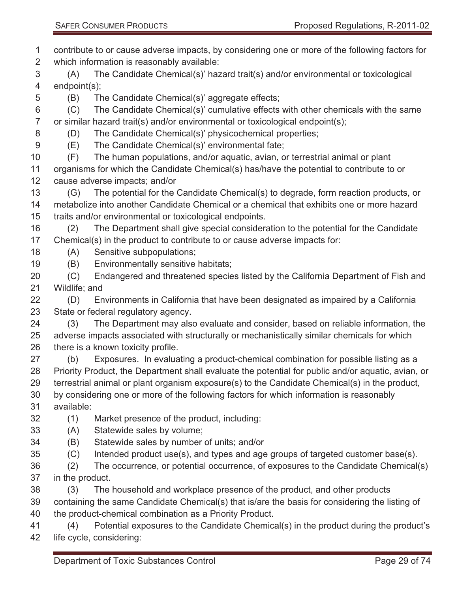contribute to or cause adverse impacts, by considering one or more of the following factors for which information is reasonably available:

 (A) The Candidate Chemical(s)' hazard trait(s) and/or environmental or toxicological endpoint(s);

(B) The Candidate Chemical(s)' aggregate effects;

 (C) The Candidate Chemical(s)' cumulative effects with other chemicals with the same or similar hazard trait(s) and/or environmental or toxicological endpoint(s);

- (D) The Candidate Chemical(s)' physicochemical properties;
- (E) The Candidate Chemical(s)' environmental fate;
- (F) The human populations, and/or aquatic, avian, or terrestrial animal or plant

 organisms for which the Candidate Chemical(s) has/have the potential to contribute to or cause adverse impacts; and/or

 (G) The potential for the Candidate Chemical(s) to degrade, form reaction products, or metabolize into another Candidate Chemical or a chemical that exhibits one or more hazard traits and/or environmental or toxicological endpoints.

 (2) The Department shall give special consideration to the potential for the Candidate Chemical(s) in the product to contribute to or cause adverse impacts for:

- (A) Sensitive subpopulations;
- (B) Environmentally sensitive habitats;

 (C) Endangered and threatened species listed by the California Department of Fish and Wildlife; and

 (D) Environments in California that have been designated as impaired by a California State or federal regulatory agency.

 (3) The Department may also evaluate and consider, based on reliable information, the adverse impacts associated with structurally or mechanistically similar chemicals for which 26 there is a known toxicity profile.

- (b) Exposures. In evaluating a product-chemical combination for possible listing as a Priority Product, the Department shall evaluate the potential for public and/or aquatic, avian, or terrestrial animal or plant organism exposure(s) to the Candidate Chemical(s) in the product, by considering one or more of the following factors for which information is reasonably available:
- (1) Market presence of the product, including:
- (A) Statewide sales by volume;
- (B) Statewide sales by number of units; and/or
- (C) Intended product use(s), and types and age groups of targeted customer base(s).
- (2) The occurrence, or potential occurrence, of exposures to the Candidate Chemical(s) in the product.
- (3) The household and workplace presence of the product, and other products

containing the same Candidate Chemical(s) that is/are the basis for considering the listing of

the product-chemical combination as a Priority Product.

 (4) Potential exposures to the Candidate Chemical(s) in the product during the product's life cycle, considering: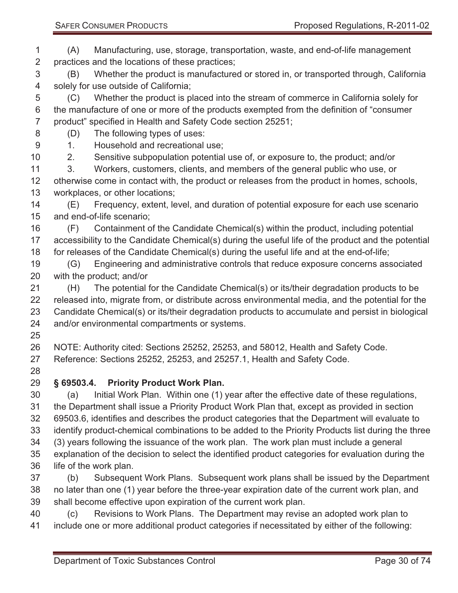(A) Manufacturing, use, storage, transportation, waste, and end-of-life management practices and the locations of these practices;

 (B) Whether the product is manufactured or stored in, or transported through, California solely for use outside of California;

 (C) Whether the product is placed into the stream of commerce in California solely for the manufacture of one or more of the products exempted from the definition of "consumer product" specified in Health and Safety Code section 25251;

(D) The following types of uses:

1. Household and recreational use;

2. Sensitive subpopulation potential use of, or exposure to, the product; and/or

 3. Workers, customers, clients, and members of the general public who use, or otherwise come in contact with, the product or releases from the product in homes, schools, workplaces, or other locations;

 (E) Frequency, extent, level, and duration of potential exposure for each use scenario and end-of-life scenario;

 (F) Containment of the Candidate Chemical(s) within the product, including potential accessibility to the Candidate Chemical(s) during the useful life of the product and the potential for releases of the Candidate Chemical(s) during the useful life and at the end-of-life;

 (G) Engineering and administrative controls that reduce exposure concerns associated with the product; and/or

 (H) The potential for the Candidate Chemical(s) or its/their degradation products to be released into, migrate from, or distribute across environmental media, and the potential for the Candidate Chemical(s) or its/their degradation products to accumulate and persist in biological and/or environmental compartments or systems.

 NOTE: Authority cited: Sections 25252, 25253, and 58012, Health and Safety Code. Reference: Sections 25252, 25253, and 25257.1, Health and Safety Code.

## **§ 69503.4. Priority Product Work Plan.**

 (a) Initial Work Plan. Within one (1) year after the effective date of these regulations, the Department shall issue a Priority Product Work Plan that, except as provided in section 69503.6, identifies and describes the product categories that the Department will evaluate to identify product-chemical combinations to be added to the Priority Products list during the three (3) years following the issuance of the work plan. The work plan must include a general explanation of the decision to select the identified product categories for evaluation during the life of the work plan.

 (b) Subsequent Work Plans. Subsequent work plans shall be issued by the Department no later than one (1) year before the three-year expiration date of the current work plan, and shall become effective upon expiration of the current work plan.

 (c) Revisions to Work Plans. The Department may revise an adopted work plan to include one or more additional product categories if necessitated by either of the following: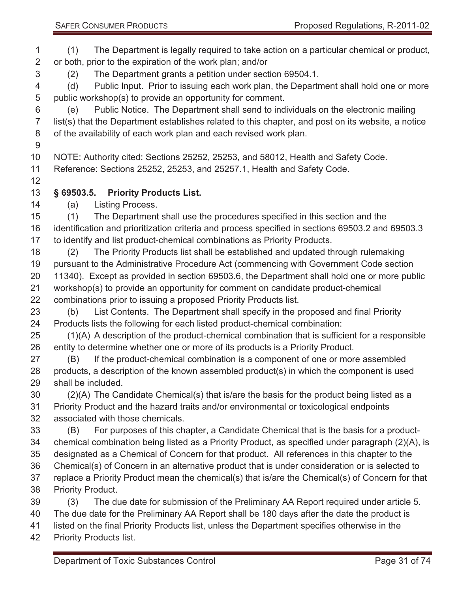| 1              | The Department is legally required to take action on a particular chemical or product,<br>(1)      |
|----------------|----------------------------------------------------------------------------------------------------|
| $\overline{2}$ | or both, prior to the expiration of the work plan; and/or                                          |
| 3              | The Department grants a petition under section 69504.1.<br>(2)                                     |
| 4              | Public Input. Prior to issuing each work plan, the Department shall hold one or more<br>(d)        |
| 5              | public workshop(s) to provide an opportunity for comment.                                          |
| 6              | Public Notice. The Department shall send to individuals on the electronic mailing<br>(e)           |
| $\overline{7}$ | list(s) that the Department establishes related to this chapter, and post on its website, a notice |
| 8              | of the availability of each work plan and each revised work plan.                                  |
| $9\,$          |                                                                                                    |
| 10             | NOTE: Authority cited: Sections 25252, 25253, and 58012, Health and Safety Code.                   |
| 11             | Reference: Sections 25252, 25253, and 25257.1, Health and Safety Code.                             |
| 12             |                                                                                                    |
| 13             | $§$ 69503.5.<br><b>Priority Products List.</b>                                                     |
| 14             | (a)<br>Listing Process.                                                                            |
| 15             | The Department shall use the procedures specified in this section and the<br>(1)                   |
| 16             | identification and prioritization criteria and process specified in sections 69503.2 and 69503.3   |
| 17             | to identify and list product-chemical combinations as Priority Products.                           |
| 18             | The Priority Products list shall be established and updated through rulemaking<br>(2)              |
| 19             | pursuant to the Administrative Procedure Act (commencing with Government Code section              |
| 20             | 11340). Except as provided in section 69503.6, the Department shall hold one or more public        |
| 21             | workshop(s) to provide an opportunity for comment on candidate product-chemical                    |
| 22             | combinations prior to issuing a proposed Priority Products list.                                   |
| 23             | List Contents. The Department shall specify in the proposed and final Priority<br>(b)              |
| 24             | Products lists the following for each listed product-chemical combination:                         |
| 25             | (1)(A) A description of the product-chemical combination that is sufficient for a responsible      |
| 26             | entity to determine whether one or more of its products is a Priority Product.                     |
| 27             | If the product-chemical combination is a component of one or more assembled<br>(B)                 |
| 28             | products, a description of the known assembled product(s) in which the component is used           |
| 29             | shall be included.                                                                                 |
| 30             | (2)(A) The Candidate Chemical(s) that is/are the basis for the product being listed as a           |
| 31             | Priority Product and the hazard traits and/or environmental or toxicological endpoints             |
| 32             | associated with those chemicals.                                                                   |
| 33             | For purposes of this chapter, a Candidate Chemical that is the basis for a product-<br>(B)         |
| 34             | chemical combination being listed as a Priority Product, as specified under paragraph (2)(A), is   |
| 35             | designated as a Chemical of Concern for that product. All references in this chapter to the        |
| 36             | Chemical(s) of Concern in an alternative product that is under consideration or is selected to     |
| 37             | replace a Priority Product mean the chemical(s) that is/are the Chemical(s) of Concern for that    |
| 38             | <b>Priority Product.</b>                                                                           |
| 39             | The due date for submission of the Preliminary AA Report required under article 5.<br>(3)          |
| 40             | The due date for the Preliminary AA Report shall be 180 days after the date the product is         |
| 41             | listed on the final Priority Products list, unless the Department specifies otherwise in the       |
| 42             | <b>Priority Products list.</b>                                                                     |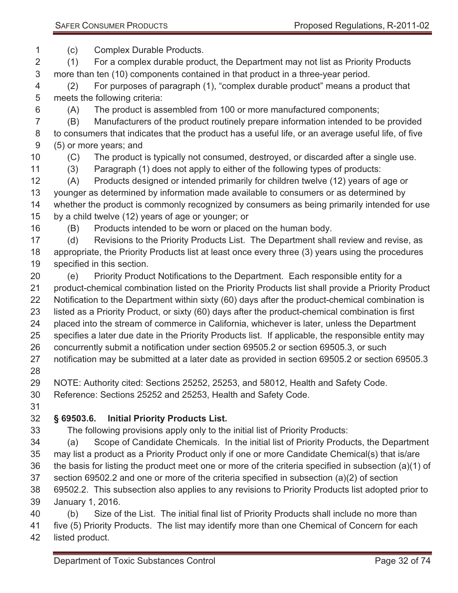(c) Complex Durable Products.

 (1) For a complex durable product, the Department may not list as Priority Products more than ten (10) components contained in that product in a three-year period.

 (2) For purposes of paragraph (1), "complex durable product" means a product that meets the following criteria:

(A) The product is assembled from 100 or more manufactured components;

 (B) Manufacturers of the product routinely prepare information intended to be provided to consumers that indicates that the product has a useful life, or an average useful life, of five (5) or more years; and

(C) The product is typically not consumed, destroyed, or discarded after a single use.

(3) Paragraph (1) does not apply to either of the following types of products:

 (A) Products designed or intended primarily for children twelve (12) years of age or younger as determined by information made available to consumers or as determined by whether the product is commonly recognized by consumers as being primarily intended for use by a child twelve (12) years of age or younger; or

(B) Products intended to be worn or placed on the human body.

 (d) Revisions to the Priority Products List. The Department shall review and revise, as appropriate, the Priority Products list at least once every three (3) years using the procedures specified in this section.

- (e) Priority Product Notifications to the Department. Each responsible entity for a product-chemical combination listed on the Priority Products list shall provide a Priority Product Notification to the Department within sixty (60) days after the product-chemical combination is listed as a Priority Product, or sixty (60) days after the product-chemical combination is first placed into the stream of commerce in California, whichever is later, unless the Department specifies a later due date in the Priority Products list. If applicable, the responsible entity may concurrently submit a notification under section 69505.2 or section 69505.3, or such
- notification may be submitted at a later date as provided in section 69505.2 or section 69505.3
- 

NOTE: Authority cited: Sections 25252, 25253, and 58012, Health and Safety Code.

Reference: Sections 25252 and 25253, Health and Safety Code.

### **§ 69503.6. Initial Priority Products List.**

The following provisions apply only to the initial list of Priority Products:

 (a) Scope of Candidate Chemicals. In the initial list of Priority Products, the Department may list a product as a Priority Product only if one or more Candidate Chemical(s) that is/are the basis for listing the product meet one or more of the criteria specified in subsection (a)(1) of section 69502.2 and one or more of the criteria specified in subsection (a)(2) of section

 69502.2. This subsection also applies to any revisions to Priority Products list adopted prior to January 1, 2016.

 (b) Size of the List. The initial final list of Priority Products shall include no more than five (5) Priority Products. The list may identify more than one Chemical of Concern for each listed product.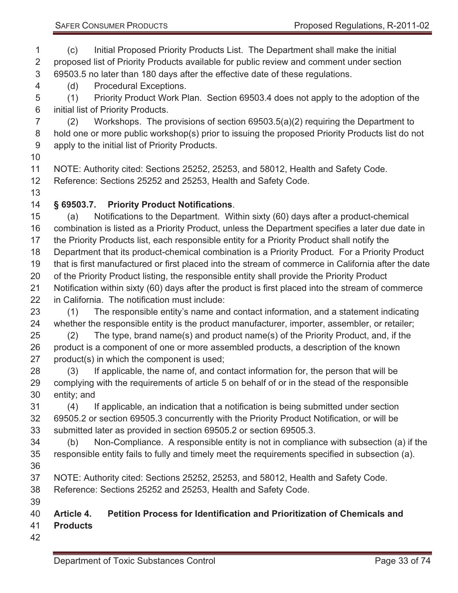(c) Initial Proposed Priority Products List. The Department shall make the initial proposed list of Priority Products available for public review and comment under section 69503.5 no later than 180 days after the effective date of these regulations.

(d) Procedural Exceptions.

 (1) Priority Product Work Plan. Section 69503.4 does not apply to the adoption of the initial list of Priority Products.

 (2) Workshops. The provisions of section 69503.5(a)(2) requiring the Department to 8 hold one or more public workshop(s) prior to issuing the proposed Priority Products list do not apply to the initial list of Priority Products.

NOTE: Authority cited: Sections 25252, 25253, and 58012, Health and Safety Code.

Reference: Sections 25252 and 25253, Health and Safety Code.

### **§ 69503.7. Priority Product Notifications**.

 (a) Notifications to the Department. Within sixty (60) days after a product-chemical combination is listed as a Priority Product, unless the Department specifies a later due date in the Priority Products list, each responsible entity for a Priority Product shall notify the Department that its product-chemical combination is a Priority Product. For a Priority Product that is first manufactured or first placed into the stream of commerce in California after the date 20 of the Priority Product listing, the responsible entity shall provide the Priority Product Notification within sixty (60) days after the product is first placed into the stream of commerce in California. The notification must include: (1) The responsible entity's name and contact information, and a statement indicating

whether the responsible entity is the product manufacturer, importer, assembler, or retailer;

 (2) The type, brand name(s) and product name(s) of the Priority Product, and, if the product is a component of one or more assembled products, a description of the known product(s) in which the component is used;

 (3) If applicable, the name of, and contact information for, the person that will be complying with the requirements of article 5 on behalf of or in the stead of the responsible entity; and

 (4) If applicable, an indication that a notification is being submitted under section 69505.2 or section 69505.3 concurrently with the Priority Product Notification, or will be submitted later as provided in section 69505.2 or section 69505.3.

- (b) Non-Compliance. A responsible entity is not in compliance with subsection (a) if the responsible entity fails to fully and timely meet the requirements specified in subsection (a).
- NOTE: Authority cited: Sections 25252, 25253, and 58012, Health and Safety Code.

Reference: Sections 25252 and 25253, Health and Safety Code.

### **Article 4. Petition Process for Identification and Prioritization of Chemicals and**

- **Products**
-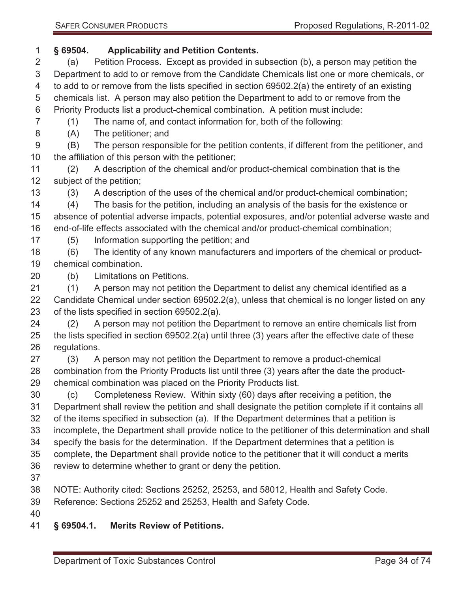# **§ 69504. Applicability and Petition Contents.**

- (a) Petition Process. Except as provided in subsection (b), a person may petition the Department to add to or remove from the Candidate Chemicals list one or more chemicals, or to add to or remove from the lists specified in section 69502.2(a) the entirety of an existing chemicals list. A person may also petition the Department to add to or remove from the Priority Products list a product-chemical combination. A petition must include:
- (1) The name of, and contact information for, both of the following:
- (A) The petitioner; and

 (B) The person responsible for the petition contents, if different from the petitioner, and the affiliation of this person with the petitioner;

- (2) A description of the chemical and/or product-chemical combination that is the subject of the petition;
- (3) A description of the uses of the chemical and/or product-chemical combination;

 (4) The basis for the petition, including an analysis of the basis for the existence or absence of potential adverse impacts, potential exposures, and/or potential adverse waste and end-of-life effects associated with the chemical and/or product-chemical combination;

(5) Information supporting the petition; and

 (6) The identity of any known manufacturers and importers of the chemical or product-chemical combination.

(b) Limitations on Petitions.

 (1) A person may not petition the Department to delist any chemical identified as a Candidate Chemical under section 69502.2(a), unless that chemical is no longer listed on any of the lists specified in section 69502.2(a).

 (2) A person may not petition the Department to remove an entire chemicals list from the lists specified in section 69502.2(a) until three (3) years after the effective date of these regulations.

 (3) A person may not petition the Department to remove a product-chemical combination from the Priority Products list until three (3) years after the date the product-chemical combination was placed on the Priority Products list.

 (c) Completeness Review. Within sixty (60) days after receiving a petition, the Department shall review the petition and shall designate the petition complete if it contains all of the items specified in subsection (a). If the Department determines that a petition is incomplete, the Department shall provide notice to the petitioner of this determination and shall specify the basis for the determination. If the Department determines that a petition is

 complete, the Department shall provide notice to the petitioner that it will conduct a merits review to determine whether to grant or deny the petition.

NOTE: Authority cited: Sections 25252, 25253, and 58012, Health and Safety Code.

Reference: Sections 25252 and 25253, Health and Safety Code.

- 
- **§ 69504.1. Merits Review of Petitions.**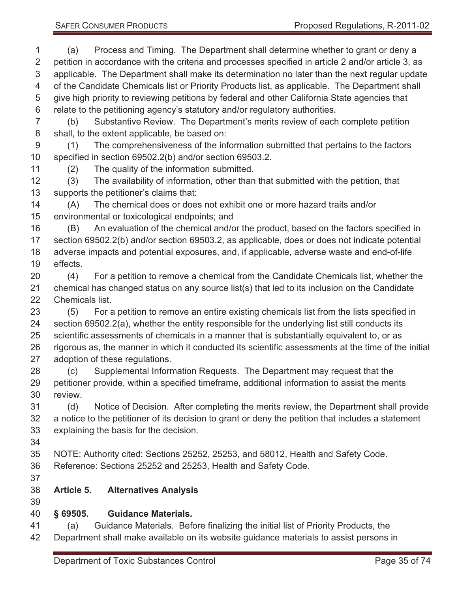(a) Process and Timing. The Department shall determine whether to grant or deny a petition in accordance with the criteria and processes specified in article 2 and/or article 3, as applicable. The Department shall make its determination no later than the next regular update of the Candidate Chemicals list or Priority Products list, as applicable. The Department shall give high priority to reviewing petitions by federal and other California State agencies that relate to the petitioning agency's statutory and/or regulatory authorities. (b) Substantive Review. The Department's merits review of each complete petition shall, to the extent applicable, be based on: (1) The comprehensiveness of the information submitted that pertains to the factors specified in section 69502.2(b) and/or section 69503.2. (2) The quality of the information submitted. (3) The availability of information, other than that submitted with the petition, that supports the petitioner's claims that: (A) The chemical does or does not exhibit one or more hazard traits and/or environmental or toxicological endpoints; and (B) An evaluation of the chemical and/or the product, based on the factors specified in section 69502.2(b) and/or section 69503.2, as applicable, does or does not indicate potential adverse impacts and potential exposures, and, if applicable, adverse waste and end-of-life effects. (4) For a petition to remove a chemical from the Candidate Chemicals list, whether the chemical has changed status on any source list(s) that led to its inclusion on the Candidate Chemicals list. (5) For a petition to remove an entire existing chemicals list from the lists specified in section 69502.2(a), whether the entity responsible for the underlying list still conducts its scientific assessments of chemicals in a manner that is substantially equivalent to, or as rigorous as, the manner in which it conducted its scientific assessments at the time of the initial adoption of these regulations. (c) Supplemental Information Requests. The Department may request that the petitioner provide, within a specified timeframe, additional information to assist the merits review. (d) Notice of Decision. After completing the merits review, the Department shall provide a notice to the petitioner of its decision to grant or deny the petition that includes a statement explaining the basis for the decision. NOTE: Authority cited: Sections 25252, 25253, and 58012, Health and Safety Code. Reference: Sections 25252 and 25253, Health and Safety Code. **Article 5. Alternatives Analysis § 69505. Guidance Materials.**  (a) Guidance Materials. Before finalizing the initial list of Priority Products, the Department shall make available on its website guidance materials to assist persons in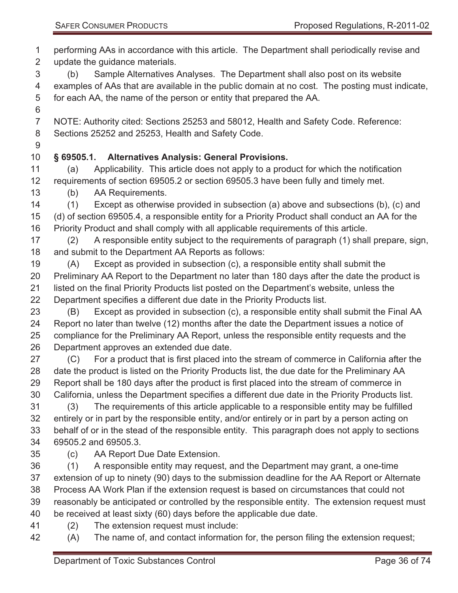- performing AAs in accordance with this article. The Department shall periodically revise and update the guidance materials.
- (b) Sample Alternatives Analyses. The Department shall also post on its website examples of AAs that are available in the public domain at no cost. The posting must indicate, for each AA, the name of the person or entity that prepared the AA.
- 
- NOTE: Authority cited: Sections 25253 and 58012, Health and Safety Code. Reference: Sections 25252 and 25253, Health and Safety Code.
- 
- **§ 69505.1. Alternatives Analysis: General Provisions.**
- (a) Applicability. This article does not apply to a product for which the notification requirements of section 69505.2 or section 69505.3 have been fully and timely met.
- (b) AA Requirements.
- (1) Except as otherwise provided in subsection (a) above and subsections (b), (c) and (d) of section 69505.4, a responsible entity for a Priority Product shall conduct an AA for the Priority Product and shall comply with all applicable requirements of this article.
- (2) A responsible entity subject to the requirements of paragraph (1) shall prepare, sign, and submit to the Department AA Reports as follows:
- (A) Except as provided in subsection (c), a responsible entity shall submit the Preliminary AA Report to the Department no later than 180 days after the date the product is listed on the final Priority Products list posted on the Department's website, unless the Department specifies a different due date in the Priority Products list.
- (B) Except as provided in subsection (c), a responsible entity shall submit the Final AA Report no later than twelve (12) months after the date the Department issues a notice of compliance for the Preliminary AA Report, unless the responsible entity requests and the Department approves an extended due date.
- (C) For a product that is first placed into the stream of commerce in California after the date the product is listed on the Priority Products list, the due date for the Preliminary AA Report shall be 180 days after the product is first placed into the stream of commerce in California, unless the Department specifies a different due date in the Priority Products list. (3) The requirements of this article applicable to a responsible entity may be fulfilled
- entirely or in part by the responsible entity, and/or entirely or in part by a person acting on behalf of or in the stead of the responsible entity. This paragraph does not apply to sections 69505.2 and 69505.3.
- 
- (c) AA Report Due Date Extension.
- (1) A responsible entity may request, and the Department may grant, a one-time extension of up to ninety (90) days to the submission deadline for the AA Report or Alternate Process AA Work Plan if the extension request is based on circumstances that could not reasonably be anticipated or controlled by the responsible entity. The extension request must be received at least sixty (60) days before the applicable due date.
- (2) The extension request must include:
- (A) The name of, and contact information for, the person filing the extension request;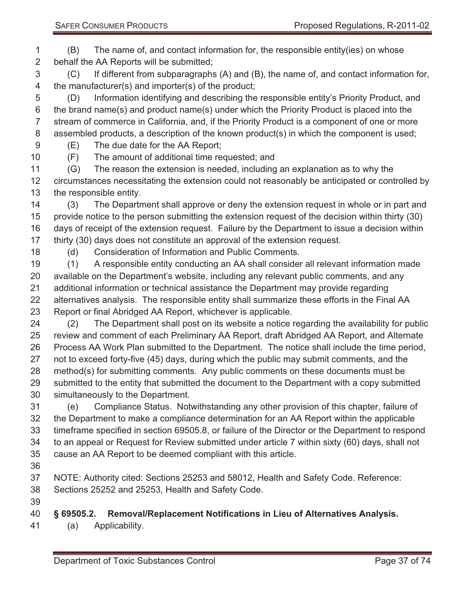(B) The name of, and contact information for, the responsible entity(ies) on whose behalf the AA Reports will be submitted;

 (C) If different from subparagraphs (A) and (B), the name of, and contact information for, the manufacturer(s) and importer(s) of the product;

 (D) Information identifying and describing the responsible entity's Priority Product, and the brand name(s) and product name(s) under which the Priority Product is placed into the stream of commerce in California, and, if the Priority Product is a component of one or more assembled products, a description of the known product(s) in which the component is used;

(E) The due date for the AA Report;

(F) The amount of additional time requested; and

 (G) The reason the extension is needed, including an explanation as to why the circumstances necessitating the extension could not reasonably be anticipated or controlled by the responsible entity.

 (3) The Department shall approve or deny the extension request in whole or in part and provide notice to the person submitting the extension request of the decision within thirty (30) days of receipt of the extension request. Failure by the Department to issue a decision within thirty (30) days does not constitute an approval of the extension request.

(d) Consideration of Information and Public Comments.

 (1) A responsible entity conducting an AA shall consider all relevant information made available on the Department's website, including any relevant public comments, and any additional information or technical assistance the Department may provide regarding alternatives analysis. The responsible entity shall summarize these efforts in the Final AA Report or final Abridged AA Report, whichever is applicable.

 (2) The Department shall post on its website a notice regarding the availability for public review and comment of each Preliminary AA Report, draft Abridged AA Report, and Alternate Process AA Work Plan submitted to the Department. The notice shall include the time period, not to exceed forty-five (45) days, during which the public may submit comments, and the method(s) for submitting comments. Any public comments on these documents must be submitted to the entity that submitted the document to the Department with a copy submitted simultaneously to the Department.

 (e) Compliance Status. Notwithstanding any other provision of this chapter, failure of the Department to make a compliance determination for an AA Report within the applicable timeframe specified in section 69505.8, or failure of the Director or the Department to respond to an appeal or Request for Review submitted under article 7 within sixty (60) days, shall not cause an AA Report to be deemed compliant with this article.

NOTE: Authority cited: Sections 25253 and 58012, Health and Safety Code. Reference:

Sections 25252 and 25253, Health and Safety Code.

# **§ 69505.2. Removal/Replacement Notifications in Lieu of Alternatives Analysis.**

(a) Applicability.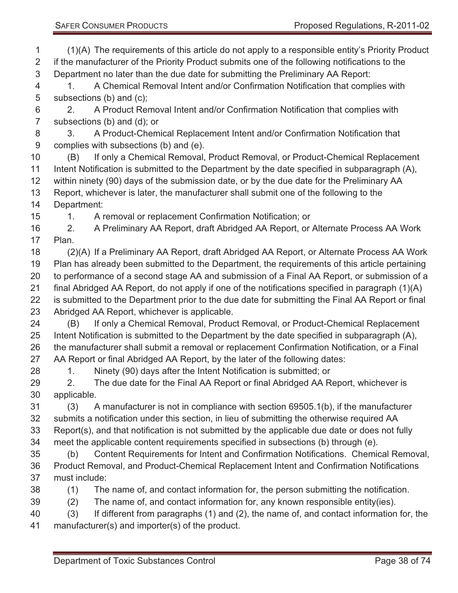(1)(A) The requirements of this article do not apply to a responsible entity's Priority Product if the manufacturer of the Priority Product submits one of the following notifications to the Department no later than the due date for submitting the Preliminary AA Report: 1. A Chemical Removal Intent and/or Confirmation Notification that complies with subsections (b) and (c); 2. A Product Removal Intent and/or Confirmation Notification that complies with subsections (b) and (d); or 3. A Product-Chemical Replacement Intent and/or Confirmation Notification that complies with subsections (b) and (e). (B) If only a Chemical Removal, Product Removal, or Product-Chemical Replacement Intent Notification is submitted to the Department by the date specified in subparagraph (A), within ninety (90) days of the submission date, or by the due date for the Preliminary AA Report, whichever is later, the manufacturer shall submit one of the following to the Department: 1. A removal or replacement Confirmation Notification; or 2. A Preliminary AA Report, draft Abridged AA Report, or Alternate Process AA Work Plan. (2)(A) If a Preliminary AA Report, draft Abridged AA Report, or Alternate Process AA Work Plan has already been submitted to the Department, the requirements of this article pertaining to performance of a second stage AA and submission of a Final AA Report, or submission of a final Abridged AA Report, do not apply if one of the notifications specified in paragraph (1)(A) is submitted to the Department prior to the due date for submitting the Final AA Report or final Abridged AA Report, whichever is applicable. (B) If only a Chemical Removal, Product Removal, or Product-Chemical Replacement Intent Notification is submitted to the Department by the date specified in subparagraph (A), the manufacturer shall submit a removal or replacement Confirmation Notification, or a Final AA Report or final Abridged AA Report, by the later of the following dates: 28 1. Ninety (90) days after the Intent Notification is submitted; or 29 2. The due date for the Final AA Report or final Abridged AA Report, whichever is applicable. (3) A manufacturer is not in compliance with section 69505.1(b), if the manufacturer submits a notification under this section, in lieu of submitting the otherwise required AA Report(s), and that notification is not submitted by the applicable due date or does not fully meet the applicable content requirements specified in subsections (b) through (e). (b) Content Requirements for Intent and Confirmation Notifications. Chemical Removal, Product Removal, and Product-Chemical Replacement Intent and Confirmation Notifications must include: (1) The name of, and contact information for, the person submitting the notification. (2) The name of, and contact information for, any known responsible entity(ies). (3) If different from paragraphs (1) and (2), the name of, and contact information for, the manufacturer(s) and importer(s) of the product.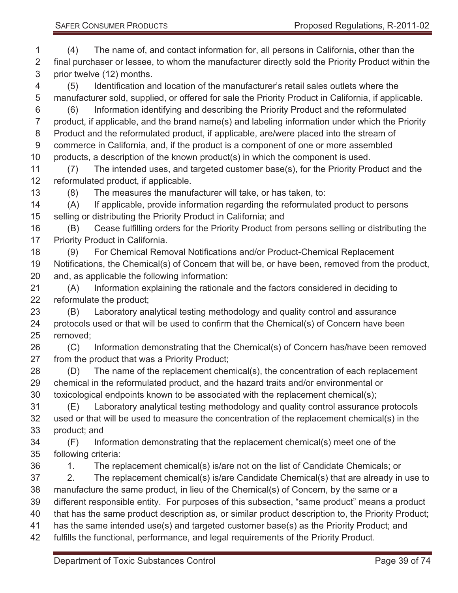(4) The name of, and contact information for, all persons in California, other than the final purchaser or lessee, to whom the manufacturer directly sold the Priority Product within the prior twelve (12) months. (5) Identification and location of the manufacturer's retail sales outlets where the manufacturer sold, supplied, or offered for sale the Priority Product in California, if applicable. (6) Information identifying and describing the Priority Product and the reformulated product, if applicable, and the brand name(s) and labeling information under which the Priority Product and the reformulated product, if applicable, are/were placed into the stream of commerce in California, and, if the product is a component of one or more assembled products, a description of the known product(s) in which the component is used. (7) The intended uses, and targeted customer base(s), for the Priority Product and the reformulated product, if applicable. (8) The measures the manufacturer will take, or has taken, to: (A) If applicable, provide information regarding the reformulated product to persons selling or distributing the Priority Product in California; and (B) Cease fulfilling orders for the Priority Product from persons selling or distributing the 17 Priority Product in California. (9) For Chemical Removal Notifications and/or Product-Chemical Replacement Notifications, the Chemical(s) of Concern that will be, or have been, removed from the product, and, as applicable the following information: (A) Information explaining the rationale and the factors considered in deciding to reformulate the product; (B) Laboratory analytical testing methodology and quality control and assurance protocols used or that will be used to confirm that the Chemical(s) of Concern have been removed; (C) Information demonstrating that the Chemical(s) of Concern has/have been removed from the product that was a Priority Product; (D) The name of the replacement chemical(s), the concentration of each replacement chemical in the reformulated product, and the hazard traits and/or environmental or toxicological endpoints known to be associated with the replacement chemical(s); (E) Laboratory analytical testing methodology and quality control assurance protocols used or that will be used to measure the concentration of the replacement chemical(s) in the product; and (F) Information demonstrating that the replacement chemical(s) meet one of the following criteria: 1. The replacement chemical(s) is/are not on the list of Candidate Chemicals; or 2. The replacement chemical(s) is/are Candidate Chemical(s) that are already in use to manufacture the same product, in lieu of the Chemical(s) of Concern, by the same or a different responsible entity. For purposes of this subsection, "same product" means a product that has the same product description as, or similar product description to, the Priority Product; has the same intended use(s) and targeted customer base(s) as the Priority Product; and fulfills the functional, performance, and legal requirements of the Priority Product.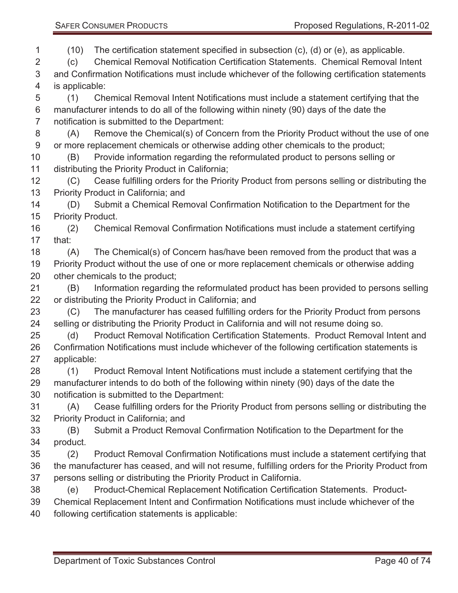(10) The certification statement specified in subsection (c), (d) or (e), as applicable.

 (c) Chemical Removal Notification Certification Statements. Chemical Removal Intent and Confirmation Notifications must include whichever of the following certification statements is applicable:

 (1) Chemical Removal Intent Notifications must include a statement certifying that the manufacturer intends to do all of the following within ninety (90) days of the date the notification is submitted to the Department:

 (A) Remove the Chemical(s) of Concern from the Priority Product without the use of one or more replacement chemicals or otherwise adding other chemicals to the product;

 (B) Provide information regarding the reformulated product to persons selling or distributing the Priority Product in California;

 (C) Cease fulfilling orders for the Priority Product from persons selling or distributing the Priority Product in California; and

 (D) Submit a Chemical Removal Confirmation Notification to the Department for the Priority Product.

 (2) Chemical Removal Confirmation Notifications must include a statement certifying that:

 (A) The Chemical(s) of Concern has/have been removed from the product that was a Priority Product without the use of one or more replacement chemicals or otherwise adding other chemicals to the product;

 (B) Information regarding the reformulated product has been provided to persons selling or distributing the Priority Product in California; and

 (C) The manufacturer has ceased fulfilling orders for the Priority Product from persons selling or distributing the Priority Product in California and will not resume doing so.

 (d) Product Removal Notification Certification Statements. Product Removal Intent and Confirmation Notifications must include whichever of the following certification statements is applicable:

 (1) Product Removal Intent Notifications must include a statement certifying that the manufacturer intends to do both of the following within ninety (90) days of the date the notification is submitted to the Department:

 (A) Cease fulfilling orders for the Priority Product from persons selling or distributing the Priority Product in California; and

 (B) Submit a Product Removal Confirmation Notification to the Department for the product.

 (2) Product Removal Confirmation Notifications must include a statement certifying that the manufacturer has ceased, and will not resume, fulfilling orders for the Priority Product from persons selling or distributing the Priority Product in California.

(e) Product-Chemical Replacement Notification Certification Statements. Product-

Chemical Replacement Intent and Confirmation Notifications must include whichever of the

following certification statements is applicable: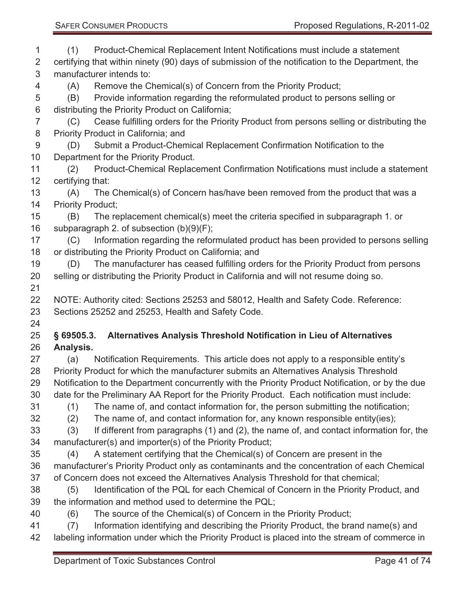| 1              | (1)                                                                                               | Product-Chemical Replacement Intent Notifications must include a statement                     |  |
|----------------|---------------------------------------------------------------------------------------------------|------------------------------------------------------------------------------------------------|--|
| 2              | certifying that within ninety (90) days of submission of the notification to the Department, the  |                                                                                                |  |
| 3              | manufacturer intends to:                                                                          |                                                                                                |  |
| 4              | (A)                                                                                               | Remove the Chemical(s) of Concern from the Priority Product;                                   |  |
| 5              | (B)                                                                                               | Provide information regarding the reformulated product to persons selling or                   |  |
| 6              | distributing the Priority Product on California;                                                  |                                                                                                |  |
| $\overline{7}$ | (C)                                                                                               | Cease fulfilling orders for the Priority Product from persons selling or distributing the      |  |
| 8              |                                                                                                   | Priority Product in California; and                                                            |  |
| 9              | (D)                                                                                               | Submit a Product-Chemical Replacement Confirmation Notification to the                         |  |
| 10             |                                                                                                   | Department for the Priority Product.                                                           |  |
| 11             | (2)                                                                                               | Product-Chemical Replacement Confirmation Notifications must include a statement               |  |
| 12             | certifying that:                                                                                  |                                                                                                |  |
| 13             | (A)                                                                                               | The Chemical(s) of Concern has/have been removed from the product that was a                   |  |
| 14             | <b>Priority Product:</b>                                                                          |                                                                                                |  |
| 15             | (B)                                                                                               | The replacement chemical(s) meet the criteria specified in subparagraph 1. or                  |  |
| 16             |                                                                                                   | subparagraph 2. of subsection (b)(9)(F);                                                       |  |
| 17             | (C)                                                                                               | Information regarding the reformulated product has been provided to persons selling            |  |
| 18             |                                                                                                   | or distributing the Priority Product on California; and                                        |  |
| 19             | (D)                                                                                               | The manufacturer has ceased fulfilling orders for the Priority Product from persons            |  |
| 20             |                                                                                                   | selling or distributing the Priority Product in California and will not resume doing so.       |  |
| 21             |                                                                                                   |                                                                                                |  |
| 22             |                                                                                                   | NOTE: Authority cited: Sections 25253 and 58012, Health and Safety Code. Reference:            |  |
| 23             |                                                                                                   | Sections 25252 and 25253, Health and Safety Code.                                              |  |
| 24             |                                                                                                   |                                                                                                |  |
| 25             | $§$ 69505.3.                                                                                      | Alternatives Analysis Threshold Notification in Lieu of Alternatives                           |  |
| 26             | Analysis.                                                                                         |                                                                                                |  |
| 27             | (a)                                                                                               | Notification Requirements. This article does not apply to a responsible entity's               |  |
| 28             |                                                                                                   | Priority Product for which the manufacturer submits an Alternatives Analysis Threshold         |  |
| 29             | Notification to the Department concurrently with the Priority Product Notification, or by the due |                                                                                                |  |
| 30             |                                                                                                   | date for the Preliminary AA Report for the Priority Product. Each notification must include:   |  |
| 31             | (1)                                                                                               | The name of, and contact information for, the person submitting the notification;              |  |
| 32             | (2)                                                                                               | The name of, and contact information for, any known responsible entity(ies);                   |  |
| 33             | (3)                                                                                               | If different from paragraphs (1) and (2), the name of, and contact information for, the        |  |
| 34             |                                                                                                   | manufacturer(s) and importer(s) of the Priority Product;                                       |  |
| 35             | (4)                                                                                               | A statement certifying that the Chemical(s) of Concern are present in the                      |  |
| 36             | manufacturer's Priority Product only as contaminants and the concentration of each Chemical       |                                                                                                |  |
| 37             |                                                                                                   | of Concern does not exceed the Alternatives Analysis Threshold for that chemical;              |  |
| 38             | (5)                                                                                               | Identification of the PQL for each Chemical of Concern in the Priority Product, and            |  |
| 39             | the information and method used to determine the PQL;                                             |                                                                                                |  |
| 40             | (6)                                                                                               | The source of the Chemical(s) of Concern in the Priority Product;                              |  |
| 41             | (7)                                                                                               | Information identifying and describing the Priority Product, the brand name(s) and             |  |
| 42             |                                                                                                   | labeling information under which the Priority Product is placed into the stream of commerce in |  |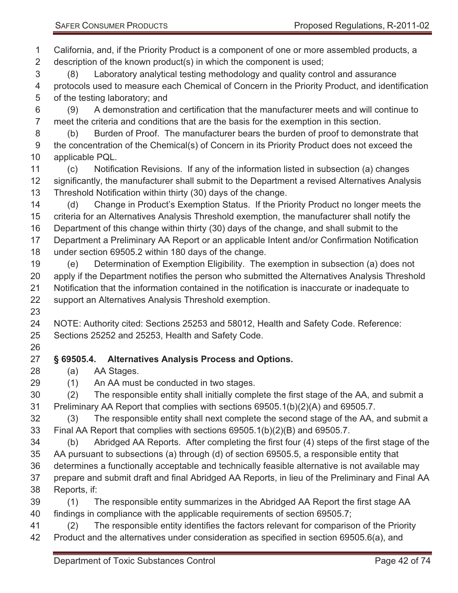California, and, if the Priority Product is a component of one or more assembled products, a description of the known product(s) in which the component is used; (8) Laboratory analytical testing methodology and quality control and assurance protocols used to measure each Chemical of Concern in the Priority Product, and identification of the testing laboratory; and (9) A demonstration and certification that the manufacturer meets and will continue to meet the criteria and conditions that are the basis for the exemption in this section. (b) Burden of Proof. The manufacturer bears the burden of proof to demonstrate that the concentration of the Chemical(s) of Concern in its Priority Product does not exceed the applicable PQL. (c) Notification Revisions. If any of the information listed in subsection (a) changes significantly, the manufacturer shall submit to the Department a revised Alternatives Analysis Threshold Notification within thirty (30) days of the change. (d) Change in Product's Exemption Status. If the Priority Product no longer meets the criteria for an Alternatives Analysis Threshold exemption, the manufacturer shall notify the Department of this change within thirty (30) days of the change, and shall submit to the Department a Preliminary AA Report or an applicable Intent and/or Confirmation Notification under section 69505.2 within 180 days of the change. (e) Determination of Exemption Eligibility. The exemption in subsection (a) does not apply if the Department notifies the person who submitted the Alternatives Analysis Threshold Notification that the information contained in the notification is inaccurate or inadequate to support an Alternatives Analysis Threshold exemption. NOTE: Authority cited: Sections 25253 and 58012, Health and Safety Code. Reference: Sections 25252 and 25253, Health and Safety Code. **§ 69505.4. Alternatives Analysis Process and Options.**  (a) AA Stages. (1) An AA must be conducted in two stages. (2) The responsible entity shall initially complete the first stage of the AA, and submit a Preliminary AA Report that complies with sections 69505.1(b)(2)(A) and 69505.7. (3) The responsible entity shall next complete the second stage of the AA, and submit a Final AA Report that complies with sections 69505.1(b)(2)(B) and 69505.7. (b) Abridged AA Reports. After completing the first four (4) steps of the first stage of the AA pursuant to subsections (a) through (d) of section 69505.5, a responsible entity that determines a functionally acceptable and technically feasible alternative is not available may prepare and submit draft and final Abridged AA Reports, in lieu of the Preliminary and Final AA Reports, if: (1) The responsible entity summarizes in the Abridged AA Report the first stage AA findings in compliance with the applicable requirements of section 69505.7; (2) The responsible entity identifies the factors relevant for comparison of the Priority

Product and the alternatives under consideration as specified in section 69505.6(a), and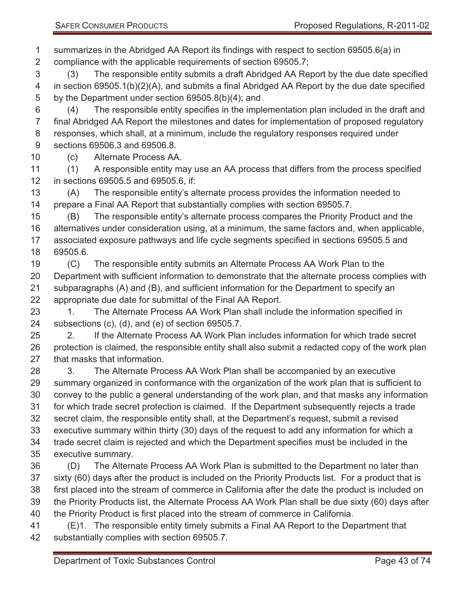summarizes in the Abridged AA Report its findings with respect to section 69505.6(a) in compliance with the applicable requirements of section 69505.7;

 (3) The responsible entity submits a draft Abridged AA Report by the due date specified in section 69505.1(b)(2)(A), and submits a final Abridged AA Report by the due date specified by the Department under section 69505.8(b)(4); and

 (4) The responsible entity specifies in the implementation plan included in the draft and final Abridged AA Report the milestones and dates for implementation of proposed regulatory responses, which shall, at a minimum, include the regulatory responses required under sections 69506.3 and 69506.8.

(c) Alternate Process AA.

 (1) A responsible entity may use an AA process that differs from the process specified in sections 69505.5 and 69505.6, if:

 (A) The responsible entity's alternate process provides the information needed to prepare a Final AA Report that substantially complies with section 69505.7.

 (B) The responsible entity's alternate process compares the Priority Product and the alternatives under consideration using, at a minimum, the same factors and, when applicable, associated exposure pathways and life cycle segments specified in sections 69505.5 and 69505.6.

 (C) The responsible entity submits an Alternate Process AA Work Plan to the Department with sufficient information to demonstrate that the alternate process complies with subparagraphs (A) and (B), and sufficient information for the Department to specify an appropriate due date for submittal of the Final AA Report.

23 1. The Alternate Process AA Work Plan shall include the information specified in subsections (c), (d), and (e) of section 69505.7.

 2. If the Alternate Process AA Work Plan includes information for which trade secret protection is claimed, the responsible entity shall also submit a redacted copy of the work plan that masks that information.

 3. The Alternate Process AA Work Plan shall be accompanied by an executive summary organized in conformance with the organization of the work plan that is sufficient to convey to the public a general understanding of the work plan, and that masks any information for which trade secret protection is claimed. If the Department subsequently rejects a trade secret claim, the responsible entity shall, at the Department's request, submit a revised executive summary within thirty (30) days of the request to add any information for which a trade secret claim is rejected and which the Department specifies must be included in the executive summary.

 (D) The Alternate Process AA Work Plan is submitted to the Department no later than sixty (60) days after the product is included on the Priority Products list. For a product that is first placed into the stream of commerce in California after the date the product is included on the Priority Products list, the Alternate Process AA Work Plan shall be due sixty (60) days after the Priority Product is first placed into the stream of commerce in California.

 (E)1. The responsible entity timely submits a Final AA Report to the Department that substantially complies with section 69505.7.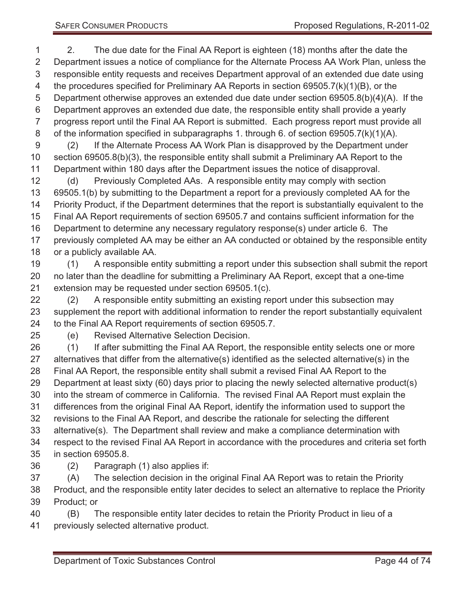2. The due date for the Final AA Report is eighteen (18) months after the date the Department issues a notice of compliance for the Alternate Process AA Work Plan, unless the responsible entity requests and receives Department approval of an extended due date using 4 the procedures specified for Preliminary AA Reports in section 69505.7(k)(1)(B), or the Department otherwise approves an extended due date under section 69505.8(b)(4)(A). If the Department approves an extended due date, the responsible entity shall provide a yearly progress report until the Final AA Report is submitted. Each progress report must provide all of the information specified in subparagraphs 1. through 6. of section 69505.7(k)(1)(A). (2) If the Alternate Process AA Work Plan is disapproved by the Department under section 69505.8(b)(3), the responsible entity shall submit a Preliminary AA Report to the

 Department within 180 days after the Department issues the notice of disapproval. (d) Previously Completed AAs. A responsible entity may comply with section 69505.1(b) by submitting to the Department a report for a previously completed AA for the Priority Product, if the Department determines that the report is substantially equivalent to the Final AA Report requirements of section 69505.7 and contains sufficient information for the Department to determine any necessary regulatory response(s) under article 6. The previously completed AA may be either an AA conducted or obtained by the responsible entity or a publicly available AA.

 (1) A responsible entity submitting a report under this subsection shall submit the report no later than the deadline for submitting a Preliminary AA Report, except that a one-time extension may be requested under section 69505.1(c).

 (2) A responsible entity submitting an existing report under this subsection may supplement the report with additional information to render the report substantially equivalent to the Final AA Report requirements of section 69505.7.

(e) Revised Alternative Selection Decision.

 (1) If after submitting the Final AA Report, the responsible entity selects one or more alternatives that differ from the alternative(s) identified as the selected alternative(s) in the Final AA Report, the responsible entity shall submit a revised Final AA Report to the Department at least sixty (60) days prior to placing the newly selected alternative product(s) into the stream of commerce in California. The revised Final AA Report must explain the differences from the original Final AA Report, identify the information used to support the revisions to the Final AA Report, and describe the rationale for selecting the different alternative(s). The Department shall review and make a compliance determination with respect to the revised Final AA Report in accordance with the procedures and criteria set forth in section 69505.8.

(2) Paragraph (1) also applies if:

 (A) The selection decision in the original Final AA Report was to retain the Priority Product, and the responsible entity later decides to select an alternative to replace the Priority Product; or

 (B) The responsible entity later decides to retain the Priority Product in lieu of a previously selected alternative product.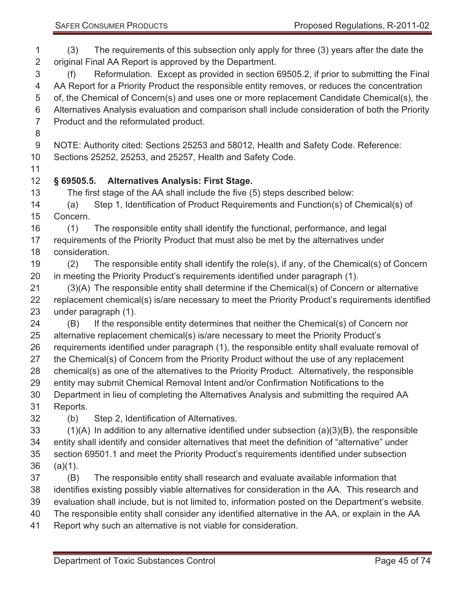(3) The requirements of this subsection only apply for three (3) years after the date the original Final AA Report is approved by the Department.

 (f) Reformulation. Except as provided in section 69505.2, if prior to submitting the Final AA Report for a Priority Product the responsible entity removes, or reduces the concentration of, the Chemical of Concern(s) and uses one or more replacement Candidate Chemical(s), the Alternatives Analysis evaluation and comparison shall include consideration of both the Priority Product and the reformulated product.

NOTE: Authority cited: Sections 25253 and 58012, Health and Safety Code. Reference:

Sections 25252, 25253, and 25257, Health and Safety Code.

# **§ 69505.5. Alternatives Analysis: First Stage.**

The first stage of the AA shall include the five (5) steps described below:

 (a) Step 1, Identification of Product Requirements and Function(s) of Chemical(s) of Concern.

 (1) The responsible entity shall identify the functional, performance, and legal requirements of the Priority Product that must also be met by the alternatives under consideration.

 (2) The responsible entity shall identify the role(s), if any, of the Chemical(s) of Concern in meeting the Priority Product's requirements identified under paragraph (1).

 (3)(A) The responsible entity shall determine if the Chemical(s) of Concern or alternative replacement chemical(s) is/are necessary to meet the Priority Product's requirements identified under paragraph (1).

 (B) If the responsible entity determines that neither the Chemical(s) of Concern nor alternative replacement chemical(s) is/are necessary to meet the Priority Product's requirements identified under paragraph (1), the responsible entity shall evaluate removal of the Chemical(s) of Concern from the Priority Product without the use of any replacement

chemical(s) as one of the alternatives to the Priority Product. Alternatively, the responsible

entity may submit Chemical Removal Intent and/or Confirmation Notifications to the

 Department in lieu of completing the Alternatives Analysis and submitting the required AA Reports.

(b) Step 2, Identification of Alternatives.

 (1)(A) In addition to any alternative identified under subsection (a)(3)(B), the responsible entity shall identify and consider alternatives that meet the definition of "alternative" under section 69501.1 and meet the Priority Product's requirements identified under subsection (a)(1).

 (B) The responsible entity shall research and evaluate available information that identifies existing possibly viable alternatives for consideration in the AA. This research and evaluation shall include, but is not limited to, information posted on the Department's website. The responsible entity shall consider any identified alternative in the AA, or explain in the AA Report why such an alternative is not viable for consideration.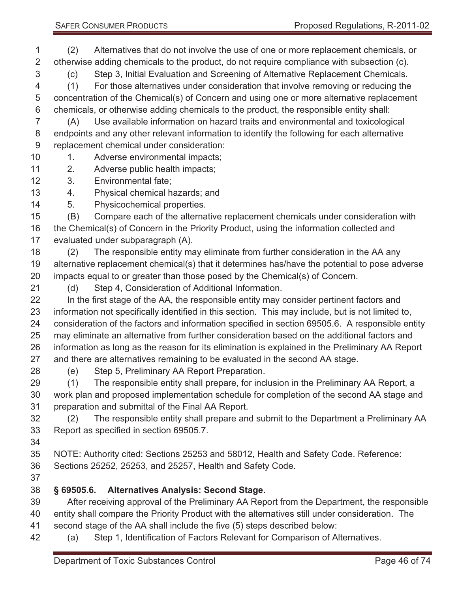(2) Alternatives that do not involve the use of one or more replacement chemicals, or otherwise adding chemicals to the product, do not require compliance with subsection (c).

 (c) Step 3, Initial Evaluation and Screening of Alternative Replacement Chemicals. (1) For those alternatives under consideration that involve removing or reducing the

 concentration of the Chemical(s) of Concern and using one or more alternative replacement chemicals, or otherwise adding chemicals to the product, the responsible entity shall:

 (A) Use available information on hazard traits and environmental and toxicological endpoints and any other relevant information to identify the following for each alternative replacement chemical under consideration:

- 10 1. Adverse environmental impacts;
- 2. Adverse public health impacts;
- 3. Environmental fate;
- 4. Physical chemical hazards; and
- 5. Physicochemical properties.

(B) Compare each of the alternative replacement chemicals under consideration with

 the Chemical(s) of Concern in the Priority Product, using the information collected and evaluated under subparagraph (A).

 (2) The responsible entity may eliminate from further consideration in the AA any alternative replacement chemical(s) that it determines has/have the potential to pose adverse impacts equal to or greater than those posed by the Chemical(s) of Concern.

(d) Step 4, Consideration of Additional Information.

 In the first stage of the AA, the responsible entity may consider pertinent factors and information not specifically identified in this section. This may include, but is not limited to, consideration of the factors and information specified in section 69505.6. A responsible entity may eliminate an alternative from further consideration based on the additional factors and information as long as the reason for its elimination is explained in the Preliminary AA Report and there are alternatives remaining to be evaluated in the second AA stage.

- 
- (e) Step 5, Preliminary AA Report Preparation.

 (1) The responsible entity shall prepare, for inclusion in the Preliminary AA Report, a work plan and proposed implementation schedule for completion of the second AA stage and preparation and submittal of the Final AA Report.

 (2) The responsible entity shall prepare and submit to the Department a Preliminary AA Report as specified in section 69505.7.

NOTE: Authority cited: Sections 25253 and 58012, Health and Safety Code. Reference:

- Sections 25252, 25253, and 25257, Health and Safety Code.
- 

# **§ 69505.6. Alternatives Analysis: Second Stage.**

After receiving approval of the Preliminary AA Report from the Department, the responsible

- entity shall compare the Priority Product with the alternatives still under consideration. The second stage of the AA shall include the five (5) steps described below:
- (a) Step 1, Identification of Factors Relevant for Comparison of Alternatives.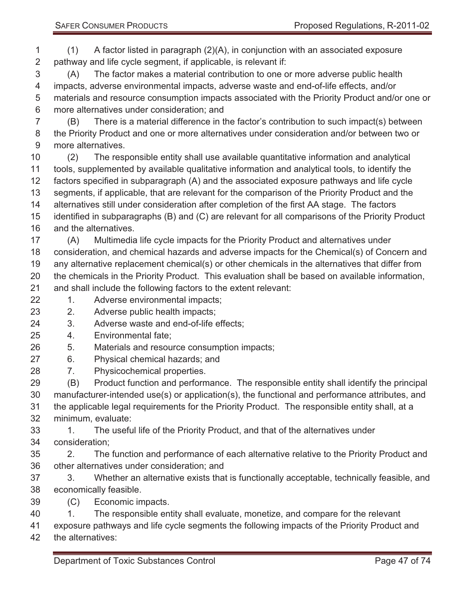(1) A factor listed in paragraph (2)(A), in conjunction with an associated exposure pathway and life cycle segment, if applicable, is relevant if:

 (A) The factor makes a material contribution to one or more adverse public health impacts, adverse environmental impacts, adverse waste and end-of-life effects, and/or materials and resource consumption impacts associated with the Priority Product and/or one or more alternatives under consideration; and

 (B) There is a material difference in the factor's contribution to such impact(s) between the Priority Product and one or more alternatives under consideration and/or between two or more alternatives.

- (2) The responsible entity shall use available quantitative information and analytical tools, supplemented by available qualitative information and analytical tools, to identify the factors specified in subparagraph (A) and the associated exposure pathways and life cycle segments, if applicable, that are relevant for the comparison of the Priority Product and the alternatives still under consideration after completion of the first AA stage. The factors identified in subparagraphs (B) and (C) are relevant for all comparisons of the Priority Product and the alternatives.
- (A) Multimedia life cycle impacts for the Priority Product and alternatives under consideration, and chemical hazards and adverse impacts for the Chemical(s) of Concern and any alternative replacement chemical(s) or other chemicals in the alternatives that differ from the chemicals in the Priority Product. This evaluation shall be based on available information, and shall include the following factors to the extent relevant:
- 22 1. Adverse environmental impacts;
- 2. Adverse public health impacts;
- 3. Adverse waste and end-of-life effects;
- 4. Environmental fate;
- 5. Materials and resource consumption impacts;
- 6. Physical chemical hazards; and
- 7. Physicochemical properties.

 (B) Product function and performance. The responsible entity shall identify the principal manufacturer-intended use(s) or application(s), the functional and performance attributes, and the applicable legal requirements for the Priority Product. The responsible entity shall, at a minimum, evaluate:

- 33 1. The useful life of the Priority Product, and that of the alternatives under consideration;
- 2. The function and performance of each alternative relative to the Priority Product and other alternatives under consideration; and
- 3. Whether an alternative exists that is functionally acceptable, technically feasible, and economically feasible.
- (C) Economic impacts.
- 1. The responsible entity shall evaluate, monetize, and compare for the relevant
- exposure pathways and life cycle segments the following impacts of the Priority Product and
- the alternatives: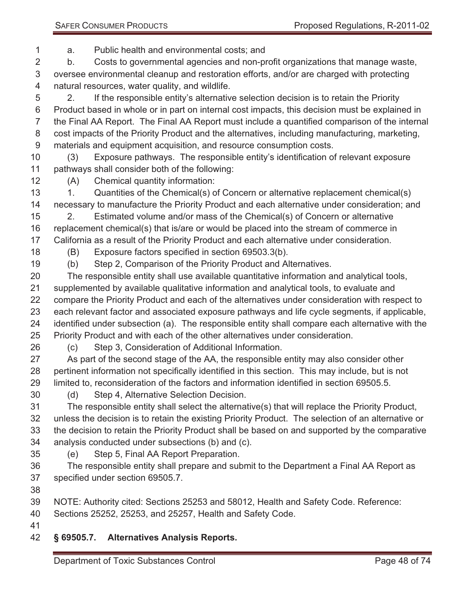a. Public health and environmental costs; and

 b. Costs to governmental agencies and non-profit organizations that manage waste, oversee environmental cleanup and restoration efforts, and/or are charged with protecting natural resources, water quality, and wildlife.

 2. If the responsible entity's alternative selection decision is to retain the Priority Product based in whole or in part on internal cost impacts, this decision must be explained in the Final AA Report. The Final AA Report must include a quantified comparison of the internal cost impacts of the Priority Product and the alternatives, including manufacturing, marketing, materials and equipment acquisition, and resource consumption costs.

 (3) Exposure pathways. The responsible entity's identification of relevant exposure pathways shall consider both of the following:

(A) Chemical quantity information:

 1. Quantities of the Chemical(s) of Concern or alternative replacement chemical(s) necessary to manufacture the Priority Product and each alternative under consideration; and

 2. Estimated volume and/or mass of the Chemical(s) of Concern or alternative replacement chemical(s) that is/are or would be placed into the stream of commerce in California as a result of the Priority Product and each alternative under consideration.

(B) Exposure factors specified in section 69503.3(b).

(b) Step 2, Comparison of the Priority Product and Alternatives.

 The responsible entity shall use available quantitative information and analytical tools, supplemented by available qualitative information and analytical tools, to evaluate and compare the Priority Product and each of the alternatives under consideration with respect to each relevant factor and associated exposure pathways and life cycle segments, if applicable, identified under subsection (a). The responsible entity shall compare each alternative with the Priority Product and with each of the other alternatives under consideration.

(c) Step 3, Consideration of Additional Information.

 As part of the second stage of the AA, the responsible entity may also consider other pertinent information not specifically identified in this section. This may include, but is not limited to, reconsideration of the factors and information identified in section 69505.5.

(d) Step 4, Alternative Selection Decision.

 The responsible entity shall select the alternative(s) that will replace the Priority Product, unless the decision is to retain the existing Priority Product. The selection of an alternative or the decision to retain the Priority Product shall be based on and supported by the comparative analysis conducted under subsections (b) and (c).

(e) Step 5, Final AA Report Preparation.

 The responsible entity shall prepare and submit to the Department a Final AA Report as specified under section 69505.7.

NOTE: Authority cited: Sections 25253 and 58012, Health and Safety Code. Reference:

Sections 25252, 25253, and 25257, Health and Safety Code.

#### **§ 69505.7. Alternatives Analysis Reports.**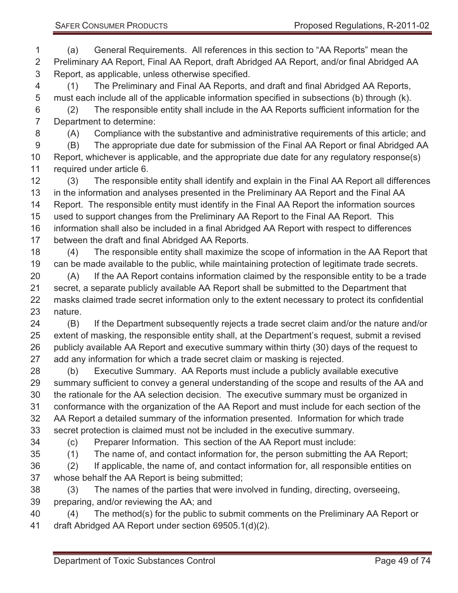(a) General Requirements. All references in this section to "AA Reports" mean the Preliminary AA Report, Final AA Report, draft Abridged AA Report, and/or final Abridged AA Report, as applicable, unless otherwise specified.

 (1) The Preliminary and Final AA Reports, and draft and final Abridged AA Reports, must each include all of the applicable information specified in subsections (b) through (k). (2) The responsible entity shall include in the AA Reports sufficient information for the Department to determine:

(A) Compliance with the substantive and administrative requirements of this article; and

 (B) The appropriate due date for submission of the Final AA Report or final Abridged AA Report, whichever is applicable, and the appropriate due date for any regulatory response(s) required under article 6.

 (3) The responsible entity shall identify and explain in the Final AA Report all differences in the information and analyses presented in the Preliminary AA Report and the Final AA Report. The responsible entity must identify in the Final AA Report the information sources used to support changes from the Preliminary AA Report to the Final AA Report. This information shall also be included in a final Abridged AA Report with respect to differences

between the draft and final Abridged AA Reports.

 (4) The responsible entity shall maximize the scope of information in the AA Report that can be made available to the public, while maintaining protection of legitimate trade secrets.

 (A) If the AA Report contains information claimed by the responsible entity to be a trade secret, a separate publicly available AA Report shall be submitted to the Department that masks claimed trade secret information only to the extent necessary to protect its confidential nature.

 (B) If the Department subsequently rejects a trade secret claim and/or the nature and/or extent of masking, the responsible entity shall, at the Department's request, submit a revised publicly available AA Report and executive summary within thirty (30) days of the request to add any information for which a trade secret claim or masking is rejected.

 (b) Executive Summary. AA Reports must include a publicly available executive summary sufficient to convey a general understanding of the scope and results of the AA and the rationale for the AA selection decision. The executive summary must be organized in conformance with the organization of the AA Report and must include for each section of the AA Report a detailed summary of the information presented. Information for which trade secret protection is claimed must not be included in the executive summary.

(c) Preparer Information. This section of the AA Report must include:

(1) The name of, and contact information for, the person submitting the AA Report;

 (2) If applicable, the name of, and contact information for, all responsible entities on whose behalf the AA Report is being submitted;

 (3) The names of the parties that were involved in funding, directing, overseeing, preparing, and/or reviewing the AA; and

 (4) The method(s) for the public to submit comments on the Preliminary AA Report or draft Abridged AA Report under section 69505.1(d)(2).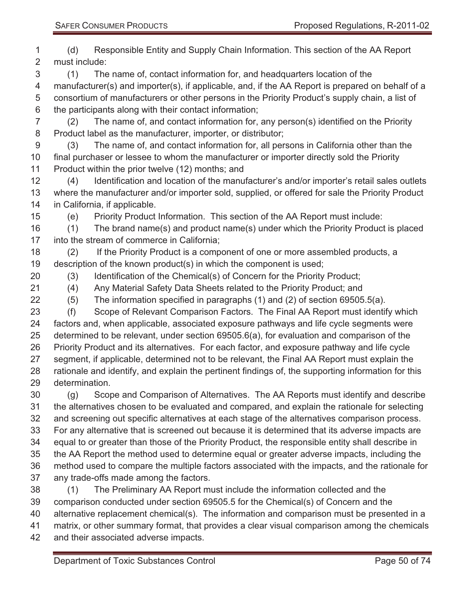| 1              | Responsible Entity and Supply Chain Information. This section of the AA Report<br>(d)              |  |  |
|----------------|----------------------------------------------------------------------------------------------------|--|--|
| $\overline{2}$ | must include:                                                                                      |  |  |
| 3              | The name of, contact information for, and headquarters location of the<br>(1)                      |  |  |
| 4              | manufacturer(s) and importer(s), if applicable, and, if the AA Report is prepared on behalf of a   |  |  |
| 5              | consortium of manufacturers or other persons in the Priority Product's supply chain, a list of     |  |  |
| 6              | the participants along with their contact information;                                             |  |  |
| $\overline{7}$ | The name of, and contact information for, any person(s) identified on the Priority<br>(2)          |  |  |
| $\,8\,$        | Product label as the manufacturer, importer, or distributor;                                       |  |  |
| $9$            | The name of, and contact information for, all persons in California other than the<br>(3)          |  |  |
| 10             | final purchaser or lessee to whom the manufacturer or importer directly sold the Priority          |  |  |
| 11             | Product within the prior twelve (12) months; and                                                   |  |  |
| 12             | Identification and location of the manufacturer's and/or importer's retail sales outlets<br>(4)    |  |  |
| 13             | where the manufacturer and/or importer sold, supplied, or offered for sale the Priority Product    |  |  |
| 14             | in California, if applicable.                                                                      |  |  |
| 15             | Priority Product Information. This section of the AA Report must include:<br>(e)                   |  |  |
| 16             | The brand name(s) and product name(s) under which the Priority Product is placed<br>(1)            |  |  |
| 17             | into the stream of commerce in California;                                                         |  |  |
| 18             | If the Priority Product is a component of one or more assembled products, a<br>(2)                 |  |  |
| 19             | description of the known product(s) in which the component is used;                                |  |  |
| 20             | Identification of the Chemical(s) of Concern for the Priority Product;<br>(3)                      |  |  |
| 21             | Any Material Safety Data Sheets related to the Priority Product; and<br>(4)                        |  |  |
| 22             | The information specified in paragraphs (1) and (2) of section 69505.5(a).<br>(5)                  |  |  |
| 23             | Scope of Relevant Comparison Factors. The Final AA Report must identify which<br>(f)               |  |  |
| 24             | factors and, when applicable, associated exposure pathways and life cycle segments were            |  |  |
| 25             | determined to be relevant, under section 69505.6(a), for evaluation and comparison of the          |  |  |
| 26             | Priority Product and its alternatives. For each factor, and exposure pathway and life cycle        |  |  |
| 27             | segment, if applicable, determined not to be relevant, the Final AA Report must explain the        |  |  |
| 28             | rationale and identify, and explain the pertinent findings of, the supporting information for this |  |  |
| 29             | determination.                                                                                     |  |  |
| 30             | Scope and Comparison of Alternatives. The AA Reports must identify and describe<br>(g)             |  |  |
| 31             | the alternatives chosen to be evaluated and compared, and explain the rationale for selecting      |  |  |
| 32             | and screening out specific alternatives at each stage of the alternatives comparison process.      |  |  |
| 33             | For any alternative that is screened out because it is determined that its adverse impacts are     |  |  |
| 34             | equal to or greater than those of the Priority Product, the responsible entity shall describe in   |  |  |
| 35             | the AA Report the method used to determine equal or greater adverse impacts, including the         |  |  |
| 36             | method used to compare the multiple factors associated with the impacts, and the rationale for     |  |  |
| 37             | any trade-offs made among the factors.                                                             |  |  |
| 38             | The Preliminary AA Report must include the information collected and the<br>(1)                    |  |  |
| 39             | comparison conducted under section 69505.5 for the Chemical(s) of Concern and the                  |  |  |
| 40             | alternative replacement chemical(s). The information and comparison must be presented in a         |  |  |
| 41             | matrix, or other summary format, that provides a clear visual comparison among the chemicals       |  |  |
| 42             | and their associated adverse impacts.                                                              |  |  |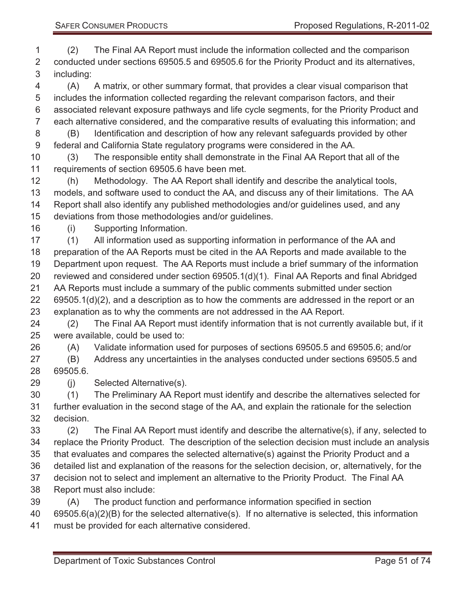(2) The Final AA Report must include the information collected and the comparison conducted under sections 69505.5 and 69505.6 for the Priority Product and its alternatives, including:

 (A) A matrix, or other summary format, that provides a clear visual comparison that includes the information collected regarding the relevant comparison factors, and their associated relevant exposure pathways and life cycle segments, for the Priority Product and each alternative considered, and the comparative results of evaluating this information; and (B) Identification and description of how any relevant safeguards provided by other

federal and California State regulatory programs were considered in the AA.

 (3) The responsible entity shall demonstrate in the Final AA Report that all of the requirements of section 69505.6 have been met.

 (h) Methodology. The AA Report shall identify and describe the analytical tools, models, and software used to conduct the AA, and discuss any of their limitations. The AA Report shall also identify any published methodologies and/or guidelines used, and any deviations from those methodologies and/or guidelines.

(i) Supporting Information.

 (1) All information used as supporting information in performance of the AA and preparation of the AA Reports must be cited in the AA Reports and made available to the Department upon request. The AA Reports must include a brief summary of the information reviewed and considered under section 69505.1(d)(1). Final AA Reports and final Abridged AA Reports must include a summary of the public comments submitted under section 69505.1(d)(2), and a description as to how the comments are addressed in the report or an explanation as to why the comments are not addressed in the AA Report.

 (2) The Final AA Report must identify information that is not currently available but, if it were available, could be used to:

(A) Validate information used for purposes of sections 69505.5 and 69505.6; and/or

 (B) Address any uncertainties in the analyses conducted under sections 69505.5 and 69505.6.

(j) Selected Alternative(s).

 (1) The Preliminary AA Report must identify and describe the alternatives selected for further evaluation in the second stage of the AA, and explain the rationale for the selection decision.

 (2) The Final AA Report must identify and describe the alternative(s), if any, selected to replace the Priority Product. The description of the selection decision must include an analysis that evaluates and compares the selected alternative(s) against the Priority Product and a detailed list and explanation of the reasons for the selection decision, or, alternatively, for the decision not to select and implement an alternative to the Priority Product. The Final AA Report must also include:

(A) The product function and performance information specified in section

69505.6(a)(2)(B) for the selected alternative(s). If no alternative is selected, this information

must be provided for each alternative considered.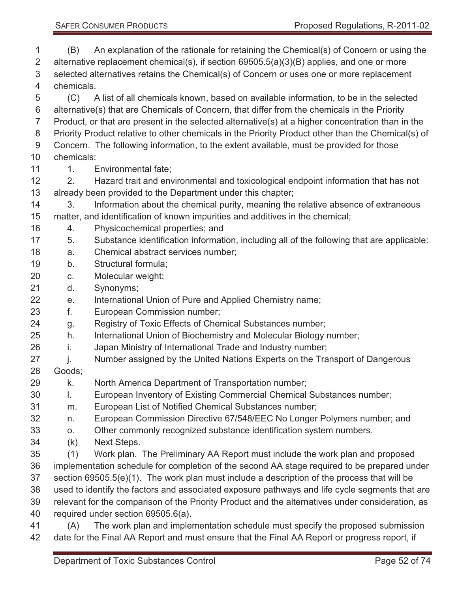- (B) An explanation of the rationale for retaining the Chemical(s) of Concern or using the alternative replacement chemical(s), if section 69505.5(a)(3)(B) applies, and one or more selected alternatives retains the Chemical(s) of Concern or uses one or more replacement chemicals. (C) A list of all chemicals known, based on available information, to be in the selected alternative(s) that are Chemicals of Concern, that differ from the chemicals in the Priority Product, or that are present in the selected alternative(s) at a higher concentration than in the 8 Priority Product relative to other chemicals in the Priority Product other than the Chemical(s) of Concern. The following information, to the extent available, must be provided for those chemicals: 11 1. Environmental fate; 2. Hazard trait and environmental and toxicological endpoint information that has not already been provided to the Department under this chapter; 14 3. Information about the chemical purity, meaning the relative absence of extraneous matter, and identification of known impurities and additives in the chemical; 4. Physicochemical properties; and 5. Substance identification information, including all of the following that are applicable: a. Chemical abstract services number; b. Structural formula; c. Molecular weight; d. Synonyms; e. International Union of Pure and Applied Chemistry name; f. European Commission number; g. Registry of Toxic Effects of Chemical Substances number; h. International Union of Biochemistry and Molecular Biology number; i. Japan Ministry of International Trade and Industry number; 27 i. Number assigned by the United Nations Experts on the Transport of Dangerous Goods; k. North America Department of Transportation number; l. European Inventory of Existing Commercial Chemical Substances number; m. European List of Notified Chemical Substances number; n. European Commission Directive 67/548/EEC No Longer Polymers number; and o. Other commonly recognized substance identification system numbers. (k) Next Steps. (1) Work plan. The Preliminary AA Report must include the work plan and proposed implementation schedule for completion of the second AA stage required to be prepared under section 69505.5(e)(1). The work plan must include a description of the process that will be used to identify the factors and associated exposure pathways and life cycle segments that are relevant for the comparison of the Priority Product and the alternatives under consideration, as required under section 69505.6(a). (A) The work plan and implementation schedule must specify the proposed submission
- date for the Final AA Report and must ensure that the Final AA Report or progress report, if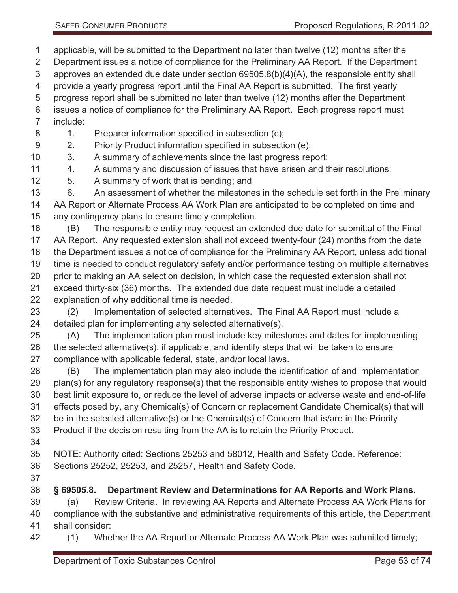applicable, will be submitted to the Department no later than twelve (12) months after the

- Department issues a notice of compliance for the Preliminary AA Report. If the Department
- approves an extended due date under section 69505.8(b)(4)(A), the responsible entity shall
- provide a yearly progress report until the Final AA Report is submitted. The first yearly
- progress report shall be submitted no later than twelve (12) months after the Department
- issues a notice of compliance for the Preliminary AA Report. Each progress report must include:
- 8 1. Preparer information specified in subsection (c);
- 2. Priority Product information specified in subsection (e);
- 3. A summary of achievements since the last progress report;
- 4. A summary and discussion of issues that have arisen and their resolutions;
- 5. A summary of work that is pending; and
- 6. An assessment of whether the milestones in the schedule set forth in the Preliminary AA Report or Alternate Process AA Work Plan are anticipated to be completed on time and any contingency plans to ensure timely completion.
- (B) The responsible entity may request an extended due date for submittal of the Final AA Report. Any requested extension shall not exceed twenty-four (24) months from the date the Department issues a notice of compliance for the Preliminary AA Report, unless additional time is needed to conduct regulatory safety and/or performance testing on multiple alternatives prior to making an AA selection decision, in which case the requested extension shall not exceed thirty-six (36) months. The extended due date request must include a detailed explanation of why additional time is needed.
- (2) Implementation of selected alternatives. The Final AA Report must include a detailed plan for implementing any selected alternative(s).
- (A) The implementation plan must include key milestones and dates for implementing the selected alternative(s), if applicable, and identify steps that will be taken to ensure compliance with applicable federal, state, and/or local laws.
- (B) The implementation plan may also include the identification of and implementation plan(s) for any regulatory response(s) that the responsible entity wishes to propose that would best limit exposure to, or reduce the level of adverse impacts or adverse waste and end-of-life effects posed by, any Chemical(s) of Concern or replacement Candidate Chemical(s) that will be in the selected alternative(s) or the Chemical(s) of Concern that is/are in the Priority Product if the decision resulting from the AA is to retain the Priority Product.
- 
- NOTE: Authority cited: Sections 25253 and 58012, Health and Safety Code. Reference: Sections 25252, 25253, and 25257, Health and Safety Code.
- 
- **§ 69505.8. Department Review and Determinations for AA Reports and Work Plans.**
- (a) Review Criteria. In reviewing AA Reports and Alternate Process AA Work Plans for compliance with the substantive and administrative requirements of this article, the Department
- shall consider:
- (1) Whether the AA Report or Alternate Process AA Work Plan was submitted timely;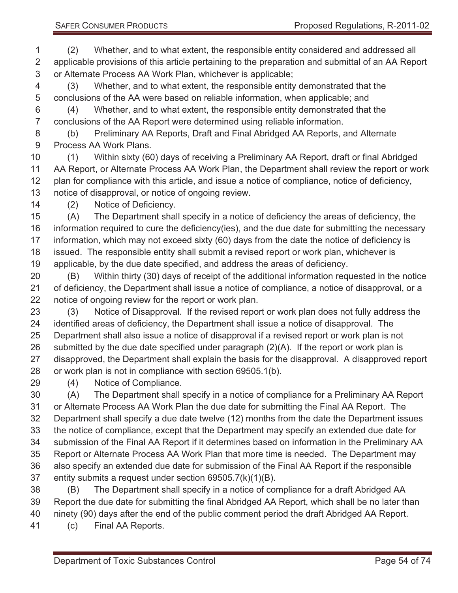(2) Whether, and to what extent, the responsible entity considered and addressed all applicable provisions of this article pertaining to the preparation and submittal of an AA Report or Alternate Process AA Work Plan, whichever is applicable;

 (3) Whether, and to what extent, the responsible entity demonstrated that the conclusions of the AA were based on reliable information, when applicable; and

 (4) Whether, and to what extent, the responsible entity demonstrated that the conclusions of the AA Report were determined using reliable information.

 (b) Preliminary AA Reports, Draft and Final Abridged AA Reports, and Alternate Process AA Work Plans.

 (1) Within sixty (60) days of receiving a Preliminary AA Report, draft or final Abridged AA Report, or Alternate Process AA Work Plan, the Department shall review the report or work plan for compliance with this article, and issue a notice of compliance, notice of deficiency, notice of disapproval, or notice of ongoing review.

(2) Notice of Deficiency.

 (A) The Department shall specify in a notice of deficiency the areas of deficiency, the information required to cure the deficiency(ies), and the due date for submitting the necessary information, which may not exceed sixty (60) days from the date the notice of deficiency is issued. The responsible entity shall submit a revised report or work plan, whichever is applicable, by the due date specified, and address the areas of deficiency.

 (B) Within thirty (30) days of receipt of the additional information requested in the notice 21 of deficiency, the Department shall issue a notice of compliance, a notice of disapproval, or a notice of ongoing review for the report or work plan.

 (3) Notice of Disapproval. If the revised report or work plan does not fully address the identified areas of deficiency, the Department shall issue a notice of disapproval. The Department shall also issue a notice of disapproval if a revised report or work plan is not submitted by the due date specified under paragraph (2)(A). If the report or work plan is disapproved, the Department shall explain the basis for the disapproval. A disapproved report or work plan is not in compliance with section 69505.1(b).

(4) Notice of Compliance.

 (A) The Department shall specify in a notice of compliance for a Preliminary AA Report or Alternate Process AA Work Plan the due date for submitting the Final AA Report. The Department shall specify a due date twelve (12) months from the date the Department issues the notice of compliance, except that the Department may specify an extended due date for submission of the Final AA Report if it determines based on information in the Preliminary AA Report or Alternate Process AA Work Plan that more time is needed. The Department may also specify an extended due date for submission of the Final AA Report if the responsible entity submits a request under section 69505.7(k)(1)(B).

 (B) The Department shall specify in a notice of compliance for a draft Abridged AA Report the due date for submitting the final Abridged AA Report, which shall be no later than ninety (90) days after the end of the public comment period the draft Abridged AA Report.

(c) Final AA Reports.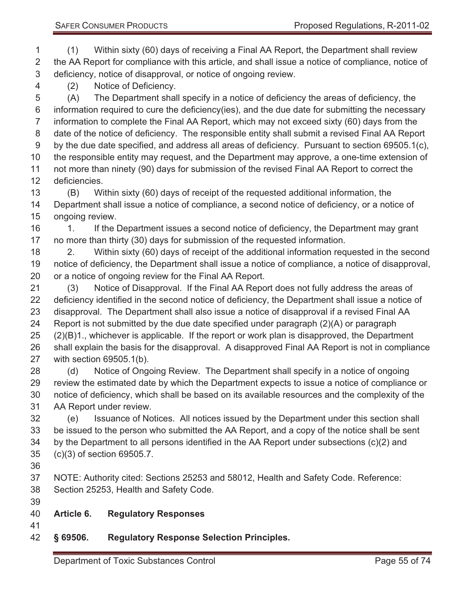(1) Within sixty (60) days of receiving a Final AA Report, the Department shall review the AA Report for compliance with this article, and shall issue a notice of compliance, notice of deficiency, notice of disapproval, or notice of ongoing review.

(2) Notice of Deficiency.

 (A) The Department shall specify in a notice of deficiency the areas of deficiency, the 6 information required to cure the deficiency(ies), and the due date for submitting the necessary information to complete the Final AA Report, which may not exceed sixty (60) days from the date of the notice of deficiency. The responsible entity shall submit a revised Final AA Report by the due date specified, and address all areas of deficiency. Pursuant to section 69505.1(c), the responsible entity may request, and the Department may approve, a one-time extension of not more than ninety (90) days for submission of the revised Final AA Report to correct the deficiencies.

 (B) Within sixty (60) days of receipt of the requested additional information, the Department shall issue a notice of compliance, a second notice of deficiency, or a notice of ongoing review.

16 1. If the Department issues a second notice of deficiency, the Department may grant no more than thirty (30) days for submission of the requested information.

 2. Within sixty (60) days of receipt of the additional information requested in the second notice of deficiency, the Department shall issue a notice of compliance, a notice of disapproval, or a notice of ongoing review for the Final AA Report.

 (3) Notice of Disapproval. If the Final AA Report does not fully address the areas of deficiency identified in the second notice of deficiency, the Department shall issue a notice of disapproval. The Department shall also issue a notice of disapproval if a revised Final AA Report is not submitted by the due date specified under paragraph (2)(A) or paragraph (2)(B)1., whichever is applicable. If the report or work plan is disapproved, the Department shall explain the basis for the disapproval. A disapproved Final AA Report is not in compliance with section 69505.1(b).

 (d) Notice of Ongoing Review. The Department shall specify in a notice of ongoing review the estimated date by which the Department expects to issue a notice of compliance or notice of deficiency, which shall be based on its available resources and the complexity of the AA Report under review.

 (e) Issuance of Notices. All notices issued by the Department under this section shall be issued to the person who submitted the AA Report, and a copy of the notice shall be sent by the Department to all persons identified in the AA Report under subsections (c)(2) and (c)(3) of section 69505.7.

 NOTE: Authority cited: Sections 25253 and 58012, Health and Safety Code. Reference: Section 25253, Health and Safety Code.

#### **Article 6. Regulatory Responses**

#### **§ 69506. Regulatory Response Selection Principles.**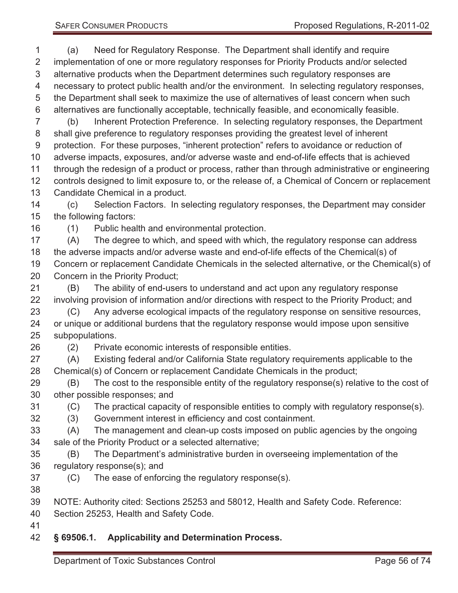- (a) Need for Regulatory Response. The Department shall identify and require implementation of one or more regulatory responses for Priority Products and/or selected alternative products when the Department determines such regulatory responses are necessary to protect public health and/or the environment. In selecting regulatory responses, the Department shall seek to maximize the use of alternatives of least concern when such alternatives are functionally acceptable, technically feasible, and economically feasible. (b) Inherent Protection Preference. In selecting regulatory responses, the Department shall give preference to regulatory responses providing the greatest level of inherent protection. For these purposes, "inherent protection" refers to avoidance or reduction of adverse impacts, exposures, and/or adverse waste and end-of-life effects that is achieved through the redesign of a product or process, rather than through administrative or engineering 12 controls designed to limit exposure to, or the release of, a Chemical of Concern or replacement Candidate Chemical in a product. (c) Selection Factors. In selecting regulatory responses, the Department may consider the following factors: (1) Public health and environmental protection. (A) The degree to which, and speed with which, the regulatory response can address the adverse impacts and/or adverse waste and end-of-life effects of the Chemical(s) of Concern or replacement Candidate Chemicals in the selected alternative, or the Chemical(s) of Concern in the Priority Product; (B) The ability of end-users to understand and act upon any regulatory response involving provision of information and/or directions with respect to the Priority Product; and (C) Any adverse ecological impacts of the regulatory response on sensitive resources, or unique or additional burdens that the regulatory response would impose upon sensitive subpopulations. (2) Private economic interests of responsible entities. (A) Existing federal and/or California State regulatory requirements applicable to the Chemical(s) of Concern or replacement Candidate Chemicals in the product;
- (B) The cost to the responsible entity of the regulatory response(s) relative to the cost of other possible responses; and
- (C) The practical capacity of responsible entities to comply with regulatory response(s).
- (3) Government interest in efficiency and cost containment.
- (A) The management and clean-up costs imposed on public agencies by the ongoing sale of the Priority Product or a selected alternative;
- (B) The Department's administrative burden in overseeing implementation of the regulatory response(s); and
- (C) The ease of enforcing the regulatory response(s).
- 
- NOTE: Authority cited: Sections 25253 and 58012, Health and Safety Code. Reference:
- Section 25253, Health and Safety Code.
- 

#### **§ 69506.1. Applicability and Determination Process.**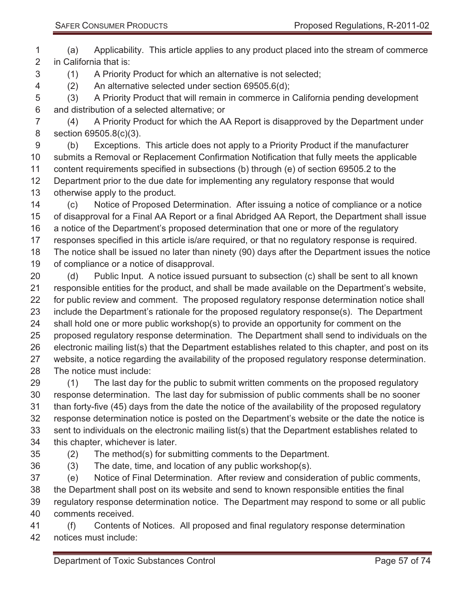(a) Applicability. This article applies to any product placed into the stream of commerce in California that is:

(1) A Priority Product for which an alternative is not selected;

(2) An alternative selected under section 69505.6(d);

 (3) A Priority Product that will remain in commerce in California pending development and distribution of a selected alternative; or

 (4) A Priority Product for which the AA Report is disapproved by the Department under section 69505.8(c)(3).

 (b) Exceptions. This article does not apply to a Priority Product if the manufacturer submits a Removal or Replacement Confirmation Notification that fully meets the applicable content requirements specified in subsections (b) through (e) of section 69505.2 to the Department prior to the due date for implementing any regulatory response that would otherwise apply to the product.

 (c) Notice of Proposed Determination. After issuing a notice of compliance or a notice of disapproval for a Final AA Report or a final Abridged AA Report, the Department shall issue a notice of the Department's proposed determination that one or more of the regulatory responses specified in this article is/are required, or that no regulatory response is required. The notice shall be issued no later than ninety (90) days after the Department issues the notice of compliance or a notice of disapproval.

 (d) Public Input. A notice issued pursuant to subsection (c) shall be sent to all known responsible entities for the product, and shall be made available on the Department's website, 22 for public review and comment. The proposed regulatory response determination notice shall include the Department's rationale for the proposed regulatory response(s). The Department shall hold one or more public workshop(s) to provide an opportunity for comment on the proposed regulatory response determination. The Department shall send to individuals on the electronic mailing list(s) that the Department establishes related to this chapter, and post on its website, a notice regarding the availability of the proposed regulatory response determination. The notice must include:

29 (1) The last day for the public to submit written comments on the proposed regulatory response determination. The last day for submission of public comments shall be no sooner than forty-five (45) days from the date the notice of the availability of the proposed regulatory response determination notice is posted on the Department's website or the date the notice is sent to individuals on the electronic mailing list(s) that the Department establishes related to this chapter, whichever is later. (2) The method(s) for submitting comments to the Department.

- 
- - -

(3) The date, time, and location of any public workshop(s).

 (e) Notice of Final Determination. After review and consideration of public comments, the Department shall post on its website and send to known responsible entities the final regulatory response determination notice. The Department may respond to some or all public comments received.

 (f) Contents of Notices. All proposed and final regulatory response determination notices must include: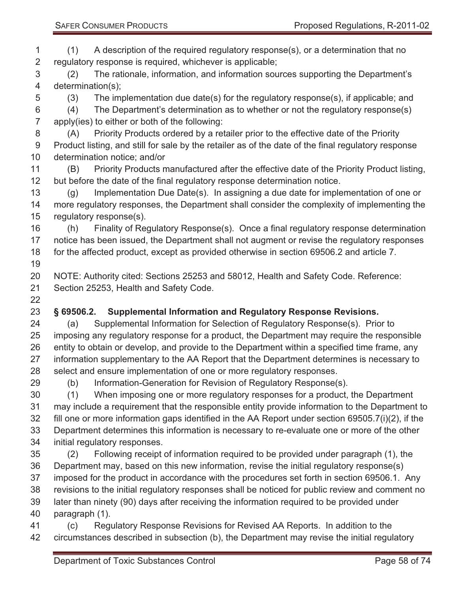(1) A description of the required regulatory response(s), or a determination that no regulatory response is required, whichever is applicable;

 (2) The rationale, information, and information sources supporting the Department's determination(s);

(3) The implementation due date(s) for the regulatory response(s), if applicable; and

 (4) The Department's determination as to whether or not the regulatory response(s) apply(ies) to either or both of the following:

- (A) Priority Products ordered by a retailer prior to the effective date of the Priority Product listing, and still for sale by the retailer as of the date of the final regulatory response determination notice; and/or
- (B) Priority Products manufactured after the effective date of the Priority Product listing, but before the date of the final regulatory response determination notice.

 (g) Implementation Due Date(s). In assigning a due date for implementation of one or more regulatory responses, the Department shall consider the complexity of implementing the regulatory response(s).

 (h) Finality of Regulatory Response(s). Once a final regulatory response determination 17 notice has been issued, the Department shall not augment or revise the regulatory responses for the affected product, except as provided otherwise in section 69506.2 and article 7.

 NOTE: Authority cited: Sections 25253 and 58012, Health and Safety Code. Reference: Section 25253, Health and Safety Code.

# **§ 69506.2. Supplemental Information and Regulatory Response Revisions.**

 (a) Supplemental Information for Selection of Regulatory Response(s). Prior to imposing any regulatory response for a product, the Department may require the responsible entity to obtain or develop, and provide to the Department within a specified time frame, any information supplementary to the AA Report that the Department determines is necessary to select and ensure implementation of one or more regulatory responses.

(b) Information-Generation for Revision of Regulatory Response(s).

 (1) When imposing one or more regulatory responses for a product, the Department may include a requirement that the responsible entity provide information to the Department to fill one or more information gaps identified in the AA Report under section 69505.7(i)(2), if the Department determines this information is necessary to re-evaluate one or more of the other initial regulatory responses.

- (2) Following receipt of information required to be provided under paragraph (1), the Department may, based on this new information, revise the initial regulatory response(s) imposed for the product in accordance with the procedures set forth in section 69506.1. Any revisions to the initial regulatory responses shall be noticed for public review and comment no later than ninety (90) days after receiving the information required to be provided under paragraph (1).
- (c) Regulatory Response Revisions for Revised AA Reports. In addition to the circumstances described in subsection (b), the Department may revise the initial regulatory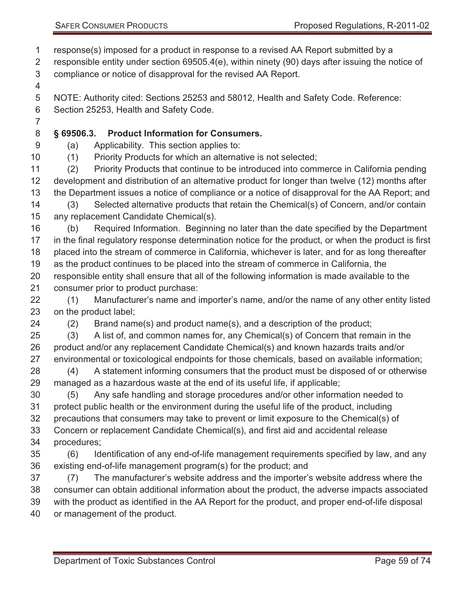response(s) imposed for a product in response to a revised AA Report submitted by a

 responsible entity under section 69505.4(e), within ninety (90) days after issuing the notice of compliance or notice of disapproval for the revised AA Report.

 NOTE: Authority cited: Sections 25253 and 58012, Health and Safety Code. Reference: Section 25253, Health and Safety Code.

#### **§ 69506.3. Product Information for Consumers.**

(a) Applicability. This section applies to:

(1) Priority Products for which an alternative is not selected;

 (2) Priority Products that continue to be introduced into commerce in California pending development and distribution of an alternative product for longer than twelve (12) months after the Department issues a notice of compliance or a notice of disapproval for the AA Report; and

 (3) Selected alternative products that retain the Chemical(s) of Concern, and/or contain any replacement Candidate Chemical(s).

 (b) Required Information. Beginning no later than the date specified by the Department in the final regulatory response determination notice for the product, or when the product is first placed into the stream of commerce in California, whichever is later, and for as long thereafter as the product continues to be placed into the stream of commerce in California, the responsible entity shall ensure that all of the following information is made available to the consumer prior to product purchase:

 (1) Manufacturer's name and importer's name, and/or the name of any other entity listed on the product label;

(2) Brand name(s) and product name(s), and a description of the product;

 (3) A list of, and common names for, any Chemical(s) of Concern that remain in the product and/or any replacement Candidate Chemical(s) and known hazards traits and/or environmental or toxicological endpoints for those chemicals, based on available information;

 (4) A statement informing consumers that the product must be disposed of or otherwise managed as a hazardous waste at the end of its useful life, if applicable;

 (5) Any safe handling and storage procedures and/or other information needed to protect public health or the environment during the useful life of the product, including precautions that consumers may take to prevent or limit exposure to the Chemical(s) of

Concern or replacement Candidate Chemical(s), and first aid and accidental release

procedures;

 (6) Identification of any end-of-life management requirements specified by law, and any existing end-of-life management program(s) for the product; and

 (7) The manufacturer's website address and the importer's website address where the consumer can obtain additional information about the product, the adverse impacts associated with the product as identified in the AA Report for the product, and proper end-of-life disposal or management of the product.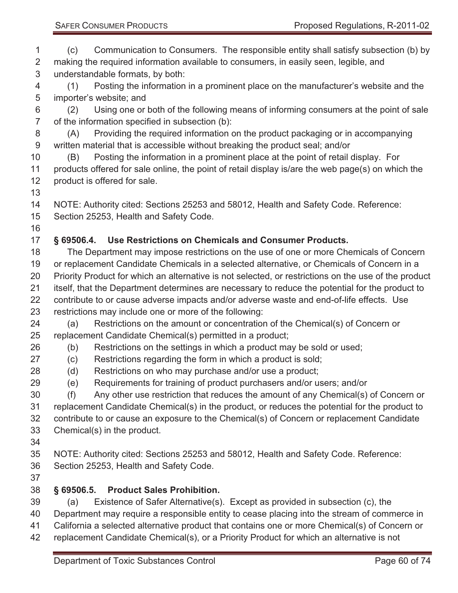(c) Communication to Consumers. The responsible entity shall satisfy subsection (b) by making the required information available to consumers, in easily seen, legible, and understandable formats, by both: (1) Posting the information in a prominent place on the manufacturer's website and the importer's website; and (2) Using one or both of the following means of informing consumers at the point of sale of the information specified in subsection (b): (A) Providing the required information on the product packaging or in accompanying written material that is accessible without breaking the product seal; and/or (B) Posting the information in a prominent place at the point of retail display. For products offered for sale online, the point of retail display is/are the web page(s) on which the product is offered for sale. NOTE: Authority cited: Sections 25253 and 58012, Health and Safety Code. Reference: Section 25253, Health and Safety Code. **§ 69506.4. Use Restrictions on Chemicals and Consumer Products.**  The Department may impose restrictions on the use of one or more Chemicals of Concern or replacement Candidate Chemicals in a selected alternative, or Chemicals of Concern in a Priority Product for which an alternative is not selected, or restrictions on the use of the product itself, that the Department determines are necessary to reduce the potential for the product to contribute to or cause adverse impacts and/or adverse waste and end-of-life effects. Use restrictions may include one or more of the following: (a) Restrictions on the amount or concentration of the Chemical(s) of Concern or replacement Candidate Chemical(s) permitted in a product; (b) Restrictions on the settings in which a product may be sold or used; (c) Restrictions regarding the form in which a product is sold; (d) Restrictions on who may purchase and/or use a product; (e) Requirements for training of product purchasers and/or users; and/or (f) Any other use restriction that reduces the amount of any Chemical(s) of Concern or replacement Candidate Chemical(s) in the product, or reduces the potential for the product to contribute to or cause an exposure to the Chemical(s) of Concern or replacement Candidate Chemical(s) in the product. NOTE: Authority cited: Sections 25253 and 58012, Health and Safety Code. Reference: Section 25253, Health and Safety Code. **§ 69506.5. Product Sales Prohibition.**  (a) Existence of Safer Alternative(s). Except as provided in subsection (c), the Department may require a responsible entity to cease placing into the stream of commerce in California a selected alternative product that contains one or more Chemical(s) of Concern or

replacement Candidate Chemical(s), or a Priority Product for which an alternative is not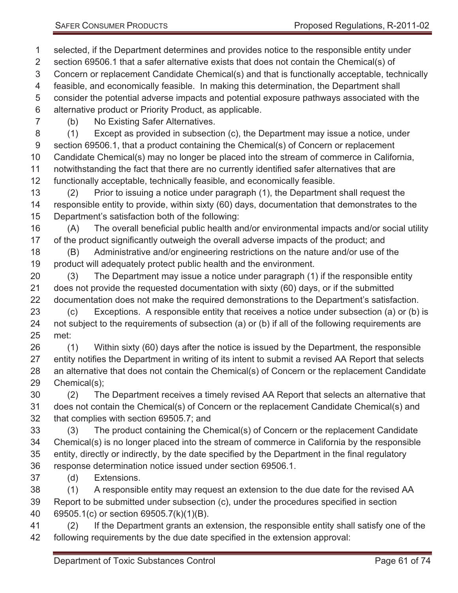selected, if the Department determines and provides notice to the responsible entity under section 69506.1 that a safer alternative exists that does not contain the Chemical(s) of Concern or replacement Candidate Chemical(s) and that is functionally acceptable, technically feasible, and economically feasible. In making this determination, the Department shall consider the potential adverse impacts and potential exposure pathways associated with the alternative product or Priority Product, as applicable.

(b) No Existing Safer Alternatives.

 (1) Except as provided in subsection (c), the Department may issue a notice, under section 69506.1, that a product containing the Chemical(s) of Concern or replacement Candidate Chemical(s) may no longer be placed into the stream of commerce in California, notwithstanding the fact that there are no currently identified safer alternatives that are functionally acceptable, technically feasible, and economically feasible.

 (2) Prior to issuing a notice under paragraph (1), the Department shall request the responsible entity to provide, within sixty (60) days, documentation that demonstrates to the Department's satisfaction both of the following:

 (A) The overall beneficial public health and/or environmental impacts and/or social utility of the product significantly outweigh the overall adverse impacts of the product; and

 (B) Administrative and/or engineering restrictions on the nature and/or use of the product will adequately protect public health and the environment.

 (3) The Department may issue a notice under paragraph (1) if the responsible entity does not provide the requested documentation with sixty (60) days, or if the submitted documentation does not make the required demonstrations to the Department's satisfaction.

 (c) Exceptions. A responsible entity that receives a notice under subsection (a) or (b) is not subject to the requirements of subsection (a) or (b) if all of the following requirements are met:

 (1) Within sixty (60) days after the notice is issued by the Department, the responsible entity notifies the Department in writing of its intent to submit a revised AA Report that selects an alternative that does not contain the Chemical(s) of Concern or the replacement Candidate Chemical(s);

 (2) The Department receives a timely revised AA Report that selects an alternative that does not contain the Chemical(s) of Concern or the replacement Candidate Chemical(s) and that complies with section 69505.7; and

 (3) The product containing the Chemical(s) of Concern or the replacement Candidate Chemical(s) is no longer placed into the stream of commerce in California by the responsible entity, directly or indirectly, by the date specified by the Department in the final regulatory response determination notice issued under section 69506.1.

(d) Extensions.

 (1) A responsible entity may request an extension to the due date for the revised AA Report to be submitted under subsection (c), under the procedures specified in section 69505.1(c) or section 69505.7(k)(1)(B).

 (2) If the Department grants an extension, the responsible entity shall satisfy one of the following requirements by the due date specified in the extension approval: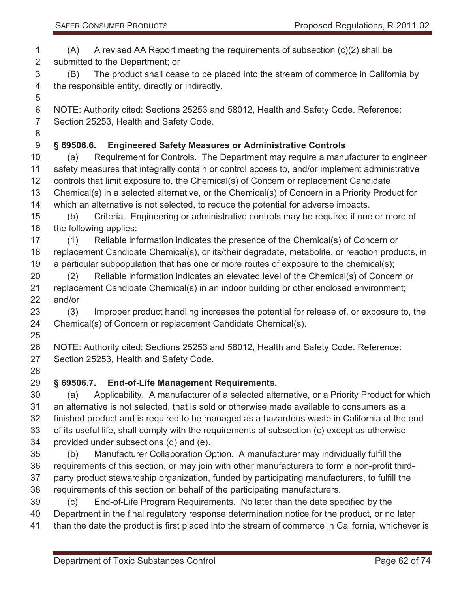(A) A revised AA Report meeting the requirements of subsection (c)(2) shall be submitted to the Department; or (B) The product shall cease to be placed into the stream of commerce in California by the responsible entity, directly or indirectly.

 NOTE: Authority cited: Sections 25253 and 58012, Health and Safety Code. Reference: Section 25253, Health and Safety Code.

# **§ 69506.6. Engineered Safety Measures or Administrative Controls**

 (a) Requirement for Controls. The Department may require a manufacturer to engineer safety measures that integrally contain or control access to, and/or implement administrative controls that limit exposure to, the Chemical(s) of Concern or replacement Candidate Chemical(s) in a selected alternative, or the Chemical(s) of Concern in a Priority Product for which an alternative is not selected, to reduce the potential for adverse impacts.

 (b) Criteria. Engineering or administrative controls may be required if one or more of the following applies:

- (1) Reliable information indicates the presence of the Chemical(s) of Concern or replacement Candidate Chemical(s), or its/their degradate, metabolite, or reaction products, in a particular subpopulation that has one or more routes of exposure to the chemical(s);
- (2) Reliable information indicates an elevated level of the Chemical(s) of Concern or replacement Candidate Chemical(s) in an indoor building or other enclosed environment; and/or

 (3) Improper product handling increases the potential for release of, or exposure to, the Chemical(s) of Concern or replacement Candidate Chemical(s).

 NOTE: Authority cited: Sections 25253 and 58012, Health and Safety Code. Reference: Section 25253, Health and Safety Code.

# **§ 69506.7. End-of-Life Management Requirements.**

 (a) Applicability. A manufacturer of a selected alternative, or a Priority Product for which an alternative is not selected, that is sold or otherwise made available to consumers as a finished product and is required to be managed as a hazardous waste in California at the end of its useful life, shall comply with the requirements of subsection (c) except as otherwise provided under subsections (d) and (e).

- (b) Manufacturer Collaboration Option. A manufacturer may individually fulfill the requirements of this section, or may join with other manufacturers to form a non-profit third- party product stewardship organization, funded by participating manufacturers, to fulfill the requirements of this section on behalf of the participating manufacturers.
- (c) End-of-Life Program Requirements. No later than the date specified by the Department in the final regulatory response determination notice for the product, or no later
- than the date the product is first placed into the stream of commerce in California, whichever is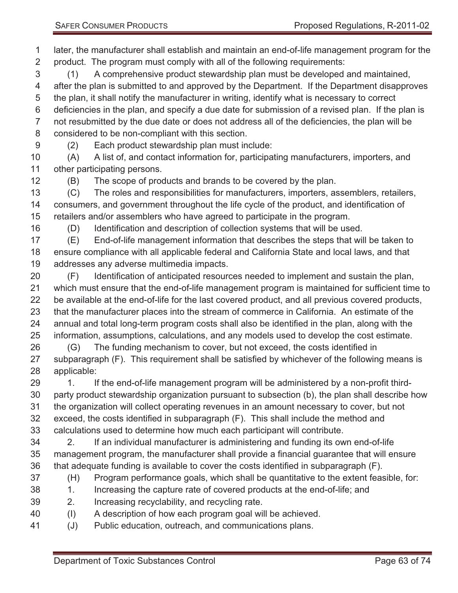later, the manufacturer shall establish and maintain an end-of-life management program for the product. The program must comply with all of the following requirements:

 (1) A comprehensive product stewardship plan must be developed and maintained, after the plan is submitted to and approved by the Department. If the Department disapproves the plan, it shall notify the manufacturer in writing, identify what is necessary to correct deficiencies in the plan, and specify a due date for submission of a revised plan. If the plan is not resubmitted by the due date or does not address all of the deficiencies, the plan will be considered to be non-compliant with this section.

(2) Each product stewardship plan must include:

 (A) A list of, and contact information for, participating manufacturers, importers, and other participating persons.

(B) The scope of products and brands to be covered by the plan.

 (C) The roles and responsibilities for manufacturers, importers, assemblers, retailers, consumers, and government throughout the life cycle of the product, and identification of retailers and/or assemblers who have agreed to participate in the program.

(D) Identification and description of collection systems that will be used.

 (E) End-of-life management information that describes the steps that will be taken to ensure compliance with all applicable federal and California State and local laws, and that addresses any adverse multimedia impacts.

 (F) Identification of anticipated resources needed to implement and sustain the plan, which must ensure that the end-of-life management program is maintained for sufficient time to be available at the end-of-life for the last covered product, and all previous covered products, that the manufacturer places into the stream of commerce in California. An estimate of the annual and total long-term program costs shall also be identified in the plan, along with the information, assumptions, calculations, and any models used to develop the cost estimate.

 (G) The funding mechanism to cover, but not exceed, the costs identified in subparagraph (F). This requirement shall be satisfied by whichever of the following means is applicable:

29 1. If the end-of-life management program will be administered by a non-profit third- party product stewardship organization pursuant to subsection (b), the plan shall describe how the organization will collect operating revenues in an amount necessary to cover, but not exceed, the costs identified in subparagraph (F). This shall include the method and

calculations used to determine how much each participant will contribute.

 2. If an individual manufacturer is administering and funding its own end-of-life management program, the manufacturer shall provide a financial guarantee that will ensure that adequate funding is available to cover the costs identified in subparagraph (F).

- (H) Program performance goals, which shall be quantitative to the extent feasible, for:
- 38 1. Increasing the capture rate of covered products at the end-of-life; and
- 2. Increasing recyclability, and recycling rate.
- (I) A description of how each program goal will be achieved.
- (J) Public education, outreach, and communications plans.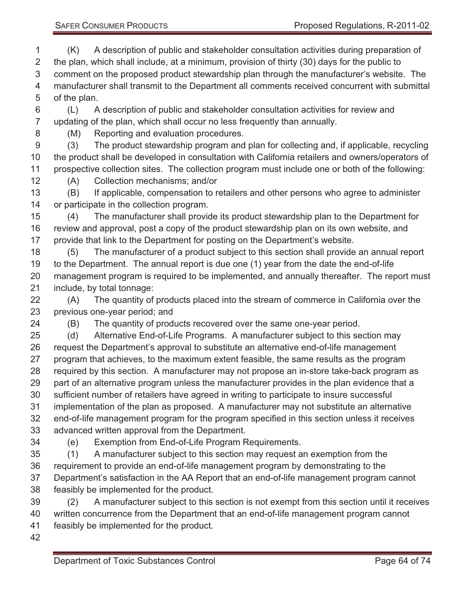SAFER CONSUMER PRODUCTS **Proposed Regulations, R-2011-02** 

 (K) A description of public and stakeholder consultation activities during preparation of the plan, which shall include, at a minimum, provision of thirty (30) days for the public to comment on the proposed product stewardship plan through the manufacturer's website. The manufacturer shall transmit to the Department all comments received concurrent with submittal of the plan.

 (L) A description of public and stakeholder consultation activities for review and updating of the plan, which shall occur no less frequently than annually.

(M) Reporting and evaluation procedures.

 (3) The product stewardship program and plan for collecting and, if applicable, recycling the product shall be developed in consultation with California retailers and owners/operators of prospective collection sites. The collection program must include one or both of the following:

(A) Collection mechanisms; and/or

 (B) If applicable, compensation to retailers and other persons who agree to administer or participate in the collection program.

 (4) The manufacturer shall provide its product stewardship plan to the Department for review and approval, post a copy of the product stewardship plan on its own website, and provide that link to the Department for posting on the Department's website.

 (5) The manufacturer of a product subject to this section shall provide an annual report to the Department. The annual report is due one (1) year from the date the end-of-life management program is required to be implemented, and annually thereafter. The report must include, by total tonnage:

 (A) The quantity of products placed into the stream of commerce in California over the previous one-year period; and

(B) The quantity of products recovered over the same one-year period.

 (d) Alternative End-of-Life Programs. A manufacturer subject to this section may request the Department's approval to substitute an alternative end-of-life management program that achieves, to the maximum extent feasible, the same results as the program required by this section. A manufacturer may not propose an in-store take-back program as 29 part of an alternative program unless the manufacturer provides in the plan evidence that a sufficient number of retailers have agreed in writing to participate to insure successful implementation of the plan as proposed. A manufacturer may not substitute an alternative end-of-life management program for the program specified in this section unless it receives advanced written approval from the Department.

(e) Exemption from End-of-Life Program Requirements.

(1) A manufacturer subject to this section may request an exemption from the

requirement to provide an end-of-life management program by demonstrating to the

 Department's satisfaction in the AA Report that an end-of-life management program cannot feasibly be implemented for the product.

 (2) A manufacturer subject to this section is not exempt from this section until it receives written concurrence from the Department that an end-of-life management program cannot feasibly be implemented for the product.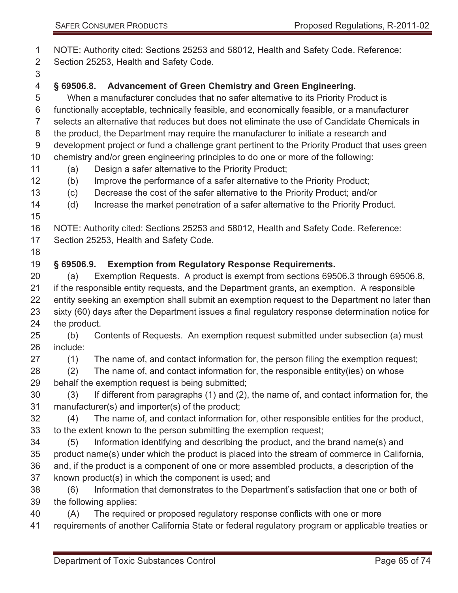NOTE: Authority cited: Sections 25253 and 58012, Health and Safety Code. Reference:

Section 25253, Health and Safety Code.

### **§ 69506.8. Advancement of Green Chemistry and Green Engineering.**

 When a manufacturer concludes that no safer alternative to its Priority Product is functionally acceptable, technically feasible, and economically feasible, or a manufacturer selects an alternative that reduces but does not eliminate the use of Candidate Chemicals in the product, the Department may require the manufacturer to initiate a research and development project or fund a challenge grant pertinent to the Priority Product that uses green chemistry and/or green engineering principles to do one or more of the following:

- (a) Design a safer alternative to the Priority Product;
- (b) Improve the performance of a safer alternative to the Priority Product;
- (c) Decrease the cost of the safer alternative to the Priority Product; and/or
- (d) Increase the market penetration of a safer alternative to the Priority Product.
- 

- Section 25253, Health and Safety Code.
- 

#### **§ 69506.9. Exemption from Regulatory Response Requirements.**

 (a) Exemption Requests. A product is exempt from sections 69506.3 through 69506.8, if the responsible entity requests, and the Department grants, an exemption. A responsible entity seeking an exemption shall submit an exemption request to the Department no later than sixty (60) days after the Department issues a final regulatory response determination notice for the product.

 (b) Contents of Requests. An exemption request submitted under subsection (a) must include:

- (1) The name of, and contact information for, the person filing the exemption request;
- (2) The name of, and contact information for, the responsible entity(ies) on whose behalf the exemption request is being submitted;
- (3) If different from paragraphs (1) and (2), the name of, and contact information for, the manufacturer(s) and importer(s) of the product;
- (4) The name of, and contact information for, other responsible entities for the product, to the extent known to the person submitting the exemption request;
- (5) Information identifying and describing the product, and the brand name(s) and product name(s) under which the product is placed into the stream of commerce in California, and, if the product is a component of one or more assembled products, a description of the known product(s) in which the component is used; and
- (6) Information that demonstrates to the Department's satisfaction that one or both of the following applies:
- (A) The required or proposed regulatory response conflicts with one or more
- requirements of another California State or federal regulatory program or applicable treaties or

NOTE: Authority cited: Sections 25253 and 58012, Health and Safety Code. Reference: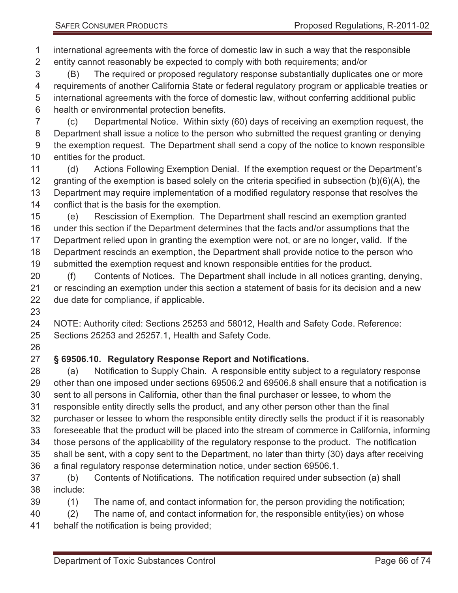international agreements with the force of domestic law in such a way that the responsible entity cannot reasonably be expected to comply with both requirements; and/or

 (B) The required or proposed regulatory response substantially duplicates one or more requirements of another California State or federal regulatory program or applicable treaties or international agreements with the force of domestic law, without conferring additional public health or environmental protection benefits.

 (c) Departmental Notice. Within sixty (60) days of receiving an exemption request, the Department shall issue a notice to the person who submitted the request granting or denying the exemption request. The Department shall send a copy of the notice to known responsible entities for the product.

 (d) Actions Following Exemption Denial. If the exemption request or the Department's 12 granting of the exemption is based solely on the criteria specified in subsection (b)(6)(A), the Department may require implementation of a modified regulatory response that resolves the conflict that is the basis for the exemption.

 (e) Rescission of Exemption. The Department shall rescind an exemption granted under this section if the Department determines that the facts and/or assumptions that the Department relied upon in granting the exemption were not, or are no longer, valid. If the Department rescinds an exemption, the Department shall provide notice to the person who submitted the exemption request and known responsible entities for the product.

 (f) Contents of Notices. The Department shall include in all notices granting, denying, or rescinding an exemption under this section a statement of basis for its decision and a new due date for compliance, if applicable.

 NOTE: Authority cited: Sections 25253 and 58012, Health and Safety Code. Reference: Sections 25253 and 25257.1, Health and Safety Code.

#### **§ 69506.10. Regulatory Response Report and Notifications.**

 (a) Notification to Supply Chain. A responsible entity subject to a regulatory response other than one imposed under sections 69506.2 and 69506.8 shall ensure that a notification is sent to all persons in California, other than the final purchaser or lessee, to whom the responsible entity directly sells the product, and any other person other than the final purchaser or lessee to whom the responsible entity directly sells the product if it is reasonably foreseeable that the product will be placed into the stream of commerce in California, informing those persons of the applicability of the regulatory response to the product. The notification shall be sent, with a copy sent to the Department, no later than thirty (30) days after receiving a final regulatory response determination notice, under section 69506.1. (b) Contents of Notifications. The notification required under subsection (a) shall

- include:
- (1) The name of, and contact information for, the person providing the notification;
- (2) The name of, and contact information for, the responsible entity(ies) on whose
- behalf the notification is being provided;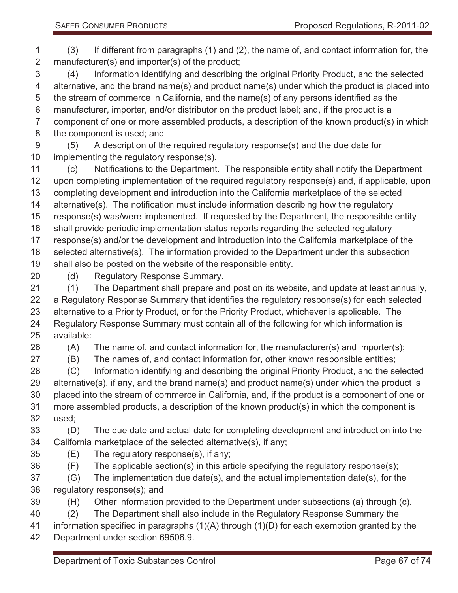(3) If different from paragraphs (1) and (2), the name of, and contact information for, the manufacturer(s) and importer(s) of the product;

 (4) Information identifying and describing the original Priority Product, and the selected alternative, and the brand name(s) and product name(s) under which the product is placed into the stream of commerce in California, and the name(s) of any persons identified as the manufacturer, importer, and/or distributor on the product label; and, if the product is a component of one or more assembled products, a description of the known product(s) in which the component is used; and

 (5) A description of the required regulatory response(s) and the due date for implementing the regulatory response(s).

 (c) Notifications to the Department. The responsible entity shall notify the Department upon completing implementation of the required regulatory response(s) and, if applicable, upon completing development and introduction into the California marketplace of the selected alternative(s). The notification must include information describing how the regulatory response(s) was/were implemented. If requested by the Department, the responsible entity shall provide periodic implementation status reports regarding the selected regulatory response(s) and/or the development and introduction into the California marketplace of the selected alternative(s). The information provided to the Department under this subsection shall also be posted on the website of the responsible entity.

(d) Regulatory Response Summary.

 (1) The Department shall prepare and post on its website, and update at least annually, a Regulatory Response Summary that identifies the regulatory response(s) for each selected alternative to a Priority Product, or for the Priority Product, whichever is applicable. The Regulatory Response Summary must contain all of the following for which information is available:

(A) The name of, and contact information for, the manufacturer(s) and importer(s);

(B) The names of, and contact information for, other known responsible entities;

 (C) Information identifying and describing the original Priority Product, and the selected alternative(s), if any, and the brand name(s) and product name(s) under which the product is placed into the stream of commerce in California, and, if the product is a component of one or more assembled products, a description of the known product(s) in which the component is used;

 (D) The due date and actual date for completing development and introduction into the California marketplace of the selected alternative(s), if any;

(E) The regulatory response(s), if any;

(F) The applicable section(s) in this article specifying the regulatory response(s);

- (G) The implementation due date(s), and the actual implementation date(s), for the regulatory response(s); and
- (H) Other information provided to the Department under subsections (a) through (c).

(2) The Department shall also include in the Regulatory Response Summary the

information specified in paragraphs (1)(A) through (1)(D) for each exemption granted by the

Department under section 69506.9.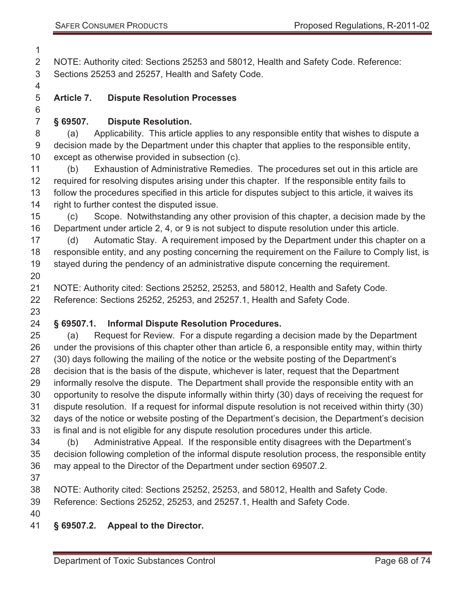NOTE: Authority cited: Sections 25253 and 58012, Health and Safety Code. Reference: Sections 25253 and 25257, Health and Safety Code.

#### **Article 7. Dispute Resolution Processes**

**§ 69507. Dispute Resolution.** 

 (a) Applicability. This article applies to any responsible entity that wishes to dispute a decision made by the Department under this chapter that applies to the responsible entity, except as otherwise provided in subsection (c).

 (b) Exhaustion of Administrative Remedies. The procedures set out in this article are required for resolving disputes arising under this chapter. If the responsible entity fails to follow the procedures specified in this article for disputes subject to this article, it waives its right to further contest the disputed issue.

 (c) Scope. Notwithstanding any other provision of this chapter, a decision made by the Department under article 2, 4, or 9 is not subject to dispute resolution under this article.

 (d) Automatic Stay. A requirement imposed by the Department under this chapter on a responsible entity, and any posting concerning the requirement on the Failure to Comply list, is stayed during the pendency of an administrative dispute concerning the requirement. 

 NOTE: Authority cited: Sections 25252, 25253, and 58012, Health and Safety Code. Reference: Sections 25252, 25253, and 25257.1, Health and Safety Code.

#### **§ 69507.1. Informal Dispute Resolution Procedures.**

 (a) Request for Review. For a dispute regarding a decision made by the Department under the provisions of this chapter other than article 6, a responsible entity may, within thirty (30) days following the mailing of the notice or the website posting of the Department's decision that is the basis of the dispute, whichever is later, request that the Department informally resolve the dispute. The Department shall provide the responsible entity with an opportunity to resolve the dispute informally within thirty (30) days of receiving the request for dispute resolution. If a request for informal dispute resolution is not received within thirty (30) days of the notice or website posting of the Department's decision, the Department's decision is final and is not eligible for any dispute resolution procedures under this article.

 (b) Administrative Appeal. If the responsible entity disagrees with the Department's decision following completion of the informal dispute resolution process, the responsible entity may appeal to the Director of the Department under section 69507.2.

NOTE: Authority cited: Sections 25252, 25253, and 58012, Health and Safety Code.

Reference: Sections 25252, 25253, and 25257.1, Health and Safety Code.

- 
- **§ 69507.2. Appeal to the Director.**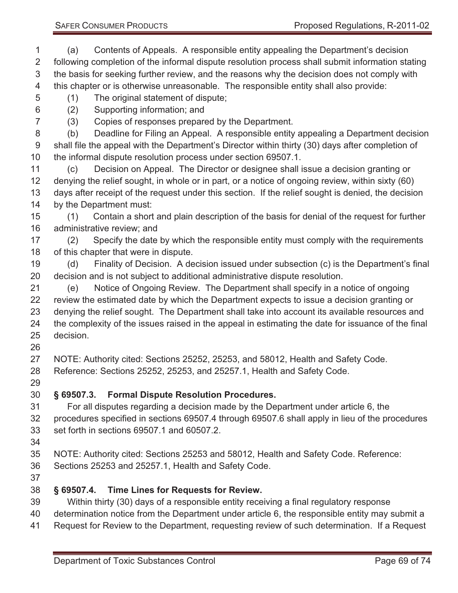(a) Contents of Appeals. A responsible entity appealing the Department's decision following completion of the informal dispute resolution process shall submit information stating the basis for seeking further review, and the reasons why the decision does not comply with this chapter or is otherwise unreasonable. The responsible entity shall also provide:

(1) The original statement of dispute;

(2) Supporting information; and

(3) Copies of responses prepared by the Department.

 (b) Deadline for Filing an Appeal. A responsible entity appealing a Department decision shall file the appeal with the Department's Director within thirty (30) days after completion of the informal dispute resolution process under section 69507.1.

 (c) Decision on Appeal. The Director or designee shall issue a decision granting or denying the relief sought, in whole or in part, or a notice of ongoing review, within sixty (60) days after receipt of the request under this section. If the relief sought is denied, the decision by the Department must:

 (1) Contain a short and plain description of the basis for denial of the request for further administrative review; and

 (2) Specify the date by which the responsible entity must comply with the requirements of this chapter that were in dispute.

 (d) Finality of Decision. A decision issued under subsection (c) is the Department's final decision and is not subject to additional administrative dispute resolution.

 (e) Notice of Ongoing Review. The Department shall specify in a notice of ongoing review the estimated date by which the Department expects to issue a decision granting or denying the relief sought. The Department shall take into account its available resources and the complexity of the issues raised in the appeal in estimating the date for issuance of the final decision.

 NOTE: Authority cited: Sections 25252, 25253, and 58012, Health and Safety Code. Reference: Sections 25252, 25253, and 25257.1, Health and Safety Code.

# **§ 69507.3. Formal Dispute Resolution Procedures.**

 For all disputes regarding a decision made by the Department under article 6, the procedures specified in sections 69507.4 through 69507.6 shall apply in lieu of the procedures set forth in sections 69507.1 and 60507.2.

NOTE: Authority cited: Sections 25253 and 58012, Health and Safety Code. Reference:

- Sections 25253 and 25257.1, Health and Safety Code.
- 

#### **§ 69507.4. Time Lines for Requests for Review.**

- Within thirty (30) days of a responsible entity receiving a final regulatory response
- determination notice from the Department under article 6, the responsible entity may submit a
- Request for Review to the Department, requesting review of such determination. If a Request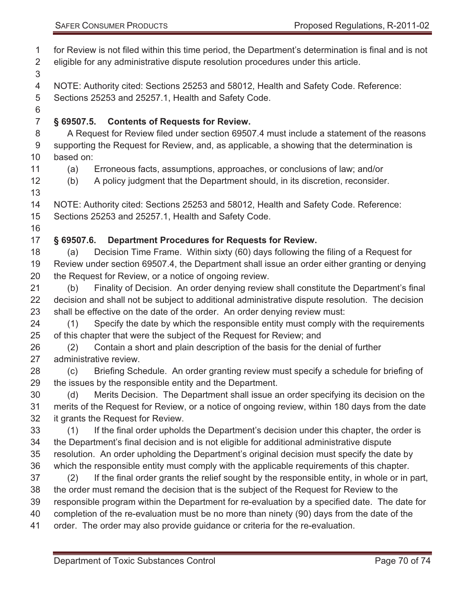for Review is not filed within this time period, the Department's determination is final and is not eligible for any administrative dispute resolution procedures under this article.

NOTE: Authority cited: Sections 25253 and 58012, Health and Safety Code. Reference:

Sections 25253 and 25257.1, Health and Safety Code.

# **§ 69507.5. Contents of Requests for Review.**

 A Request for Review filed under section 69507.4 must include a statement of the reasons supporting the Request for Review, and, as applicable, a showing that the determination is based on:

- 
- (a) Erroneous facts, assumptions, approaches, or conclusions of law; and/or

(b) A policy judgment that the Department should, in its discretion, reconsider.

NOTE: Authority cited: Sections 25253 and 58012, Health and Safety Code. Reference:

Sections 25253 and 25257.1, Health and Safety Code.

# **§ 69507.6. Department Procedures for Requests for Review.**

 (a) Decision Time Frame. Within sixty (60) days following the filing of a Request for Review under section 69507.4, the Department shall issue an order either granting or denying the Request for Review, or a notice of ongoing review.

 (b) Finality of Decision. An order denying review shall constitute the Department's final decision and shall not be subject to additional administrative dispute resolution. The decision shall be effective on the date of the order. An order denying review must:

 (1) Specify the date by which the responsible entity must comply with the requirements of this chapter that were the subject of the Request for Review; and

 (2) Contain a short and plain description of the basis for the denial of further administrative review.

 (c) Briefing Schedule. An order granting review must specify a schedule for briefing of the issues by the responsible entity and the Department.

 (d) Merits Decision. The Department shall issue an order specifying its decision on the merits of the Request for Review, or a notice of ongoing review, within 180 days from the date it grants the Request for Review.

 (1) If the final order upholds the Department's decision under this chapter, the order is the Department's final decision and is not eligible for additional administrative dispute resolution. An order upholding the Department's original decision must specify the date by which the responsible entity must comply with the applicable requirements of this chapter.

 (2) If the final order grants the relief sought by the responsible entity, in whole or in part, the order must remand the decision that is the subject of the Request for Review to the responsible program within the Department for re-evaluation by a specified date. The date for

completion of the re-evaluation must be no more than ninety (90) days from the date of the

order. The order may also provide guidance or criteria for the re-evaluation.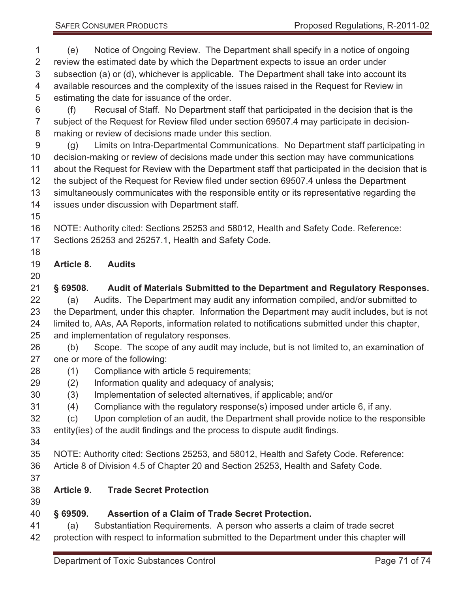- (e) Notice of Ongoing Review. The Department shall specify in a notice of ongoing review the estimated date by which the Department expects to issue an order under subsection (a) or (d), whichever is applicable. The Department shall take into account its available resources and the complexity of the issues raised in the Request for Review in estimating the date for issuance of the order.
- (f) Recusal of Staff. No Department staff that participated in the decision that is the subject of the Request for Review filed under section 69507.4 may participate in decision-making or review of decisions made under this section.
- (g) Limits on Intra-Departmental Communications. No Department staff participating in decision-making or review of decisions made under this section may have communications about the Request for Review with the Department staff that participated in the decision that is the subject of the Request for Review filed under section 69507.4 unless the Department simultaneously communicates with the responsible entity or its representative regarding the issues under discussion with Department staff.
- 
- NOTE: Authority cited: Sections 25253 and 58012, Health and Safety Code. Reference:
- Sections 25253 and 25257.1, Health and Safety Code.
- 
- **Article 8. Audits**
- 
- **§ 69508. Audit of Materials Submitted to the Department and Regulatory Responses.**
- (a) Audits. The Department may audit any information compiled, and/or submitted to the Department, under this chapter. Information the Department may audit includes, but is not limited to, AAs, AA Reports, information related to notifications submitted under this chapter, and implementation of regulatory responses.
- (b) Scope. The scope of any audit may include, but is not limited to, an examination of one or more of the following:
- (1) Compliance with article 5 requirements;
- (2) Information quality and adequacy of analysis;
- (3) Implementation of selected alternatives, if applicable; and/or
- (4) Compliance with the regulatory response(s) imposed under article 6, if any.
- (c) Upon completion of an audit, the Department shall provide notice to the responsible
- entity(ies) of the audit findings and the process to dispute audit findings.
- 
- NOTE: Authority cited: Sections 25253, and 58012, Health and Safety Code. Reference:
- Article 8 of Division 4.5 of Chapter 20 and Section 25253, Health and Safety Code.
- 
- **Article 9. Trade Secret Protection**
- 

# **§ 69509. Assertion of a Claim of Trade Secret Protection.**

 (a) Substantiation Requirements. A person who asserts a claim of trade secret protection with respect to information submitted to the Department under this chapter will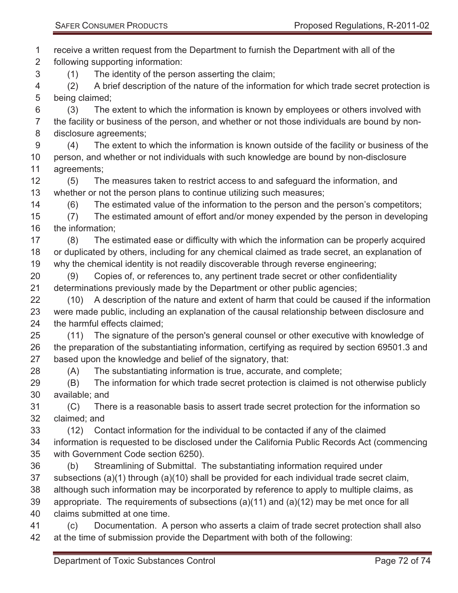receive a written request from the Department to furnish the Department with all of the following supporting information: (1) The identity of the person asserting the claim; (2) A brief description of the nature of the information for which trade secret protection is being claimed; (3) The extent to which the information is known by employees or others involved with the facility or business of the person, and whether or not those individuals are bound by non- disclosure agreements; (4) The extent to which the information is known outside of the facility or business of the person, and whether or not individuals with such knowledge are bound by non-disclosure agreements; (5) The measures taken to restrict access to and safeguard the information, and whether or not the person plans to continue utilizing such measures; (6) The estimated value of the information to the person and the person's competitors; (7) The estimated amount of effort and/or money expended by the person in developing the information; (8) The estimated ease or difficulty with which the information can be properly acquired or duplicated by others, including for any chemical claimed as trade secret, an explanation of why the chemical identity is not readily discoverable through reverse engineering; (9) Copies of, or references to, any pertinent trade secret or other confidentiality determinations previously made by the Department or other public agencies; (10) A description of the nature and extent of harm that could be caused if the information were made public, including an explanation of the causal relationship between disclosure and the harmful effects claimed; (11) The signature of the person's general counsel or other executive with knowledge of the preparation of the substantiating information, certifying as required by section 69501.3 and based upon the knowledge and belief of the signatory, that: (A) The substantiating information is true, accurate, and complete; (B) The information for which trade secret protection is claimed is not otherwise publicly available; and (C) There is a reasonable basis to assert trade secret protection for the information so claimed; and (12) Contact information for the individual to be contacted if any of the claimed information is requested to be disclosed under the California Public Records Act (commencing with Government Code section 6250). (b) Streamlining of Submittal. The substantiating information required under subsections (a)(1) through (a)(10) shall be provided for each individual trade secret claim, although such information may be incorporated by reference to apply to multiple claims, as appropriate. The requirements of subsections (a)(11) and (a)(12) may be met once for all claims submitted at one time. (c) Documentation. A person who asserts a claim of trade secret protection shall also at the time of submission provide the Department with both of the following: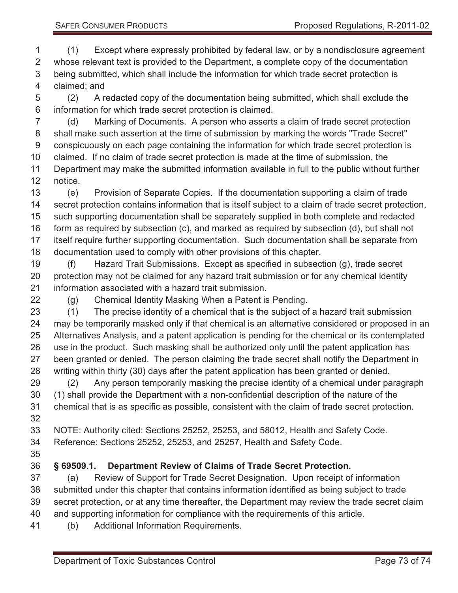(1) Except where expressly prohibited by federal law, or by a nondisclosure agreement whose relevant text is provided to the Department, a complete copy of the documentation being submitted, which shall include the information for which trade secret protection is claimed; and

 (2) A redacted copy of the documentation being submitted, which shall exclude the information for which trade secret protection is claimed.

 (d) Marking of Documents. A person who asserts a claim of trade secret protection shall make such assertion at the time of submission by marking the words "Trade Secret" conspicuously on each page containing the information for which trade secret protection is claimed. If no claim of trade secret protection is made at the time of submission, the Department may make the submitted information available in full to the public without further

notice.

 (e) Provision of Separate Copies. If the documentation supporting a claim of trade secret protection contains information that is itself subject to a claim of trade secret protection, such supporting documentation shall be separately supplied in both complete and redacted form as required by subsection (c), and marked as required by subsection (d), but shall not itself require further supporting documentation. Such documentation shall be separate from documentation used to comply with other provisions of this chapter.

 (f) Hazard Trait Submissions. Except as specified in subsection (g), trade secret protection may not be claimed for any hazard trait submission or for any chemical identity information associated with a hazard trait submission.

(g) Chemical Identity Masking When a Patent is Pending.

 (1) The precise identity of a chemical that is the subject of a hazard trait submission may be temporarily masked only if that chemical is an alternative considered or proposed in an Alternatives Analysis, and a patent application is pending for the chemical or its contemplated use in the product. Such masking shall be authorized only until the patent application has 27 been granted or denied. The person claiming the trade secret shall notify the Department in writing within thirty (30) days after the patent application has been granted or denied.

 (2) Any person temporarily masking the precise identity of a chemical under paragraph (1) shall provide the Department with a non-confidential description of the nature of the chemical that is as specific as possible, consistent with the claim of trade secret protection. 

 NOTE: Authority cited: Sections 25252, 25253, and 58012, Health and Safety Code. Reference: Sections 25252, 25253, and 25257, Health and Safety Code.

## **§ 69509.1. Department Review of Claims of Trade Secret Protection.**

 (a) Review of Support for Trade Secret Designation. Upon receipt of information submitted under this chapter that contains information identified as being subject to trade secret protection, or at any time thereafter, the Department may review the trade secret claim and supporting information for compliance with the requirements of this article.

(b) Additional Information Requirements.